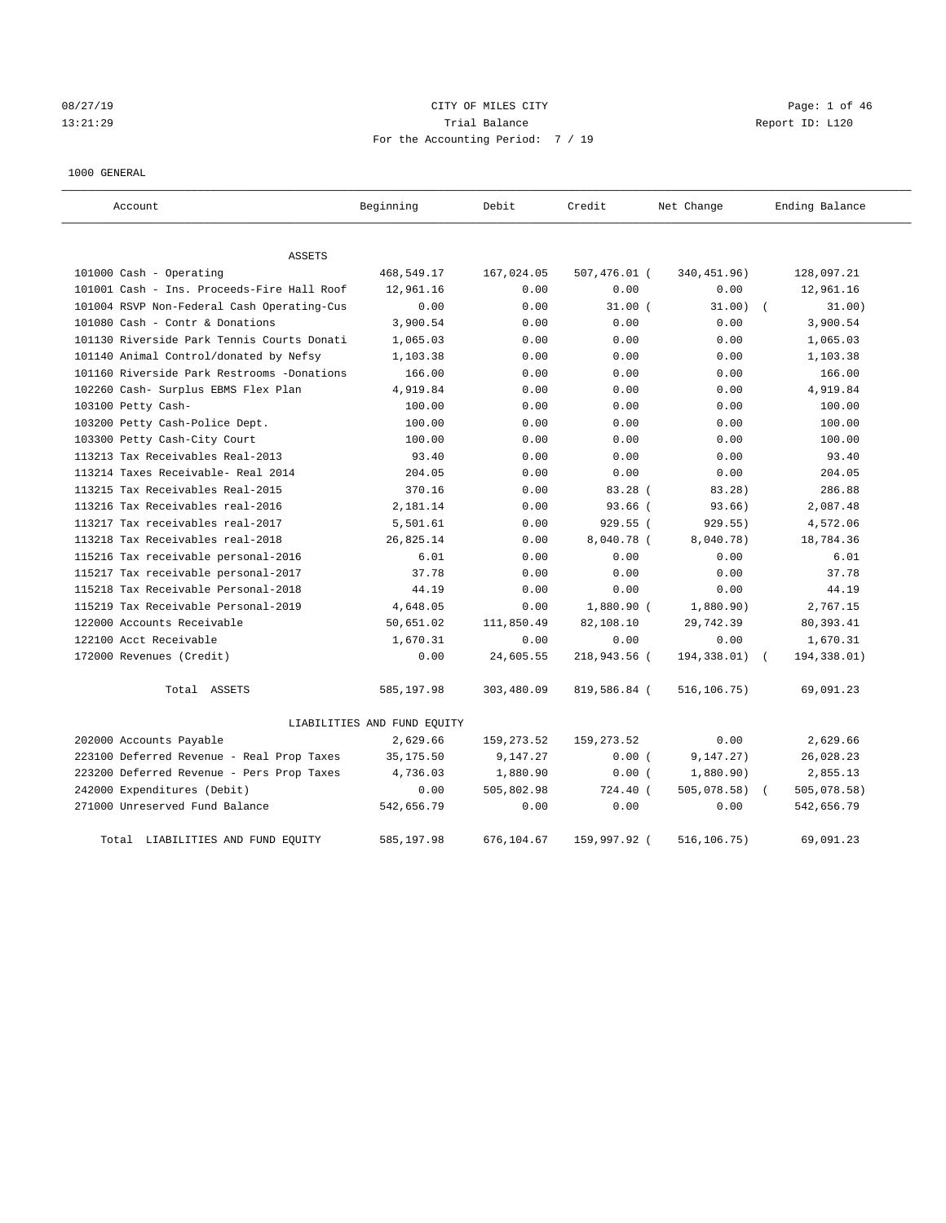# 08/27/19 Page: 1 of 46 13:21:29 Trial Balance Report ID: L120 For the Accounting Period: 7 / 19

1000 GENERAL

| Account.                                   | Beginning                   | Debit       | Credit       | Net Change   | Ending Balance            |
|--------------------------------------------|-----------------------------|-------------|--------------|--------------|---------------------------|
| ASSETS                                     |                             |             |              |              |                           |
| 101000 Cash - Operating                    | 468,549.17                  | 167,024.05  | 507,476.01 ( | 340, 451.96) | 128,097.21                |
| 101001 Cash - Ins. Proceeds-Fire Hall Roof | 12,961.16                   | 0.00        | 0.00         | 0.00         | 12,961.16                 |
| 101004 RSVP Non-Federal Cash Operating-Cus | 0.00                        | 0.00        | $31.00$ (    | 31.00)       | 31.00)                    |
| 101080 Cash - Contr & Donations            | 3,900.54                    | 0.00        | 0.00         | 0.00         | 3,900.54                  |
| 101130 Riverside Park Tennis Courts Donati | 1,065.03                    | 0.00        | 0.00         | 0.00         | 1,065.03                  |
| 101140 Animal Control/donated by Nefsy     | 1,103.38                    | 0.00        | 0.00         | 0.00         | 1,103.38                  |
| 101160 Riverside Park Restrooms -Donations | 166.00                      | 0.00        | 0.00         | 0.00         | 166.00                    |
| 102260 Cash- Surplus EBMS Flex Plan        | 4,919.84                    | 0.00        | 0.00         | 0.00         | 4,919.84                  |
| 103100 Petty Cash-                         | 100.00                      | 0.00        | 0.00         | 0.00         | 100.00                    |
| 103200 Petty Cash-Police Dept.             | 100.00                      | 0.00        | 0.00         | 0.00         | 100.00                    |
| 103300 Petty Cash-City Court               | 100.00                      | 0.00        | 0.00         | 0.00         | 100.00                    |
| 113213 Tax Receivables Real-2013           | 93.40                       | 0.00        | 0.00         | 0.00         | 93.40                     |
| 113214 Taxes Receivable- Real 2014         | 204.05                      | 0.00        | 0.00         | 0.00         | 204.05                    |
| 113215 Tax Receivables Real-2015           | 370.16                      | 0.00        | 83.28(       | 83.28)       | 286.88                    |
| 113216 Tax Receivables real-2016           | 2,181.14                    | 0.00        | $93.66$ (    | 93.66)       | 2,087.48                  |
| 113217 Tax receivables real-2017           | 5,501.61                    | 0.00        | 929.55 (     | 929.55)      | 4,572.06                  |
| 113218 Tax Receivables real-2018           | 26,825.14                   | 0.00        | 8,040.78 (   | 8,040.78)    | 18,784.36                 |
| 115216 Tax receivable personal-2016        | 6.01                        | 0.00        | 0.00         | 0.00         | 6.01                      |
| 115217 Tax receivable personal-2017        | 37.78                       | 0.00        | 0.00         | 0.00         | 37.78                     |
| 115218 Tax Receivable Personal-2018        | 44.19                       | 0.00        | 0.00         | 0.00         | 44.19                     |
| 115219 Tax Receivable Personal-2019        | 4,648.05                    | 0.00        | 1,880.90 (   | 1,880.90)    | 2,767.15                  |
| 122000 Accounts Receivable                 | 50,651.02                   | 111,850.49  | 82,108.10    | 29,742.39    | 80, 393.41                |
| 122100 Acct Receivable                     | 1,670.31                    | 0.00        | 0.00         | 0.00         | 1,670.31                  |
| 172000 Revenues (Credit)                   | 0.00                        | 24,605.55   | 218,943.56 ( | 194,338.01)  | 194,338.01)               |
| Total ASSETS                               | 585,197.98                  | 303,480.09  | 819,586.84 ( | 516,106.75)  | 69,091.23                 |
|                                            | LIABILITIES AND FUND EQUITY |             |              |              |                           |
| 202000 Accounts Payable                    | 2,629.66                    | 159, 273.52 | 159, 273.52  | 0.00         | 2,629.66                  |
| 223100 Deferred Revenue - Real Prop Taxes  | 35, 175.50                  | 9,147.27    | 0.00(        | 9, 147.27)   | 26,028.23                 |
| 223200 Deferred Revenue - Pers Prop Taxes  | 4,736.03                    | 1,880.90    | 0.00(        | 1,880.90)    | 2,855.13                  |
| 242000 Expenditures (Debit)                | 0.00                        | 505,802.98  | 724.40 (     | 505,078.58)  | 505,078.58)<br>$\sqrt{2}$ |
| 271000 Unreserved Fund Balance             | 542,656.79                  | 0.00        | 0.00         | 0.00         | 542,656.79                |
| Total LIABILITIES AND FUND EQUITY          | 585,197.98                  | 676,104.67  | 159,997.92 ( | 516, 106.75) | 69,091.23                 |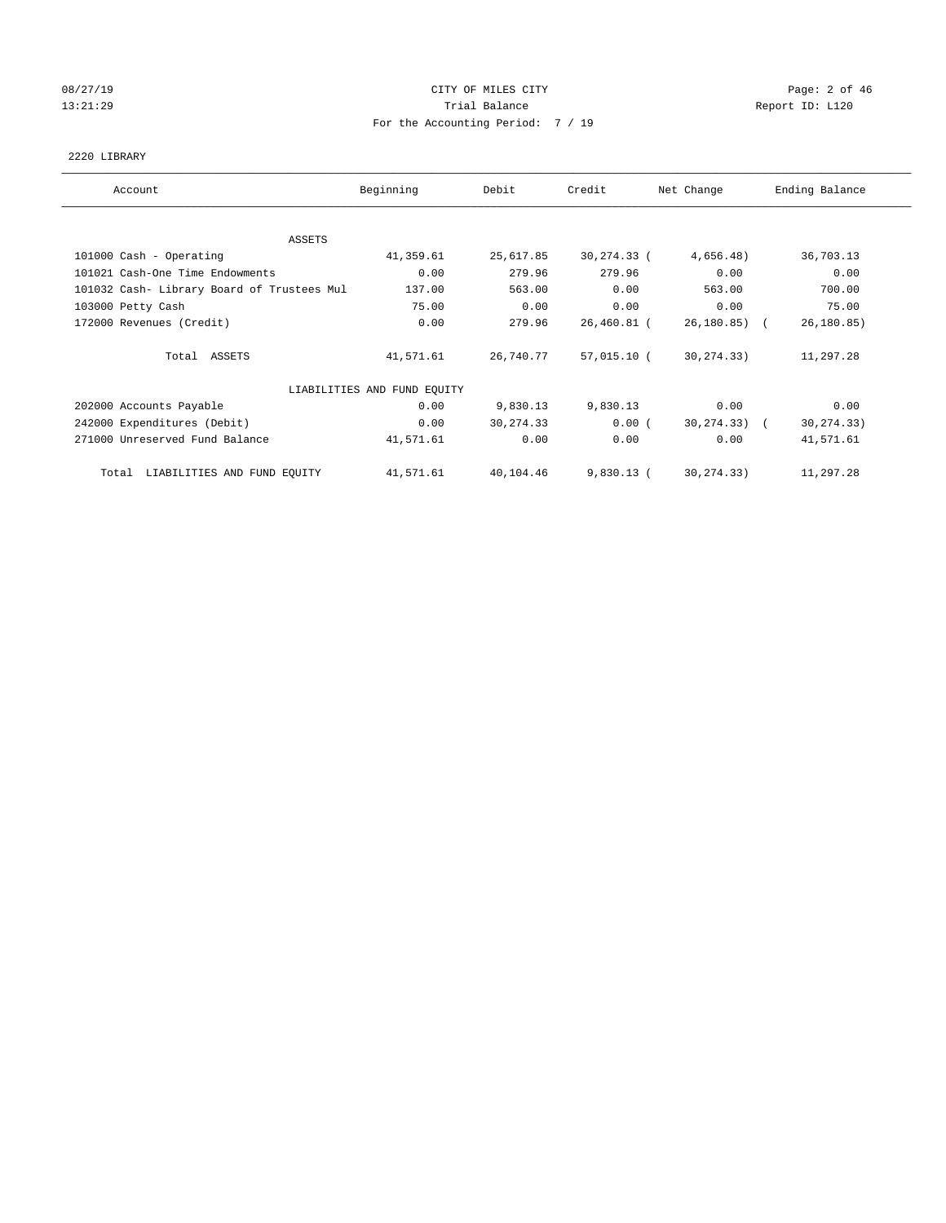# 08/27/19 Page: 2 of 46 13:21:29 **Trial Balance Trial Balance Report ID:** L120 For the Accounting Period: 7 / 19

#### 2220 LIBRARY

| Account                                    | Beginning                   | Debit      | Credit       | Net Change       | Ending Balance |
|--------------------------------------------|-----------------------------|------------|--------------|------------------|----------------|
|                                            |                             |            |              |                  |                |
|                                            |                             |            |              |                  |                |
| ASSETS                                     |                             |            |              |                  |                |
| 101000 Cash - Operating                    | 41,359.61                   | 25,617.85  | 30,274.33 (  | 4,656.48)        | 36,703.13      |
| 101021 Cash-One Time Endowments            | 0.00                        | 279.96     | 279.96       | 0.00             | 0.00           |
| 101032 Cash- Library Board of Trustees Mul | 137.00                      | 563.00     | 0.00         | 563.00           | 700.00         |
| 103000 Petty Cash                          | 75.00                       | 0.00       | 0.00         | 0.00             | 75.00          |
| 172000 Revenues (Credit)                   | 0.00                        | 279.96     | 26,460.81 (  | $26,180.85$ (    | 26, 180.85)    |
| Total ASSETS                               | 41,571.61                   | 26,740.77  | 57,015.10 (  | 30, 274. 33)     | 11,297.28      |
|                                            | LIABILITIES AND FUND EQUITY |            |              |                  |                |
| 202000 Accounts Payable                    | 0.00                        | 9,830.13   | 9,830.13     | 0.00             | 0.00           |
| 242000 Expenditures (Debit)                | 0.00                        | 30, 274.33 | 0.00(        | $30, 274.33$ ) ( | 30, 274.33)    |
| 271000 Unreserved Fund Balance             | 41,571.61                   | 0.00       | 0.00         | 0.00             | 41,571.61      |
| Total LIABILITIES AND FUND EQUITY          | 41,571.61                   | 40,104.46  | $9,830.13$ ( | 30, 274. 33)     | 11,297.28      |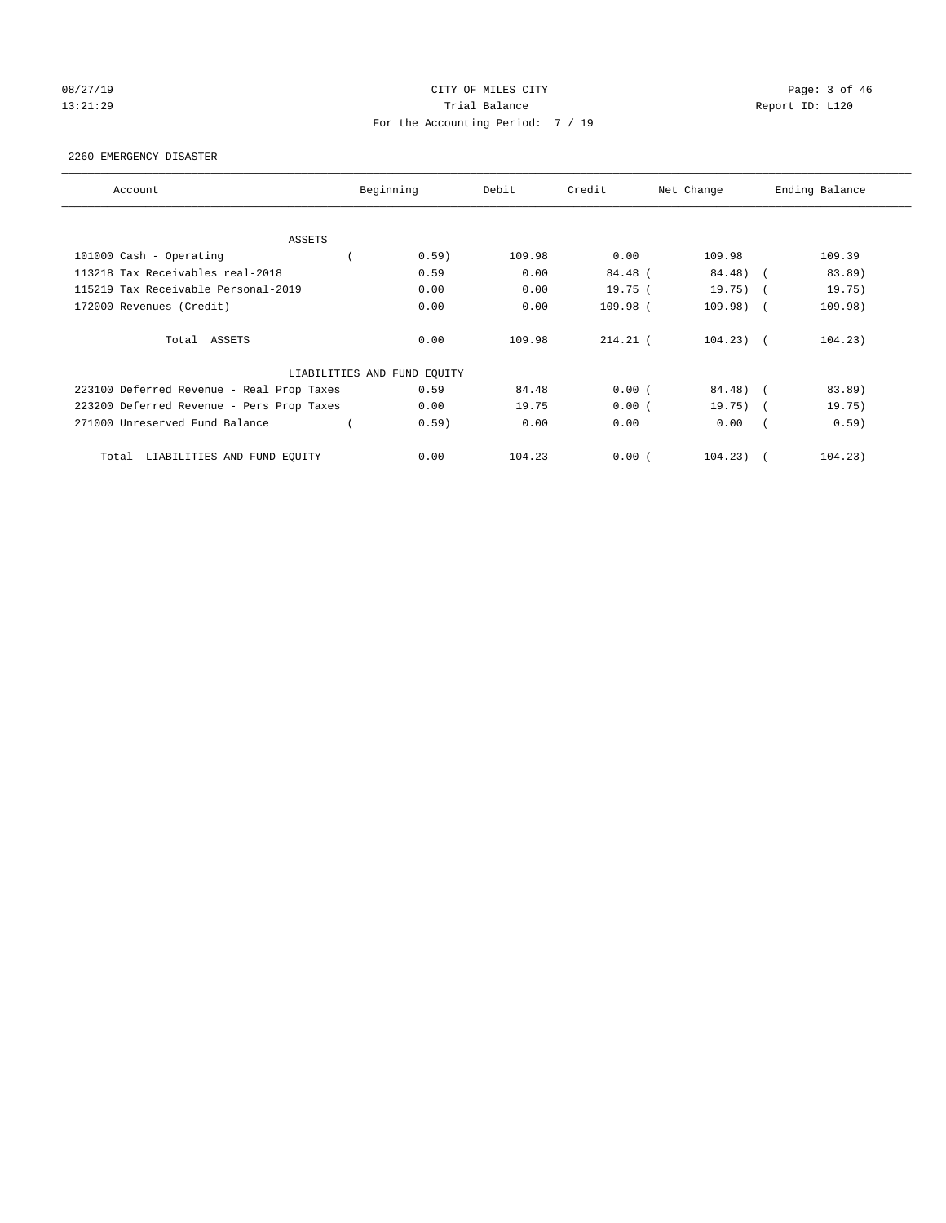# 08/27/19 Page: 3 of 46 13:21:29 **Trial Balance Trial Balance Report ID:** L120 For the Accounting Period: 7 / 19

#### 2260 EMERGENCY DISASTER

| Account                                   | Beginning                   | Debit  | Credit     | Net Change     | Ending Balance       |
|-------------------------------------------|-----------------------------|--------|------------|----------------|----------------------|
| <b>ASSETS</b>                             |                             |        |            |                |                      |
| 101000 Cash - Operating                   | 0.59)                       | 109.98 | 0.00       | 109.98         | 109.39               |
| 113218 Tax Receivables real-2018          | 0.59                        | 0.00   | 84.48 (    | 84.48)         | 83.89)<br>$\sqrt{2}$ |
| 115219 Tax Receivable Personal-2019       | 0.00                        | 0.00   | 19.75(     | $19.75)$ (     | 19.75)               |
| 172000 Revenues (Credit)                  | 0.00                        | 0.00   | 109.98 (   | $109.98)$ (    | 109.98)              |
| Total ASSETS                              | 0.00                        | 109.98 | $214.21$ ( | $104.23$ ) (   | 104.23)              |
|                                           | LIABILITIES AND FUND EQUITY |        |            |                |                      |
| 223100 Deferred Revenue - Real Prop Taxes | 0.59                        | 84.48  | 0.00(      | 84.48) (       | 83.89)               |
| 223200 Deferred Revenue - Pers Prop Taxes | 0.00                        | 19.75  | 0.00(      | $19.75)$ (     | 19.75)               |
| 271000 Unreserved Fund Balance            | 0.59)                       | 0.00   | 0.00       | 0.00           | 0.59)                |
| LIABILITIES AND FUND EQUITY<br>Total      | 0.00                        | 104.23 | 0.00(      | $104.23$ ) $($ | 104.23)              |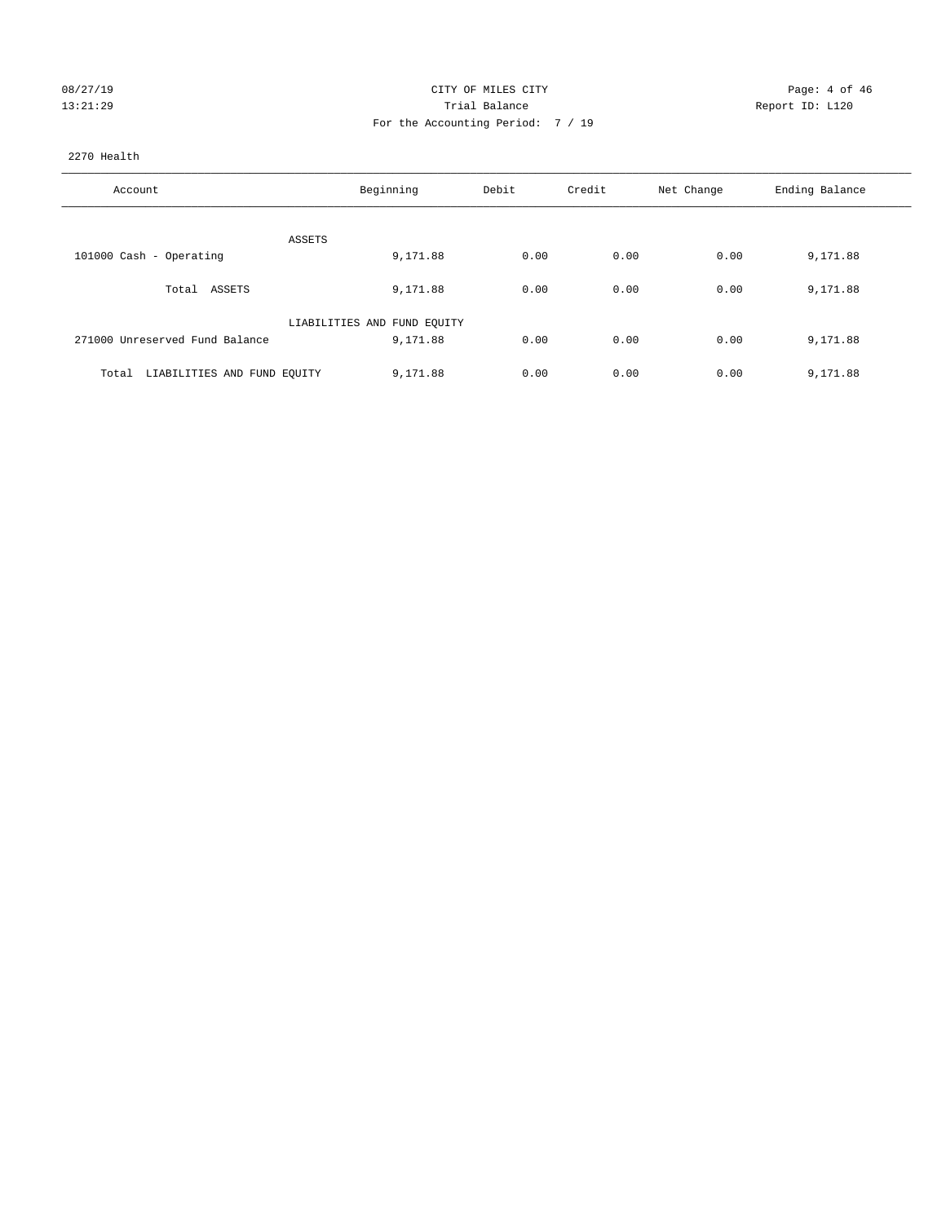| 08/27/19 |  |
|----------|--|
| 3:21:29  |  |

#### CITY OF MILES CITY CONTROL CONTROL CONTROL CITY 13:21:29 Trial Balance Report ID: L120 For the Accounting Period: 7 / 19

#### 2270 Health

| Account                              | Beginning                   | Debit | Credit | Net Change | Ending Balance |
|--------------------------------------|-----------------------------|-------|--------|------------|----------------|
| ASSETS                               |                             |       |        |            |                |
| 101000 Cash - Operating              | 9,171.88                    | 0.00  | 0.00   | 0.00       | 9,171.88       |
| Total ASSETS                         | 9,171.88                    | 0.00  | 0.00   | 0.00       | 9,171.88       |
|                                      | LIABILITIES AND FUND EQUITY |       |        |            |                |
| 271000 Unreserved Fund Balance       | 9,171.88                    | 0.00  | 0.00   | 0.00       | 9,171.88       |
| LIABILITIES AND FUND EQUITY<br>Total | 9,171.88                    | 0.00  | 0.00   | 0.00       | 9,171.88       |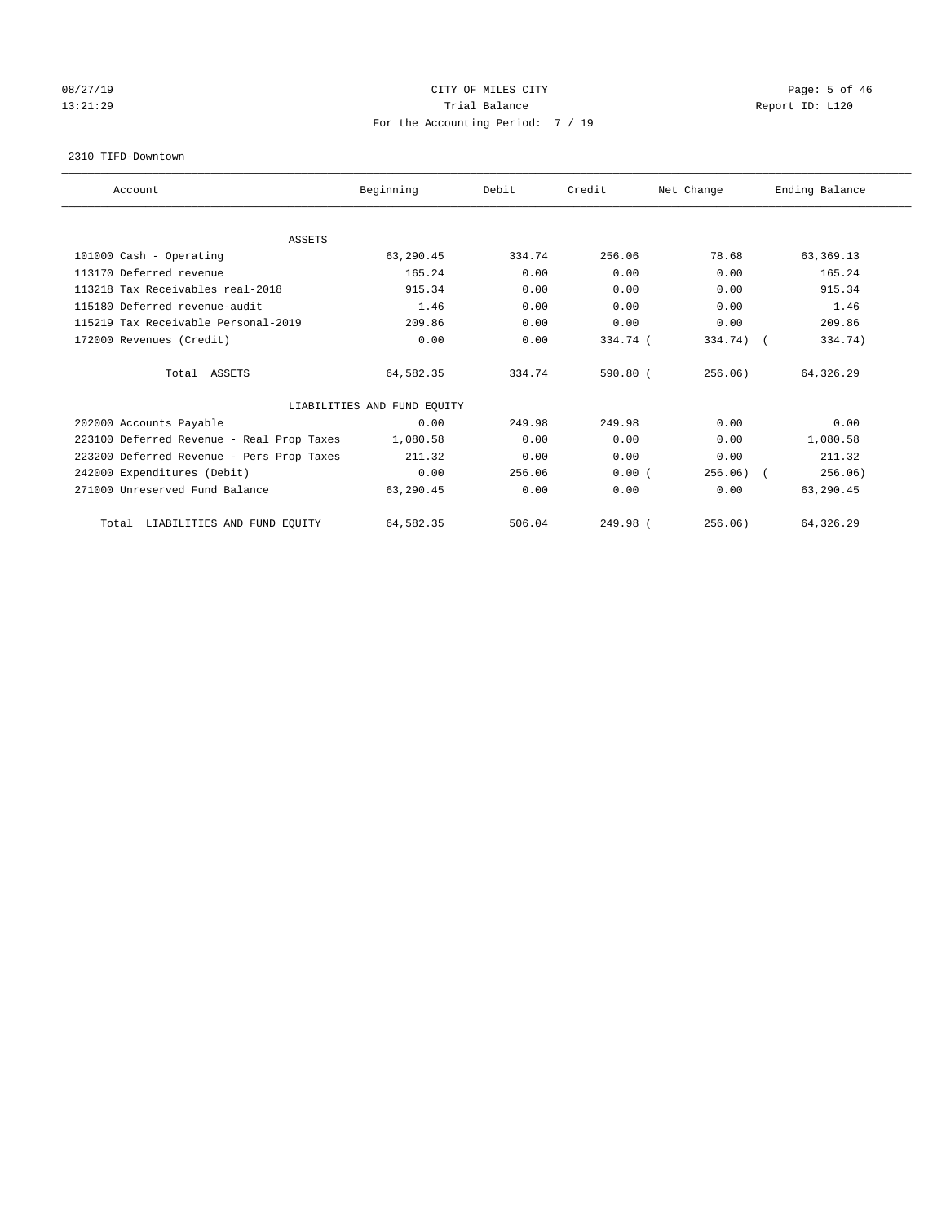# 08/27/19 Page: 5 of 46 13:21:29 **Trial Balance Trial Balance Report ID:** L120 For the Accounting Period: 7 / 19

#### 2310 TIFD-Downtown

| Account                                   | Beginning                   | Debit  | Credit     | Net Change | Ending Balance |
|-------------------------------------------|-----------------------------|--------|------------|------------|----------------|
| <b>ASSETS</b>                             |                             |        |            |            |                |
| 101000 Cash - Operating                   | 63,290.45                   | 334.74 | 256.06     | 78.68      | 63, 369. 13    |
| 113170 Deferred revenue                   | 165.24                      | 0.00   | 0.00       | 0.00       | 165.24         |
| 113218 Tax Receivables real-2018          | 915.34                      | 0.00   | 0.00       | 0.00       | 915.34         |
| 115180 Deferred revenue-audit             | 1.46                        | 0.00   | 0.00       | 0.00       | 1.46           |
| 115219 Tax Receivable Personal-2019       | 209.86                      | 0.00   | 0.00       | 0.00       | 209.86         |
| 172000 Revenues (Credit)                  | 0.00                        | 0.00   | 334.74 (   | 334.74) (  | 334.74)        |
| Total ASSETS                              | 64,582.35                   | 334.74 | $590.80$ ( | 256.06)    | 64,326.29      |
|                                           | LIABILITIES AND FUND EQUITY |        |            |            |                |
| 202000 Accounts Payable                   | 0.00                        | 249.98 | 249.98     | 0.00       | 0.00           |
| 223100 Deferred Revenue - Real Prop Taxes | 1,080.58                    | 0.00   | 0.00       | 0.00       | 1,080.58       |
| 223200 Deferred Revenue - Pers Prop Taxes | 211.32                      | 0.00   | 0.00       | 0.00       | 211.32         |
| 242000 Expenditures (Debit)               | 0.00                        | 256.06 | 0.00(      | 256.06)    | 256.06)        |
| 271000 Unreserved Fund Balance            | 63,290.45                   | 0.00   | 0.00       | 0.00       | 63,290.45      |
| LIABILITIES AND FUND EQUITY<br>Total      | 64,582.35                   | 506.04 | 249.98 (   | 256.06)    | 64,326.29      |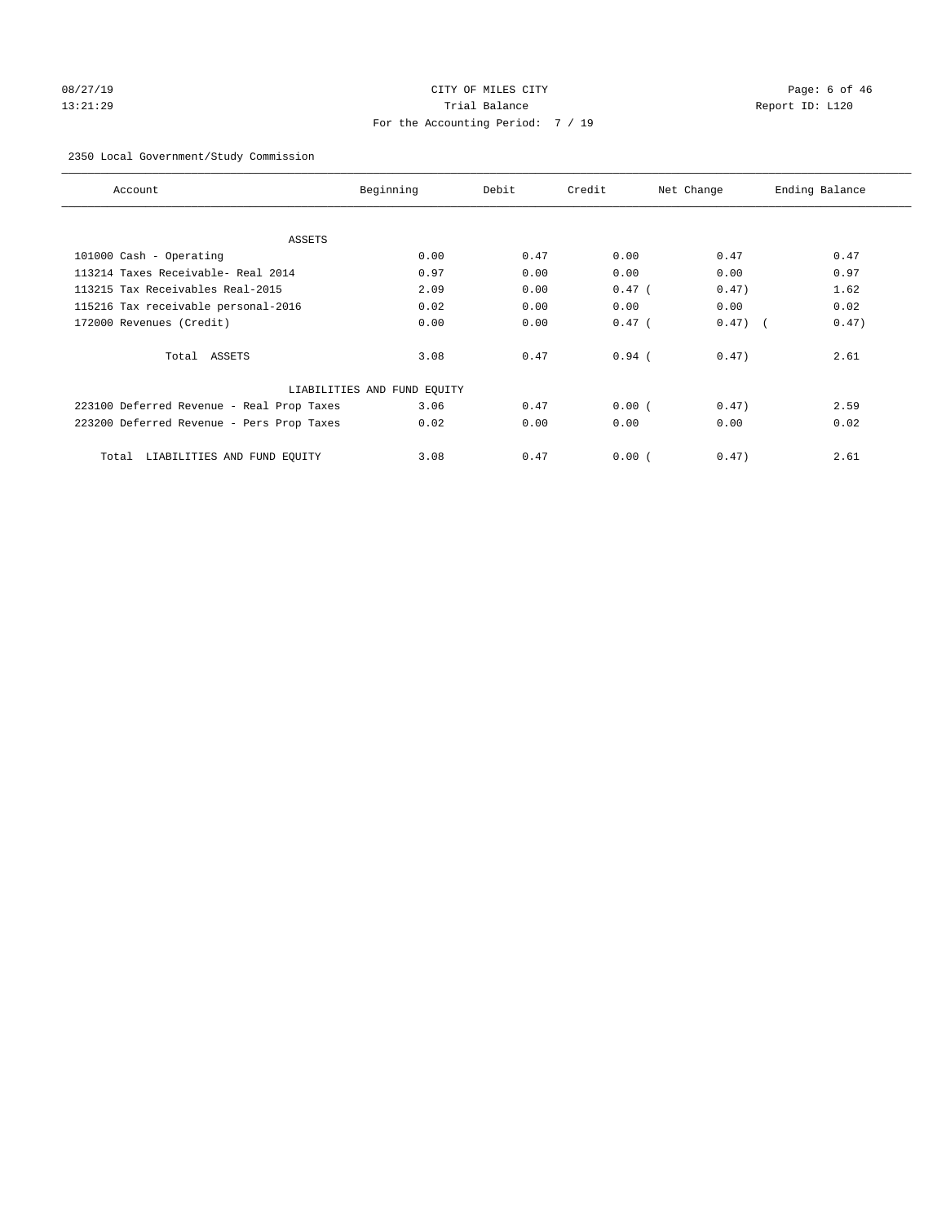# 08/27/19 Page: 6 of 46 13:21:29 Trial Balance Report ID: L120 For the Accounting Period: 7 / 19

#### 2350 Local Government/Study Commission

| Account                                   | Beginning                   | Debit | Credit   | Net Change | Ending Balance |
|-------------------------------------------|-----------------------------|-------|----------|------------|----------------|
| <b>ASSETS</b>                             |                             |       |          |            |                |
| 101000 Cash - Operating                   | 0.00                        | 0.47  | 0.00     | 0.47       | 0.47           |
| 113214 Taxes Receivable- Real 2014        | 0.97                        | 0.00  | 0.00     | 0.00       | 0.97           |
| 113215 Tax Receivables Real-2015          | 2.09                        | 0.00  | $0.47$ ( | 0.47)      | 1.62           |
| 115216 Tax receivable personal-2016       | 0.02                        | 0.00  | 0.00     | 0.00       | 0.02           |
| 172000 Revenues (Credit)                  | 0.00                        | 0.00  | $0.47$ ( | $0.47)$ (  | 0.47)          |
| Total ASSETS                              | 3.08                        | 0.47  | $0.94$ ( | 0.47)      | 2.61           |
|                                           | LIABILITIES AND FUND EQUITY |       |          |            |                |
| 223100 Deferred Revenue - Real Prop Taxes | 3.06                        | 0.47  | 0.00(    | 0.47)      | 2.59           |
| 223200 Deferred Revenue - Pers Prop Taxes | 0.02                        | 0.00  | 0.00     | 0.00       | 0.02           |
| LIABILITIES AND FUND EQUITY<br>Total      | 3.08                        | 0.47  | 0.00(    | 0.47)      | 2.61           |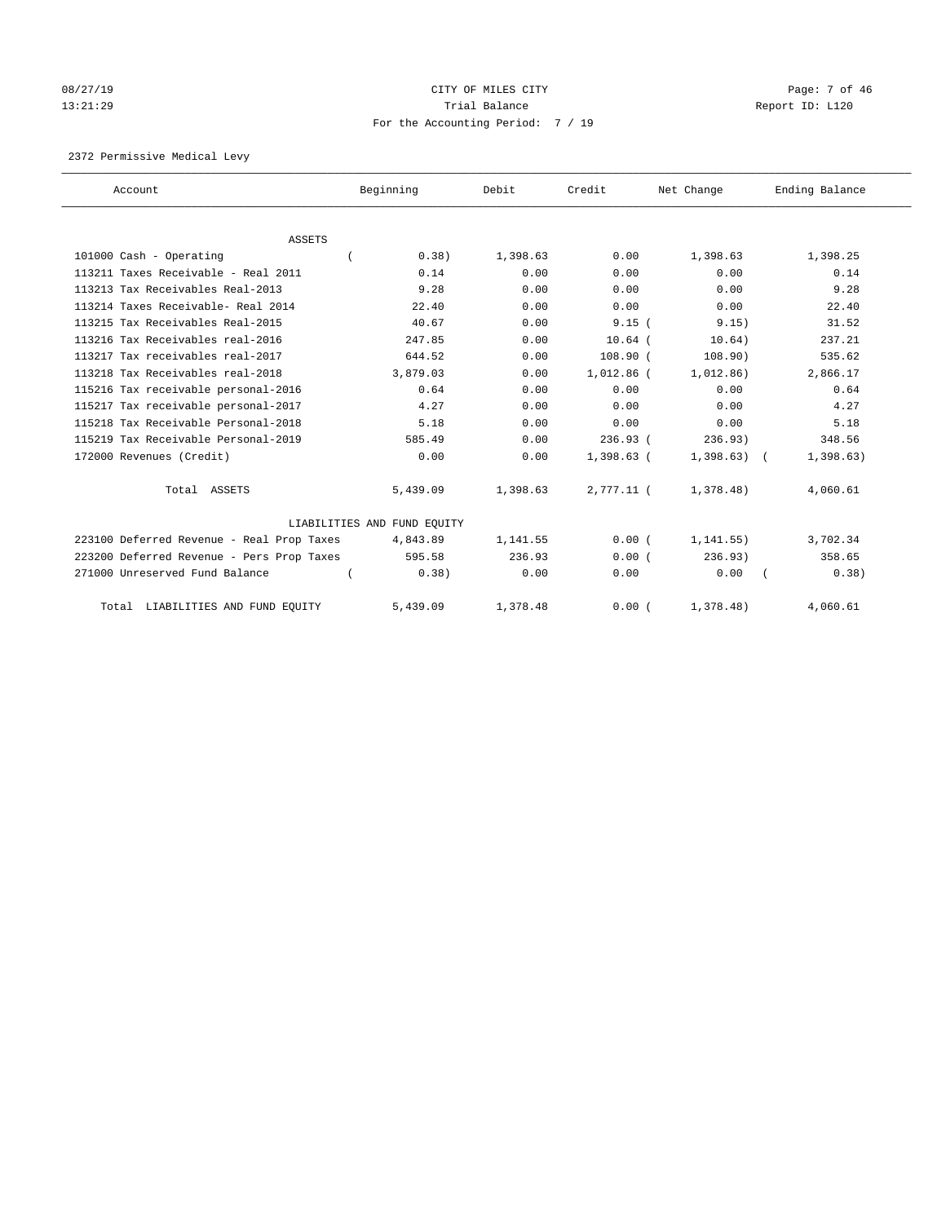# 08/27/19 CITY OF MILES CITY CHANNEL CITY CONTROL Page: 7 of 46 13:21:29 **Trial Balance Trial Balance Report ID:** L120 For the Accounting Period: 7 / 19

2372 Permissive Medical Levy

| Account                                   | Beginning                   | Debit    | Credit       | Net Change | Ending Balance |
|-------------------------------------------|-----------------------------|----------|--------------|------------|----------------|
|                                           |                             |          |              |            |                |
| <b>ASSETS</b>                             |                             |          |              |            |                |
| 101000 Cash - Operating                   | 0.38)                       | 1,398.63 | 0.00         | 1,398.63   | 1,398.25       |
| 113211 Taxes Receivable - Real 2011       | 0.14                        | 0.00     | 0.00         | 0.00       | 0.14           |
| 113213 Tax Receivables Real-2013          | 9.28                        | 0.00     | 0.00         | 0.00       | 9.28           |
| 113214 Taxes Receivable- Real 2014        | 22.40                       | 0.00     | 0.00         | 0.00       | 22.40          |
| 113215 Tax Receivables Real-2015          | 40.67                       | 0.00     | 9.15(        | 9.15)      | 31.52          |
| 113216 Tax Receivables real-2016          | 247.85                      | 0.00     | $10.64$ (    | 10.64)     | 237.21         |
| 113217 Tax receivables real-2017          | 644.52                      | 0.00     | $108.90$ (   | 108.90)    | 535.62         |
| 113218 Tax Receivables real-2018          | 3,879.03                    | 0.00     | 1,012.86 (   | 1,012.86)  | 2,866.17       |
| 115216 Tax receivable personal-2016       | 0.64                        | 0.00     | 0.00         | 0.00       | 0.64           |
| 115217 Tax receivable personal-2017       | 4.27                        | 0.00     | 0.00         | 0.00       | 4.27           |
| 115218 Tax Receivable Personal-2018       | 5.18                        | 0.00     | 0.00         | 0.00       | 5.18           |
| 115219 Tax Receivable Personal-2019       | 585.49                      | 0.00     | 236.93(      | 236.93)    | 348.56         |
| 172000 Revenues (Credit)                  | 0.00                        | 0.00     | $1,398.63$ ( | 1,398.63)  | 1,398.63)      |
| Total ASSETS                              | 5,439.09                    | 1,398.63 | 2,777.11 (   | 1,378.48)  | 4,060.61       |
|                                           | LIABILITIES AND FUND EQUITY |          |              |            |                |
| 223100 Deferred Revenue - Real Prop Taxes | 4,843.89                    | 1,141.55 | 0.00(        | 1, 141.55) | 3,702.34       |
| 223200 Deferred Revenue - Pers Prop Taxes | 595.58                      | 236.93   | 0.00(        | 236.93)    | 358.65         |
| 271000 Unreserved Fund Balance            | 0.38)                       | 0.00     | 0.00         | 0.00       | 0.38)          |
| Total LIABILITIES AND FUND EQUITY         | 5,439.09                    | 1,378.48 | 0.00(        | 1,378.48)  | 4,060.61       |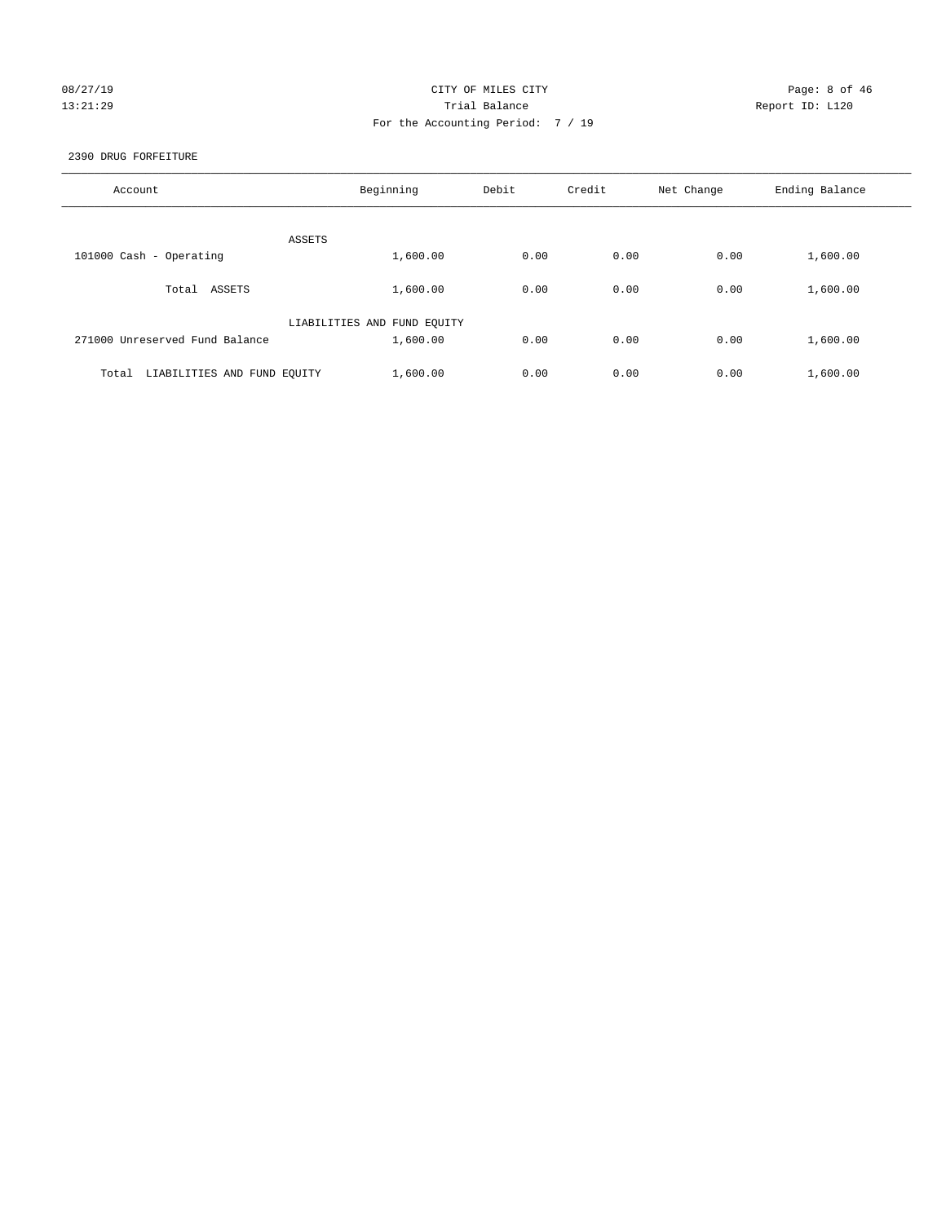# 08/27/19 CITY OF MILES CITY CHANNEL CONTROL Page: 8 of 46 13:21:29 **Trial Balance Trial Balance Report ID:** L120 For the Accounting Period: 7 / 19

2390 DRUG FORFEITURE

| Account                              | Beginning                   | Debit | Credit | Net Change | Ending Balance |
|--------------------------------------|-----------------------------|-------|--------|------------|----------------|
| ASSETS                               |                             |       |        |            |                |
| 101000 Cash - Operating              | 1,600.00                    | 0.00  | 0.00   | 0.00       | 1,600.00       |
| ASSETS<br>Total                      | 1,600.00                    | 0.00  | 0.00   | 0.00       | 1,600.00       |
|                                      | LIABILITIES AND FUND EQUITY |       |        |            |                |
| 271000 Unreserved Fund Balance       | 1,600.00                    | 0.00  | 0.00   | 0.00       | 1,600.00       |
| LIABILITIES AND FUND EQUITY<br>Total | 1,600.00                    | 0.00  | 0.00   | 0.00       | 1,600.00       |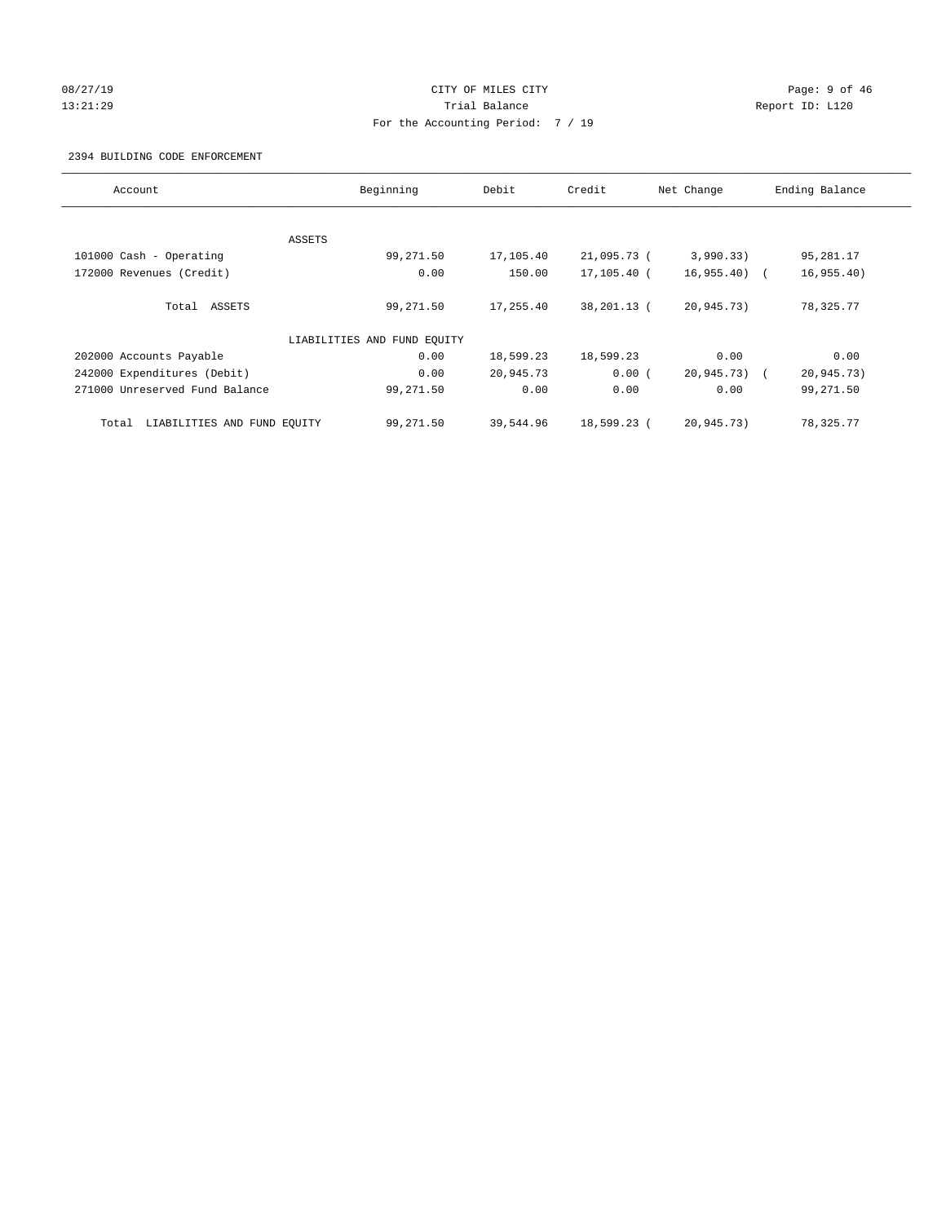# 08/27/19 Page: 9 of 46 13:21:29 **Trial Balance Trial Balance Report ID:** L120 For the Accounting Period: 7 / 19

#### 2394 BUILDING CODE ENFORCEMENT

| Account                              | Beginning                   | Debit     | Credit      | Net Change    | Ending Balance |
|--------------------------------------|-----------------------------|-----------|-------------|---------------|----------------|
|                                      |                             |           |             |               |                |
|                                      | ASSETS                      |           |             |               |                |
| 101000 Cash - Operating              | 99,271.50                   | 17,105.40 | 21,095.73 ( | 3,990.33)     | 95,281.17      |
| 172000 Revenues (Credit)             | 0.00                        | 150.00    | 17,105.40 ( | $16,955.40$ ( | 16, 955.40)    |
| Total ASSETS                         | 99,271.50                   | 17,255.40 | 38,201.13 ( | 20,945.73)    | 78,325.77      |
|                                      | LIABILITIES AND FUND EQUITY |           |             |               |                |
| 202000 Accounts Payable              | 0.00                        | 18,599.23 | 18,599.23   | 0.00          | 0.00           |
| 242000 Expenditures (Debit)          | 0.00                        | 20,945.73 | 0.00(       | 20,945.73) (  | 20,945.73)     |
| 271000 Unreserved Fund Balance       | 99,271.50                   | 0.00      | 0.00        | 0.00          | 99,271.50      |
| LIABILITIES AND FUND EQUITY<br>Total | 99,271.50                   | 39,544.96 | 18,599.23 ( | 20,945.73)    | 78,325.77      |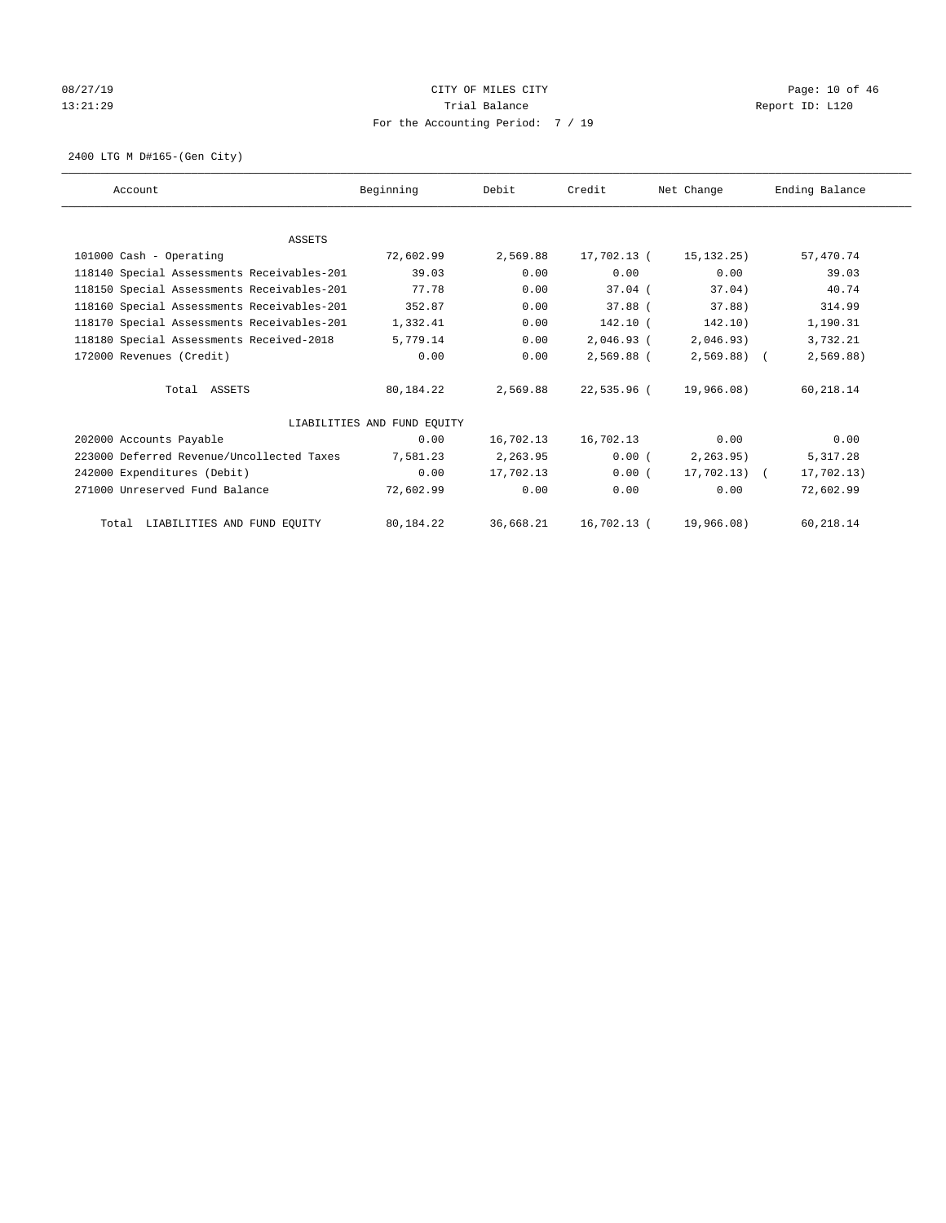# 08/27/19 Page: 10 of 46 13:21:29 **Trial Balance Trial Balance Report ID:** L120 For the Accounting Period: 7 / 19

2400 LTG M D#165-(Gen City)

| Account                                    | Beginning                   | Debit     | Credit        | Net Change   | Ending Balance |
|--------------------------------------------|-----------------------------|-----------|---------------|--------------|----------------|
|                                            |                             |           |               |              |                |
| <b>ASSETS</b>                              |                             |           |               |              |                |
| 101000 Cash - Operating                    | 72,602.99                   | 2,569.88  | 17,702.13 (   | 15, 132. 25) | 57,470.74      |
| 118140 Special Assessments Receivables-201 | 39.03                       | 0.00      | 0.00          | 0.00         | 39.03          |
| 118150 Special Assessments Receivables-201 | 77.78                       | 0.00      | $37.04$ (     | 37.04)       | 40.74          |
| 118160 Special Assessments Receivables-201 | 352.87                      | 0.00      | $37.88$ (     | 37.88)       | 314.99         |
| 118170 Special Assessments Receivables-201 | 1,332.41                    | 0.00      | 142.10 (      | 142.10)      | 1,190.31       |
| 118180 Special Assessments Received-2018   | 5,779.14                    | 0.00      | 2,046.93 (    | 2,046.93)    | 3,732.21       |
| 172000 Revenues (Credit)                   | 0.00                        | 0.00      | 2,569.88 (    | $2,569.88$ ( | 2,569.88)      |
| Total ASSETS                               | 80,184.22                   | 2,569.88  | 22,535.96 (   | 19,966.08)   | 60,218.14      |
|                                            | LIABILITIES AND FUND EQUITY |           |               |              |                |
| 202000 Accounts Payable                    | 0.00                        | 16,702.13 | 16,702.13     | 0.00         | 0.00           |
| 223000 Deferred Revenue/Uncollected Taxes  | 7,581.23                    | 2,263.95  | 0.00(         | 2, 263.95)   | 5, 317.28      |
| 242000 Expenditures (Debit)                | 0.00                        | 17,702.13 | 0.00(         | 17,702.13) ( | 17,702.13)     |
| 271000 Unreserved Fund Balance             | 72,602.99                   | 0.00      | 0.00          | 0.00         | 72,602.99      |
| Total LIABILITIES AND FUND EQUITY          | 80,184.22                   | 36,668.21 | $16,702.13$ ( | 19,966.08)   | 60,218.14      |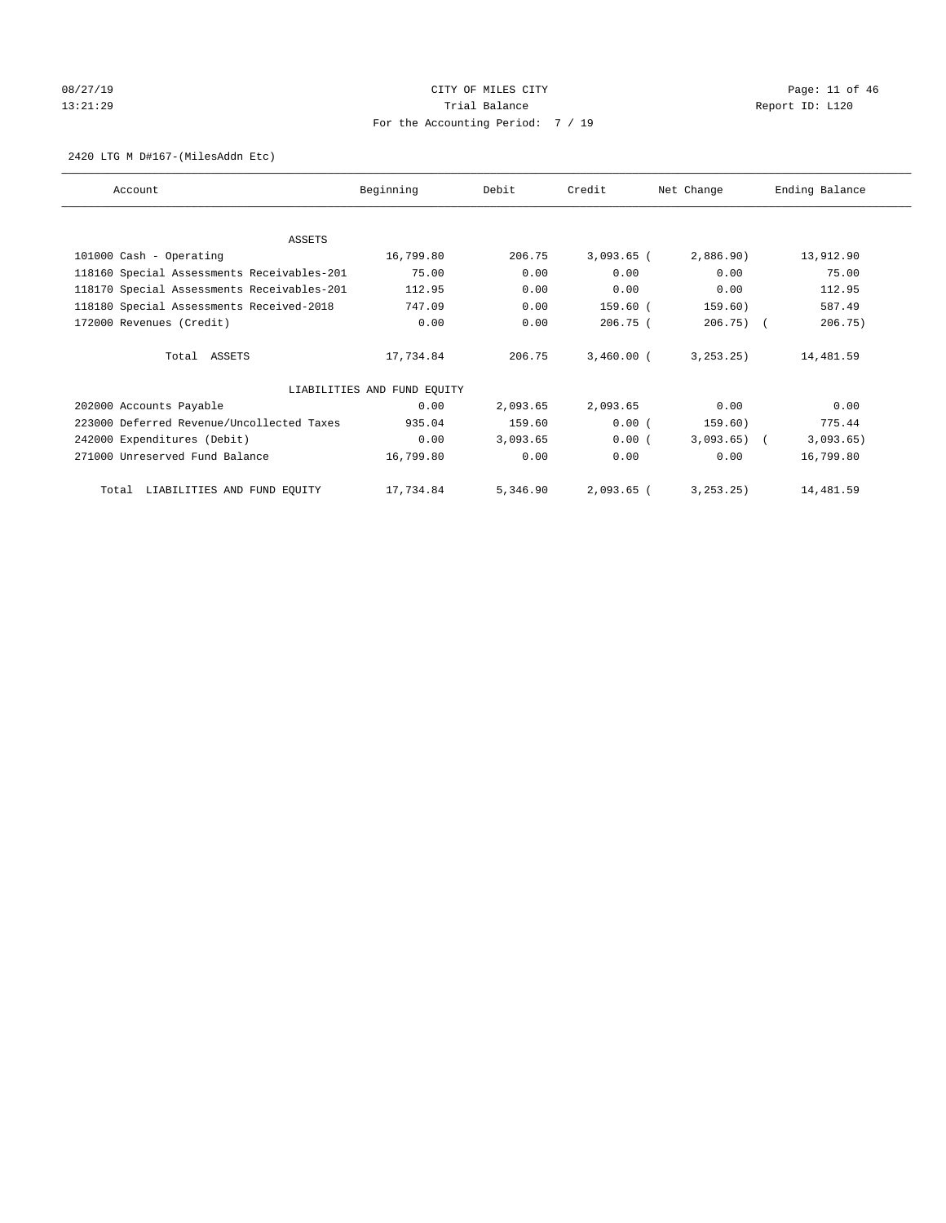# 08/27/19 Page: 11 of 46 13:21:29 **Trial Balance Trial Balance Report ID:** L120 For the Accounting Period: 7 / 19

#### 2420 LTG M D#167-(MilesAddn Etc)

| Account                                    | Beginning                   | Debit    | Credit       | Net Change   | Ending Balance |
|--------------------------------------------|-----------------------------|----------|--------------|--------------|----------------|
|                                            |                             |          |              |              |                |
| <b>ASSETS</b>                              | 16,799.80                   | 206.75   | $3,093.65$ ( | 2,886.90)    | 13,912.90      |
| 101000 Cash - Operating                    |                             |          |              |              |                |
| 118160 Special Assessments Receivables-201 | 75.00                       | 0.00     | 0.00         | 0.00         | 75.00          |
| 118170 Special Assessments Receivables-201 | 112.95                      | 0.00     | 0.00         | 0.00         | 112.95         |
| 118180 Special Assessments Received-2018   | 747.09                      | 0.00     | 159.60 (     | 159.60)      | 587.49         |
| 172000 Revenues (Credit)                   | 0.00                        | 0.00     | $206.75$ (   | $206.75$ ) ( | 206.75)        |
| Total ASSETS                               | 17,734.84                   | 206.75   | $3,460.00$ ( | 3, 253, 25)  | 14,481.59      |
|                                            | LIABILITIES AND FUND EQUITY |          |              |              |                |
| 202000 Accounts Payable                    | 0.00                        | 2,093.65 | 2,093.65     | 0.00         | 0.00           |
| 223000 Deferred Revenue/Uncollected Taxes  | 935.04                      | 159.60   | 0.00(        | 159.60)      | 775.44         |
| 242000 Expenditures (Debit)                | 0.00                        | 3,093.65 | 0.00(        | $3,093.65$ ( | 3,093.65)      |
| 271000 Unreserved Fund Balance             | 16,799.80                   | 0.00     | 0.00         | 0.00         | 16,799.80      |
| Total LIABILITIES AND FUND EQUITY          | 17,734.84                   | 5,346.90 | $2,093.65$ ( | 3, 253, 25)  | 14,481.59      |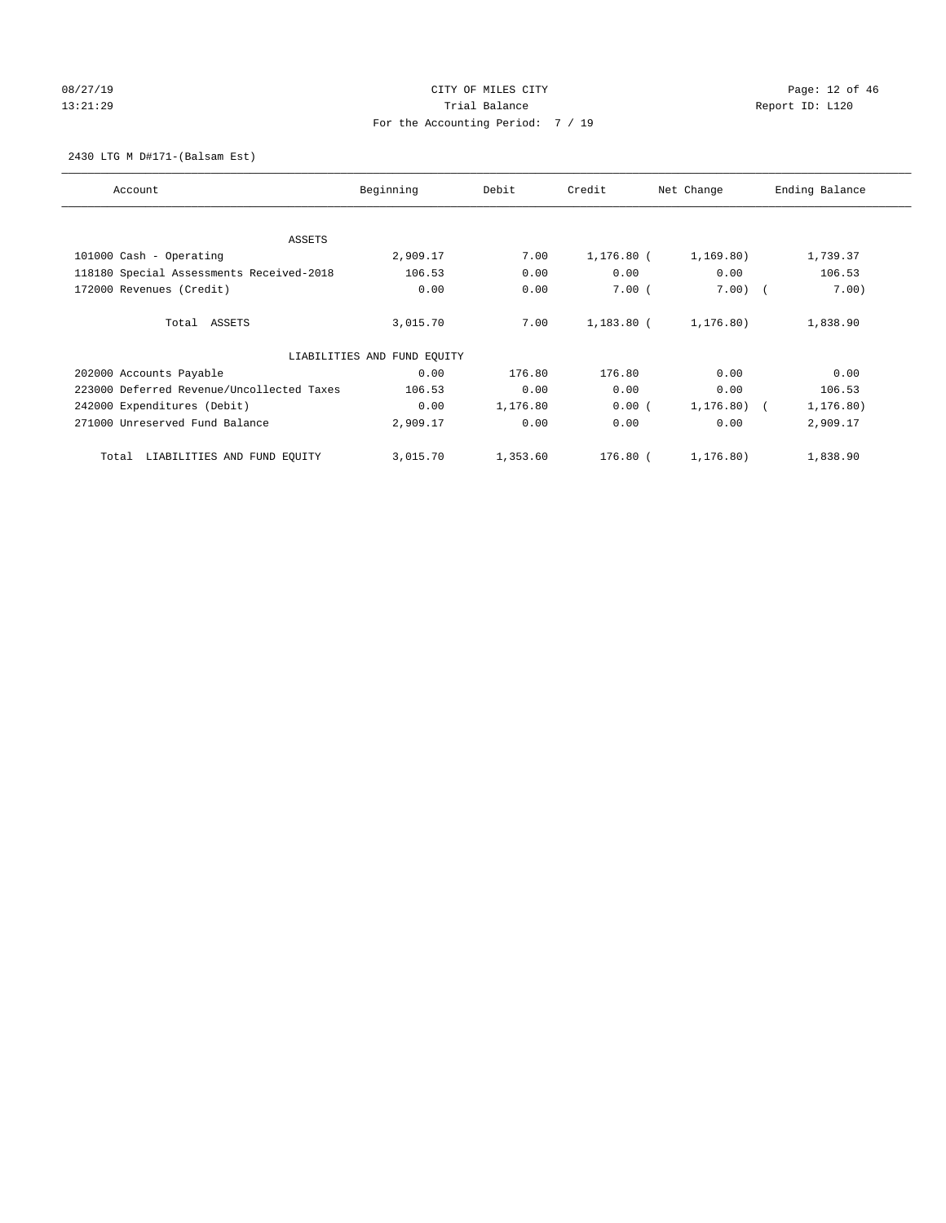# 08/27/19 Page: 12 of 46 13:21:29 **Trial Balance Trial Balance Report ID:** L120 For the Accounting Period: 7 / 19

2430 LTG M D#171-(Balsam Est)

| Account                                   | Beginning                   | Debit    | Credit       | Net Change  | Ending Balance |
|-------------------------------------------|-----------------------------|----------|--------------|-------------|----------------|
| ASSETS                                    |                             |          |              |             |                |
| 101000 Cash - Operating                   | 2,909.17                    | 7.00     | $1,176.80$ ( | 1, 169.80)  | 1,739.37       |
| 118180 Special Assessments Received-2018  | 106.53                      | 0.00     | 0.00         | 0.00        | 106.53         |
| 172000 Revenues (Credit)                  | 0.00                        | 0.00     | 7.00(        | $7.00)$ (   | 7.00)          |
| Total ASSETS                              | 3,015.70                    | 7.00     | 1,183.80 (   | 1,176.80)   | 1,838.90       |
|                                           | LIABILITIES AND FUND EQUITY |          |              |             |                |
| 202000 Accounts Payable                   | 0.00                        | 176.80   | 176.80       | 0.00        | 0.00           |
| 223000 Deferred Revenue/Uncollected Taxes | 106.53                      | 0.00     | 0.00         | 0.00        | 106.53         |
| 242000 Expenditures (Debit)               | 0.00                        | 1,176.80 | 0.00(        | 1,176.80) ( | 1, 176.80)     |
| 271000 Unreserved Fund Balance            | 2,909.17                    | 0.00     | 0.00         | 0.00        | 2,909.17       |
| LIABILITIES AND FUND EQUITY<br>Total      | 3,015.70                    | 1,353.60 | $176.80$ (   | 1, 176.80)  | 1,838.90       |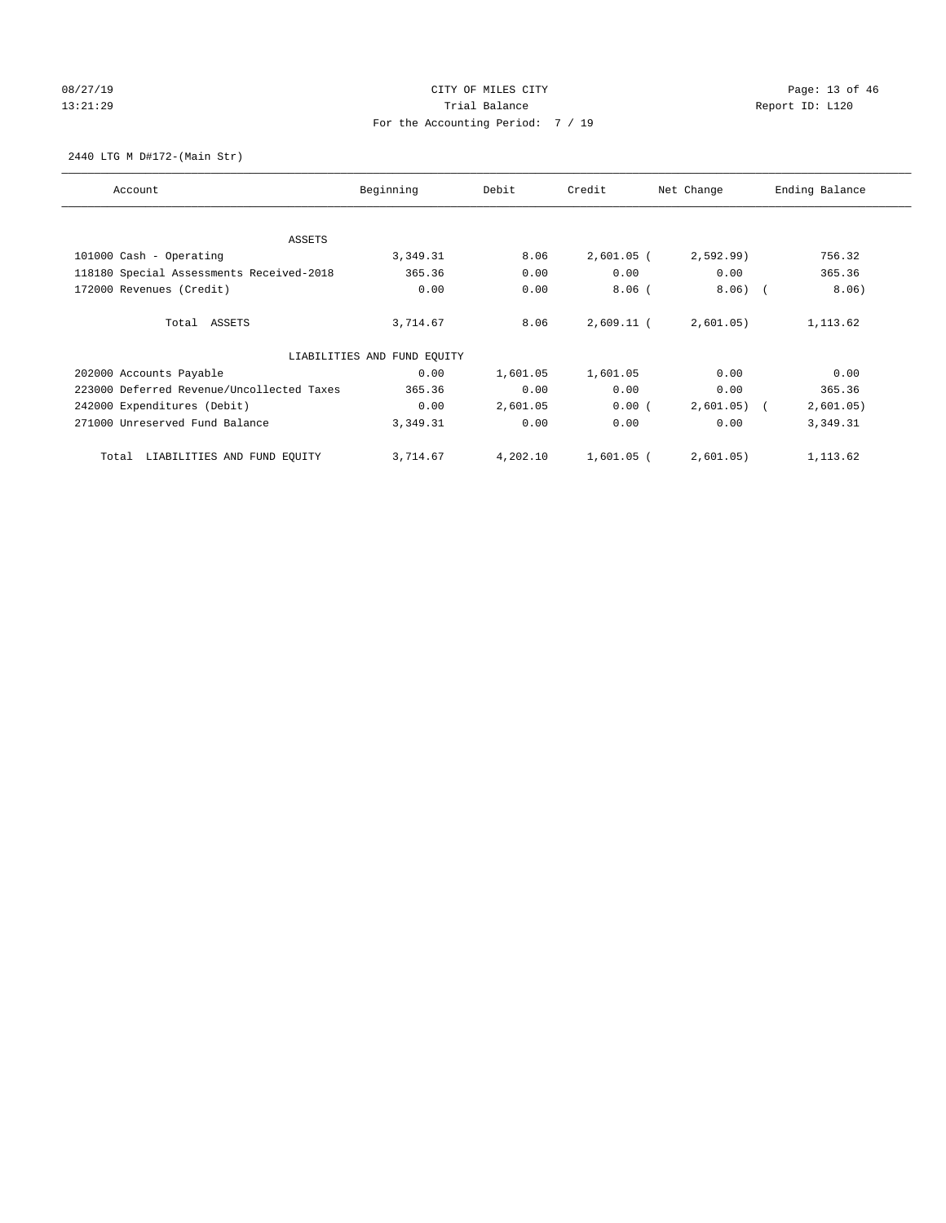# 08/27/19 Page: 13 of 46 13:21:29 **Trial Balance Trial Balance Report ID:** L120 For the Accounting Period: 7 / 19

2440 LTG M D#172-(Main Str)

| Account                                   | Beginning                   | Debit    | Credit       | Net Change    | Ending Balance |
|-------------------------------------------|-----------------------------|----------|--------------|---------------|----------------|
| ASSETS                                    |                             |          |              |               |                |
| 101000 Cash - Operating                   | 3,349.31                    | 8.06     | $2,601.05$ ( | 2,592.99      | 756.32         |
| 118180 Special Assessments Received-2018  | 365.36                      | 0.00     | 0.00         | 0.00          | 365.36         |
| 172000 Revenues (Credit)                  | 0.00                        | 0.00     | $8.06$ (     | 8.06)         | 8.06)          |
| Total ASSETS                              | 3,714.67                    | 8.06     | $2,609.11$ ( | 2,601.05)     | 1,113.62       |
|                                           | LIABILITIES AND FUND EQUITY |          |              |               |                |
| 202000 Accounts Payable                   | 0.00                        | 1,601.05 | 1,601.05     | 0.00          | 0.00           |
| 223000 Deferred Revenue/Uncollected Taxes | 365.36                      | 0.00     | 0.00         | 0.00          | 365.36         |
| 242000 Expenditures (Debit)               | 0.00                        | 2,601.05 | 0.00(        | $2,601.05)$ ( | 2,601.05)      |
| 271000 Unreserved Fund Balance            | 3,349.31                    | 0.00     | 0.00         | 0.00          | 3,349.31       |
| LIABILITIES AND FUND EQUITY<br>Total      | 3,714.67                    | 4,202.10 | 1,601.05 (   | 2,601.05)     | 1,113.62       |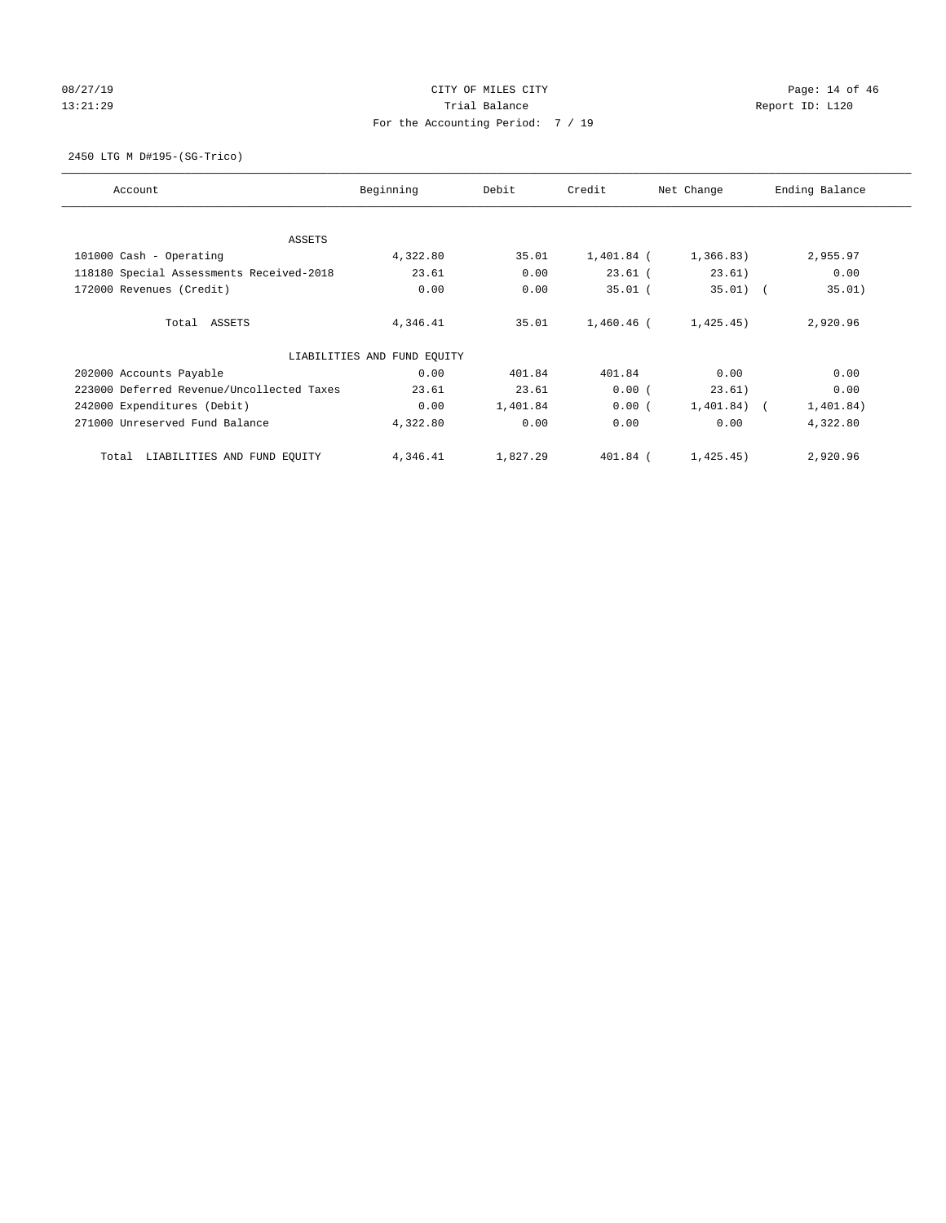# 08/27/19 Page: 14 of 46 13:21:29 **Trial Balance Trial Balance Report ID:** L120 For the Accounting Period: 7 / 19

2450 LTG M D#195-(SG-Trico)

| Account                                   | Beginning                   | Debit    | Credit     | Net Change     | Ending Balance |
|-------------------------------------------|-----------------------------|----------|------------|----------------|----------------|
| ASSETS                                    |                             |          |            |                |                |
| 101000 Cash - Operating                   | 4,322.80                    | 35.01    | 1,401.84 ( | 1,366.83)      | 2,955.97       |
| 118180 Special Assessments Received-2018  | 23.61                       | 0.00     | $23.61$ (  | 23.61)         | 0.00           |
| 172000 Revenues (Credit)                  | 0.00                        | 0.00     | $35.01$ (  | $35.01)$ (     | 35.01)         |
| Total ASSETS                              | 4,346.41                    | 35.01    | 1,460.46 ( | 1,425.45)      | 2,920.96       |
|                                           | LIABILITIES AND FUND EQUITY |          |            |                |                |
| 202000 Accounts Payable                   | 0.00                        | 401.84   | 401.84     | 0.00           | 0.00           |
| 223000 Deferred Revenue/Uncollected Taxes | 23.61                       | 23.61    | 0.00(      | 23.61)         | 0.00           |
| 242000 Expenditures (Debit)               | 0.00                        | 1,401.84 | 0.00(      | $1,401.84$ ) ( | 1,401.84)      |
| 271000 Unreserved Fund Balance            | 4,322.80                    | 0.00     | 0.00       | 0.00           | 4,322.80       |
| LIABILITIES AND FUND EQUITY<br>Total      | 4,346.41                    | 1,827.29 | 401.84 (   | 1,425.45)      | 2,920.96       |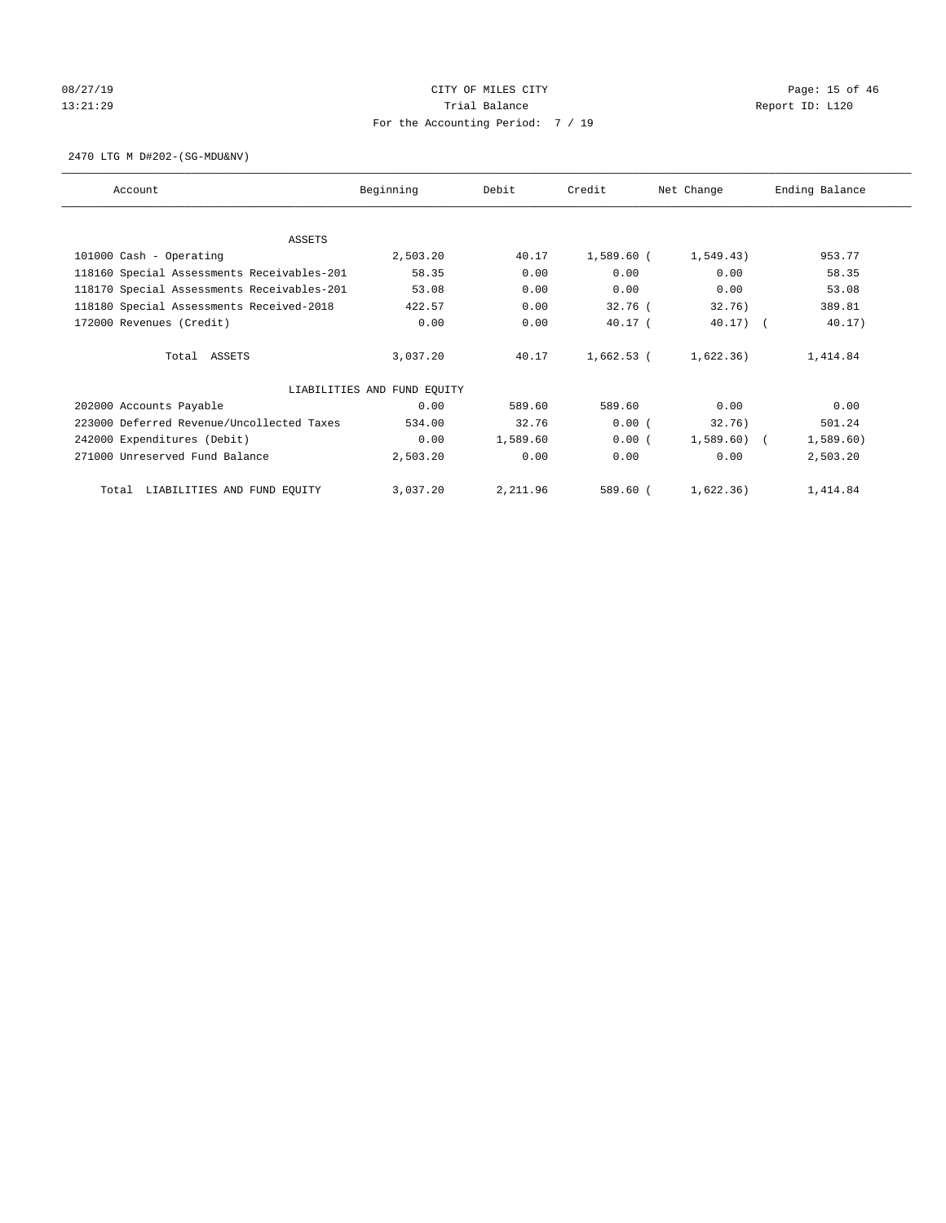# 08/27/19 Page: 15 of 46 13:21:29 **Trial Balance Trial Balance Report ID:** L120 For the Accounting Period: 7 / 19

2470 LTG M D#202-(SG-MDU&NV)

| Account                                    | Beginning                   | Debit    | Credit     | Net Change  | Ending Balance |
|--------------------------------------------|-----------------------------|----------|------------|-------------|----------------|
|                                            |                             |          |            |             |                |
| ASSETS                                     |                             |          |            |             |                |
| 101000 Cash - Operating                    | 2,503.20                    | 40.17    | 1,589.60 ( | 1,549.43)   | 953.77         |
| 118160 Special Assessments Receivables-201 | 58.35                       | 0.00     | 0.00       | 0.00        | 58.35          |
| 118170 Special Assessments Receivables-201 | 53.08                       | 0.00     | 0.00       | 0.00        | 53.08          |
| 118180 Special Assessments Received-2018   | 422.57                      | 0.00     | $32.76$ (  | 32.76)      | 389.81         |
| 172000 Revenues (Credit)                   | 0.00                        | 0.00     | $40.17$ (  | $40.17)$ (  | 40.17)         |
| Total ASSETS                               | 3,037.20                    | 40.17    | 1,662.53 ( | 1,622.36)   | 1,414.84       |
|                                            | LIABILITIES AND FUND EQUITY |          |            |             |                |
| 202000 Accounts Payable                    | 0.00                        | 589.60   | 589.60     | 0.00        | 0.00           |
| 223000 Deferred Revenue/Uncollected Taxes  | 534.00                      | 32.76    | 0.00(      | 32.76)      | 501.24         |
| 242000 Expenditures (Debit)                | 0.00                        | 1,589.60 | 0.00(      | 1,589.60) ( | 1,589.60)      |
| 271000 Unreserved Fund Balance             | 2,503.20                    | 0.00     | 0.00       | 0.00        | 2,503.20       |
| LIABILITIES AND FUND EQUITY<br>Total       | 3,037.20                    | 2,211.96 | 589.60 (   | 1,622.36)   | 1,414.84       |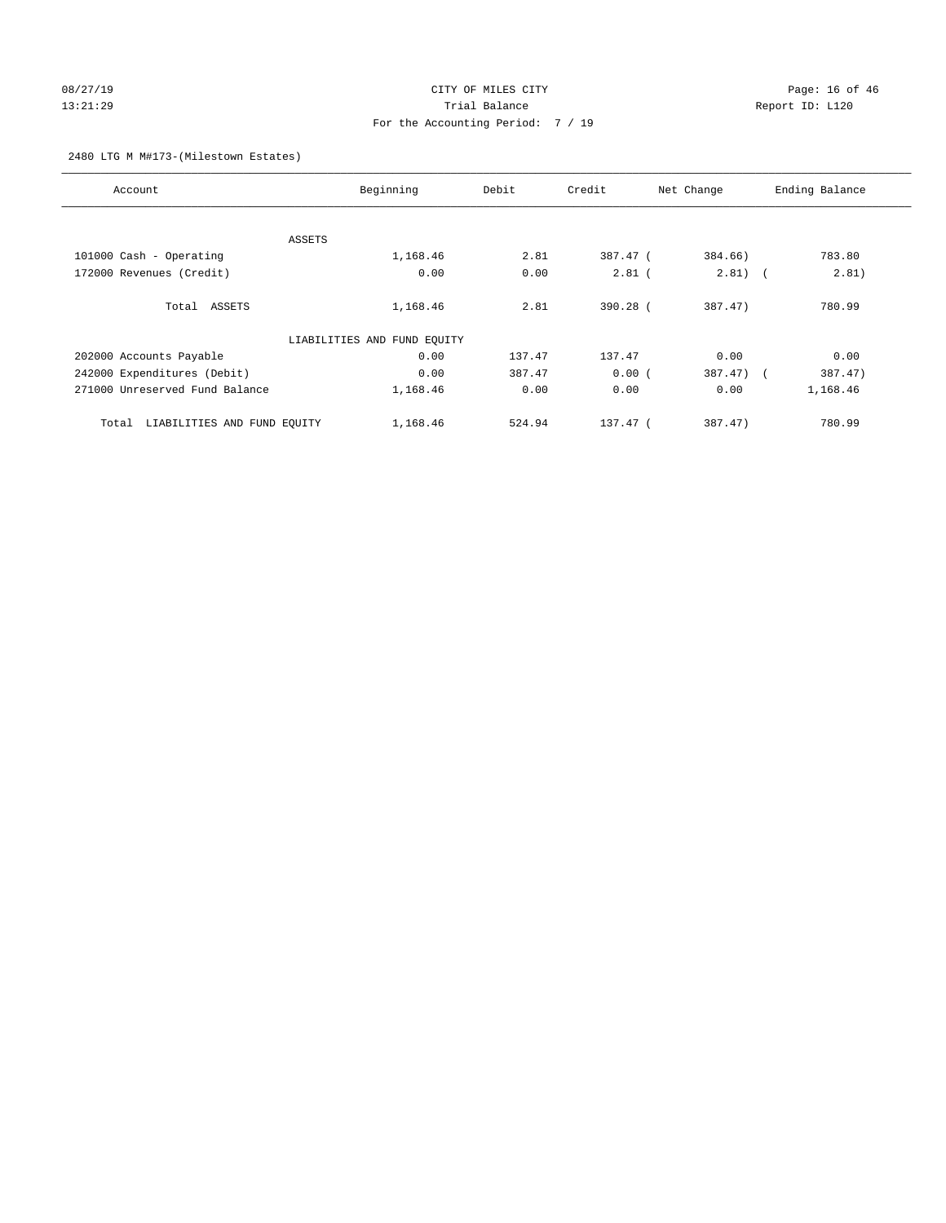# 08/27/19 Page: 16 of 46 13:21:29 Trial Balance Report ID: L120 For the Accounting Period: 7 / 19

#### 2480 LTG M M#173-(Milestown Estates)

| Account                              | Beginning                   | Debit  | Credit   | Net Change | Ending Balance |
|--------------------------------------|-----------------------------|--------|----------|------------|----------------|
|                                      |                             |        |          |            |                |
|                                      | ASSETS                      |        |          |            |                |
| 101000 Cash - Operating              | 1,168.46                    | 2.81   | 387.47 ( | 384.66)    | 783.80         |
| 172000 Revenues (Credit)             | 0.00                        | 0.00   | $2.81$ ( | $2.81)$ (  | 2.81)          |
| Total ASSETS                         | 1,168.46                    | 2.81   | 390.28 ( | 387.47)    | 780.99         |
|                                      | LIABILITIES AND FUND EQUITY |        |          |            |                |
| 202000 Accounts Payable              | 0.00                        | 137.47 | 137.47   | 0.00       | 0.00           |
| 242000 Expenditures (Debit)          | 0.00                        | 387.47 | 0.00(    | 387.47) (  | 387.47)        |
| 271000 Unreserved Fund Balance       | 1,168.46                    | 0.00   | 0.00     | 0.00       | 1,168.46       |
| LIABILITIES AND FUND EQUITY<br>Total | 1,168.46                    | 524.94 | 137.47 ( | 387.47)    | 780.99         |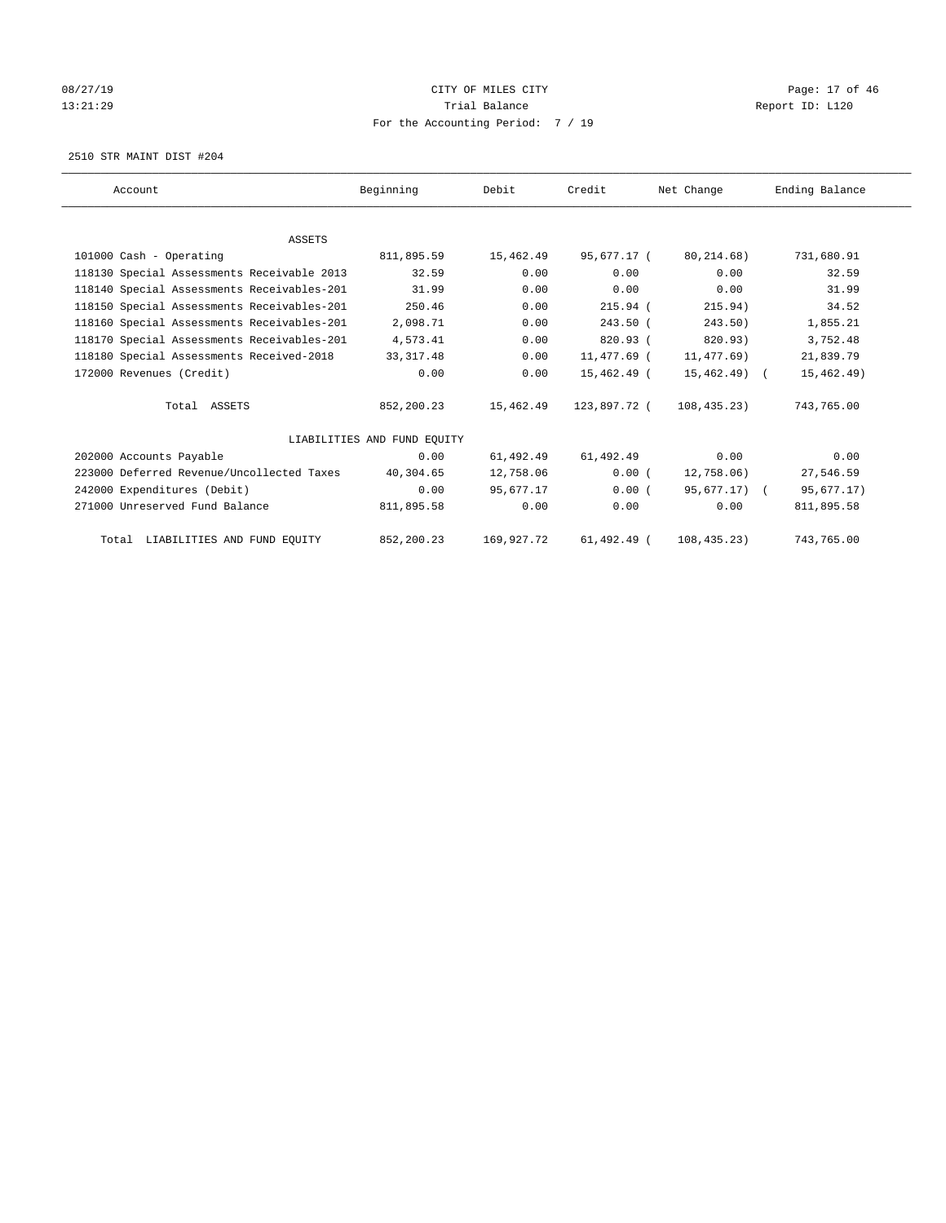# 08/27/19 Page: 17 of 46 13:21:29 **Trial Balance Trial Balance Report ID:** L120 For the Accounting Period: 7 / 19

2510 STR MAINT DIST #204

| Account                                    | Beginning                   | Debit      | Credit       | Net Change    | Ending Balance |
|--------------------------------------------|-----------------------------|------------|--------------|---------------|----------------|
|                                            |                             |            |              |               |                |
| <b>ASSETS</b>                              |                             |            |              |               |                |
| 101000 Cash - Operating                    | 811,895.59                  | 15,462.49  | 95,677.17 (  | 80, 214.68)   | 731,680.91     |
| 118130 Special Assessments Receivable 2013 | 32.59                       | 0.00       | 0.00         | 0.00          | 32.59          |
| 118140 Special Assessments Receivables-201 | 31.99                       | 0.00       | 0.00         | 0.00          | 31.99          |
| 118150 Special Assessments Receivables-201 | 250.46                      | 0.00       | $215.94$ (   | 215.94)       | 34.52          |
| 118160 Special Assessments Receivables-201 | 2,098.71                    | 0.00       | $243.50$ (   | 243.50        | 1,855.21       |
| 118170 Special Assessments Receivables-201 | 4,573.41                    | 0.00       | 820.93(      | 820.93)       | 3,752.48       |
| 118180 Special Assessments Received-2018   | 33, 317.48                  | 0.00       | 11,477.69 (  | 11,477.69)    | 21,839.79      |
| 172000 Revenues (Credit)                   | 0.00                        | 0.00       | 15,462.49 (  | $15,462.49$ ( | 15, 462.49)    |
| Total ASSETS                               | 852,200.23                  | 15,462.49  | 123,897.72 ( | 108, 435, 23) | 743,765.00     |
|                                            | LIABILITIES AND FUND EQUITY |            |              |               |                |
| 202000 Accounts Payable                    | 0.00                        | 61,492.49  | 61,492.49    | 0.00          | 0.00           |
| 223000 Deferred Revenue/Uncollected Taxes  | 40,304.65                   | 12,758.06  | 0.00(        | 12,758.06)    | 27,546.59      |
| 242000 Expenditures (Debit)                | 0.00                        | 95,677.17  | 0.00(        | 95,677.17) (  | 95,677.17)     |
| 271000 Unreserved Fund Balance             | 811,895.58                  | 0.00       | 0.00         | 0.00          | 811,895.58     |
| Total LIABILITIES AND FUND EQUITY          | 852,200.23                  | 169,927.72 | 61,492.49 (  | 108, 435.23)  | 743,765.00     |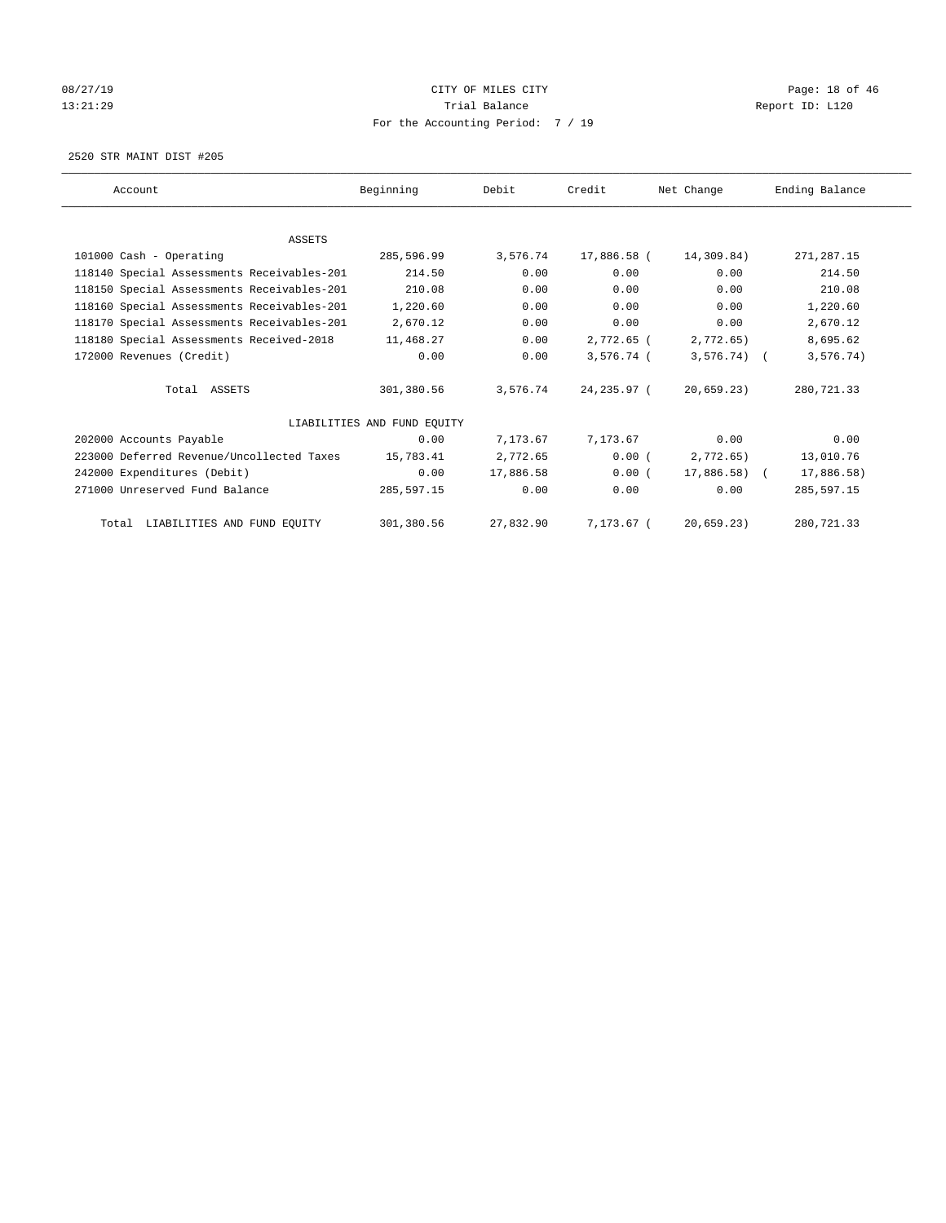# 08/27/19 Page: 18 of 46 13:21:29 **Trial Balance Trial Balance Report ID:** L120 For the Accounting Period: 7 / 19

2520 STR MAINT DIST #205

| Account                                    | Beginning                   | Debit     | Credit       | Net Change    | Ending Balance |
|--------------------------------------------|-----------------------------|-----------|--------------|---------------|----------------|
|                                            |                             |           |              |               |                |
| <b>ASSETS</b>                              |                             |           |              |               |                |
| 101000 Cash - Operating                    | 285,596.99                  | 3,576.74  | 17,886.58 (  | 14,309.84)    | 271, 287.15    |
| 118140 Special Assessments Receivables-201 | 214.50                      | 0.00      | 0.00         | 0.00          | 214.50         |
| 118150 Special Assessments Receivables-201 | 210.08                      | 0.00      | 0.00         | 0.00          | 210.08         |
| 118160 Special Assessments Receivables-201 | 1,220.60                    | 0.00      | 0.00         | 0.00          | 1,220.60       |
| 118170 Special Assessments Receivables-201 | 2,670.12                    | 0.00      | 0.00         | 0.00          | 2,670.12       |
| 118180 Special Assessments Received-2018   | 11,468.27                   | 0.00      | 2,772.65 (   | 2,772.65)     | 8,695.62       |
| 172000 Revenues (Credit)                   | 0.00                        | 0.00      | $3,576.74$ ( | $3,576.74$ (  | 3, 576.74)     |
| Total ASSETS                               | 301,380.56                  | 3,576.74  | 24,235.97 (  | 20,659.23)    | 280,721.33     |
|                                            | LIABILITIES AND FUND EQUITY |           |              |               |                |
| 202000 Accounts Payable                    | 0.00                        | 7,173.67  | 7,173.67     | 0.00          | 0.00           |
| 223000 Deferred Revenue/Uncollected Taxes  | 15,783.41                   | 2,772.65  | 0.00(        | 2,772.65)     | 13,010.76      |
| 242000 Expenditures (Debit)                | 0.00                        | 17,886.58 | 0.00(        | $17,886.58$ ( | 17,886.58)     |
| 271000 Unreserved Fund Balance             | 285,597.15                  | 0.00      | 0.00         | 0.00          | 285,597.15     |
| Total LIABILITIES AND FUND EQUITY          | 301,380.56                  | 27,832.90 | 7,173.67 (   | 20,659.23)    | 280,721.33     |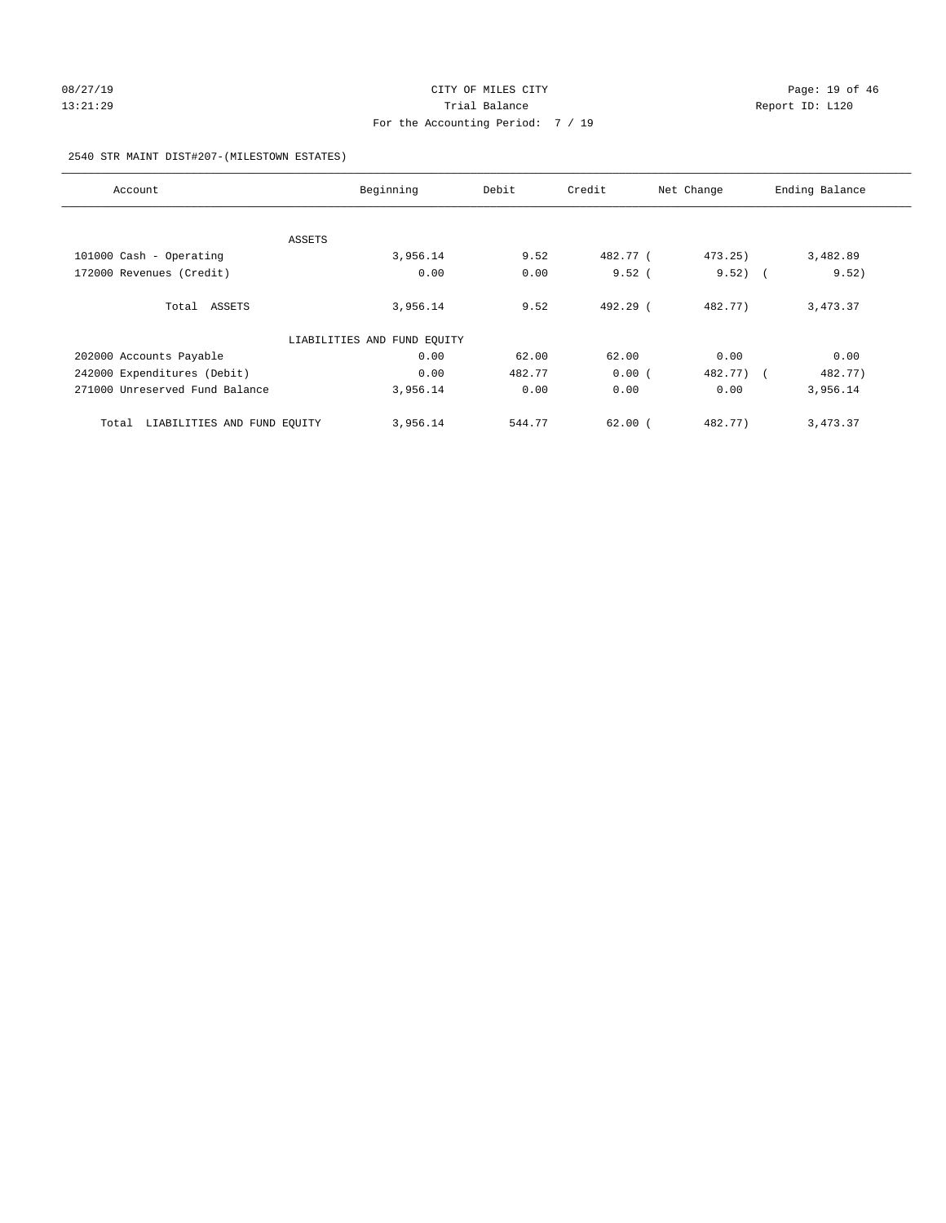# 08/27/19 Page: 19 of 46 13:21:29 **Trial Balance Trial Balance Report ID:** L120 For the Accounting Period: 7 / 19

#### 2540 STR MAINT DIST#207-(MILESTOWN ESTATES)

| Account                              | Beginning                   | Debit  | Credit     | Net Change | Ending Balance |
|--------------------------------------|-----------------------------|--------|------------|------------|----------------|
|                                      |                             |        |            |            |                |
| ASSETS                               |                             |        |            |            |                |
| 101000 Cash - Operating              | 3,956.14                    | 9.52   | 482.77 (   | 473.25)    | 3,482.89       |
| 172000 Revenues (Credit)             | 0.00                        | 0.00   | 9.52(      | $9.52$ ) ( | 9.52)          |
| Total ASSETS                         | 3,956.14                    | 9.52   | $492.29$ ( | 482.77)    | 3,473.37       |
|                                      | LIABILITIES AND FUND EQUITY |        |            |            |                |
| 202000 Accounts Payable              | 0.00                        | 62.00  | 62.00      | 0.00       | 0.00           |
| 242000 Expenditures (Debit)          | 0.00                        | 482.77 | 0.00(      | 482.77) (  | 482.77)        |
| 271000 Unreserved Fund Balance       | 3,956.14                    | 0.00   | 0.00       | 0.00       | 3,956.14       |
| LIABILITIES AND FUND EQUITY<br>Total | 3,956.14                    | 544.77 | 62.00(     | 482.77)    | 3,473.37       |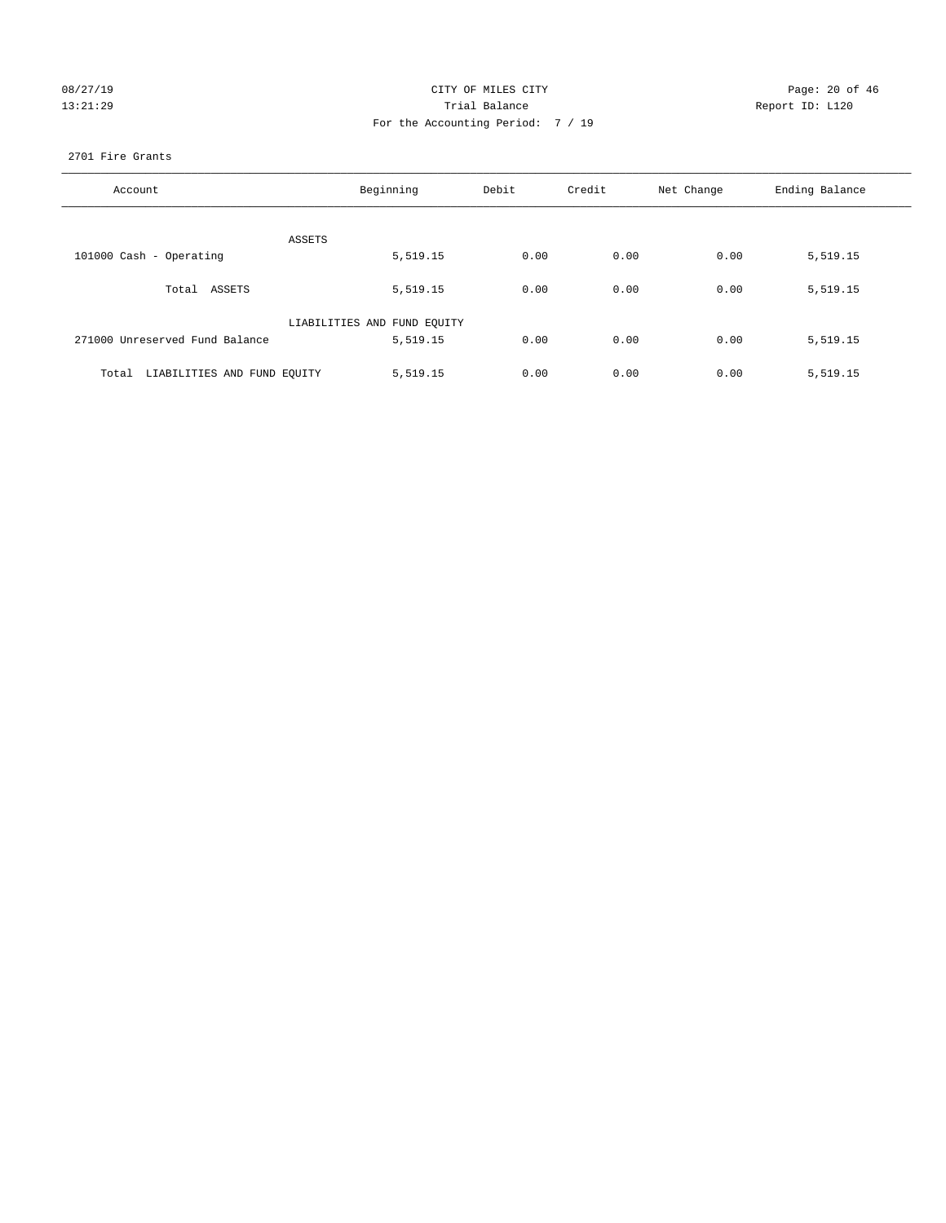| 08/27/1 | 9        |
|---------|----------|
|         | 13:21:29 |

#### CITY OF MILES CITY Page: 20 of 46<br>Trial Balance Report ID: L120 13:21:29 Trial Balance Report ID: L120 For the Accounting Period: 7 / 19

#### 2701 Fire Grants

| Account                              | Beginning                   | Debit | Credit | Net Change | Ending Balance |
|--------------------------------------|-----------------------------|-------|--------|------------|----------------|
|                                      |                             |       |        |            |                |
|                                      | ASSETS                      |       |        |            |                |
| 101000 Cash - Operating              | 5,519.15                    | 0.00  | 0.00   | 0.00       | 5,519.15       |
| Total ASSETS                         | 5,519.15                    | 0.00  | 0.00   | 0.00       | 5,519.15       |
|                                      | LIABILITIES AND FUND EQUITY |       |        |            |                |
| 271000 Unreserved Fund Balance       | 5,519.15                    | 0.00  | 0.00   | 0.00       | 5,519.15       |
|                                      |                             |       |        |            |                |
| LIABILITIES AND FUND EQUITY<br>Total | 5,519.15                    | 0.00  | 0.00   | 0.00       | 5,519.15       |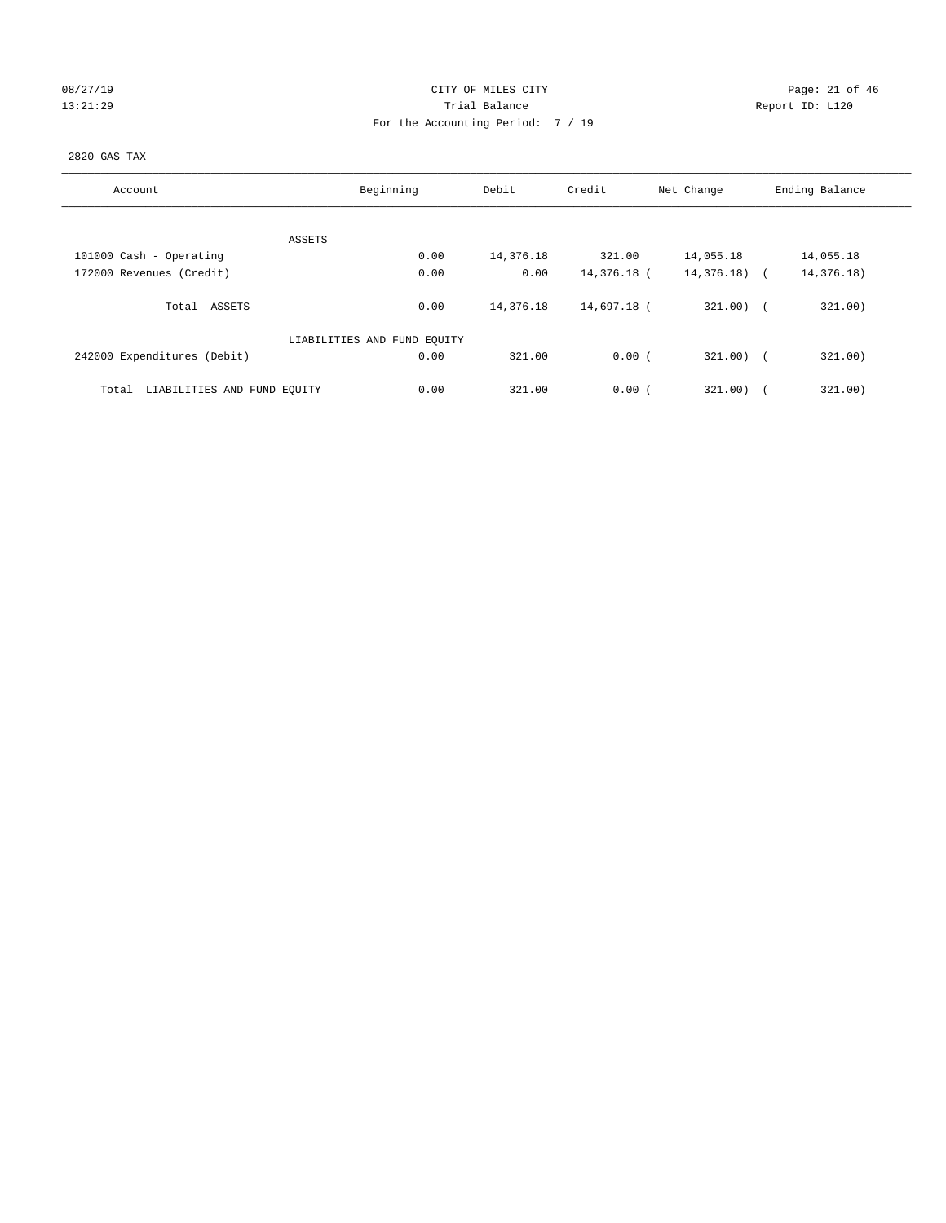# 08/27/19 Page: 21 of 46 13:21:29 **Trial Balance Trial Balance Report ID:** L120 For the Accounting Period: 7 / 19

# 2820 GAS TAX

| Account                              | Beginning                   | Debit     | Credit      | Net Change   | Ending Balance |
|--------------------------------------|-----------------------------|-----------|-------------|--------------|----------------|
|                                      |                             |           |             |              |                |
| ASSETS                               |                             |           |             |              |                |
| 101000 Cash - Operating              | 0.00                        | 14,376.18 | 321.00      | 14,055.18    | 14,055.18      |
| 172000 Revenues (Credit)             | 0.00                        | 0.00      | 14,376.18 ( | 14,376.18) ( | 14,376.18)     |
|                                      |                             |           |             |              |                |
| Total ASSETS                         | 0.00                        | 14,376.18 | 14,697.18 ( | $321.00$ ) ( | 321.00)        |
|                                      |                             |           |             |              |                |
|                                      | LIABILITIES AND FUND EQUITY |           |             |              |                |
| 242000 Expenditures (Debit)          | 0.00                        | 321.00    | 0.00(       | $321.00$ ) ( | 321.00)        |
|                                      |                             |           |             |              |                |
| LIABILITIES AND FUND EQUITY<br>Total | 0.00                        | 321.00    | 0.00(       | 321.00)      | 321.00)        |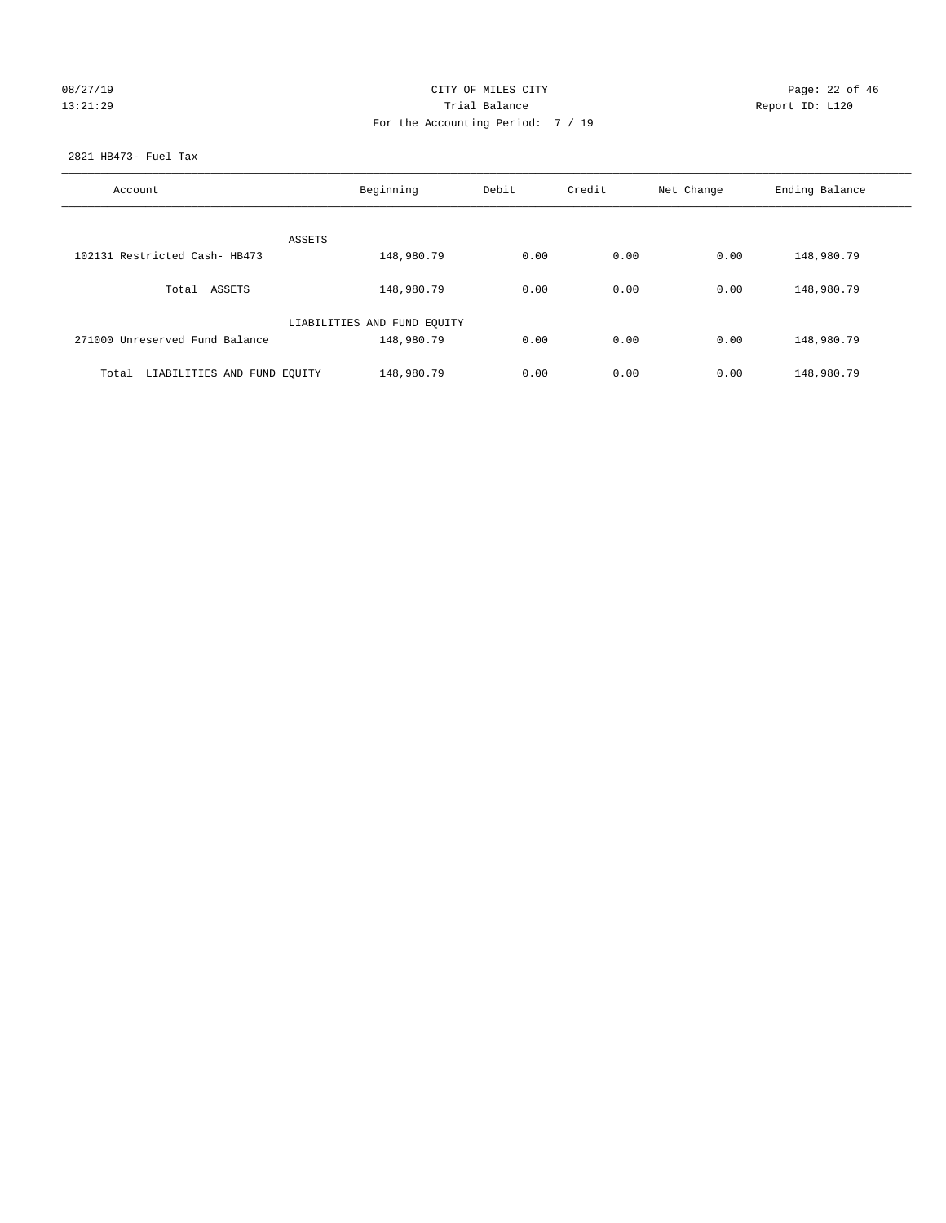# 08/27/19 Page: 22 of 46 13:21:29 **Trial Balance Trial Balance Report ID:** L120 For the Accounting Period: 7 / 19

2821 HB473- Fuel Tax

| Account                              | Beginning                   | Debit | Credit | Net Change | Ending Balance |
|--------------------------------------|-----------------------------|-------|--------|------------|----------------|
| ASSETS                               |                             |       |        |            |                |
| 102131 Restricted Cash- HB473        | 148,980.79                  | 0.00  | 0.00   | 0.00       | 148,980.79     |
| Total ASSETS                         | 148,980.79                  | 0.00  | 0.00   | 0.00       | 148,980.79     |
|                                      | LIABILITIES AND FUND EQUITY |       |        |            |                |
| 271000 Unreserved Fund Balance       | 148,980.79                  | 0.00  | 0.00   | 0.00       | 148,980.79     |
| LIABILITIES AND FUND EQUITY<br>Total | 148,980.79                  | 0.00  | 0.00   | 0.00       | 148,980.79     |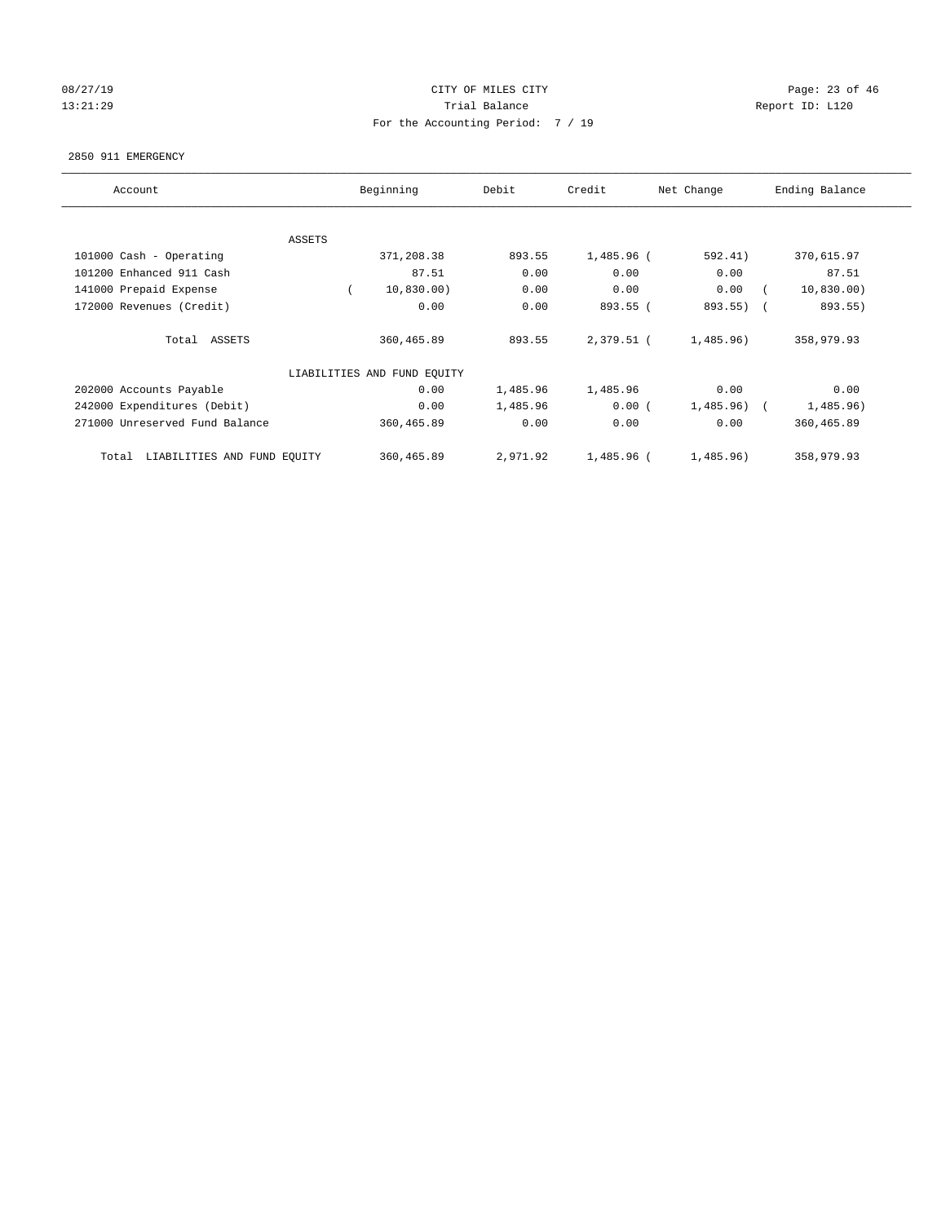# 08/27/19 Page: 23 of 46 13:21:29 **Trial Balance Trial Balance Report ID:** L120 For the Accounting Period: 7 / 19

#### 2850 911 EMERGENCY

| Account                              | Beginning                   | Debit    | Credit     | Net Change | Ending Balance        |
|--------------------------------------|-----------------------------|----------|------------|------------|-----------------------|
|                                      |                             |          |            |            |                       |
| ASSETS<br>101000 Cash - Operating    | 371,208.38                  | 893.55   | 1,485.96 ( | 592.41)    | 370,615.97            |
| 101200 Enhanced 911 Cash             | 87.51                       | 0.00     | 0.00       | 0.00       | 87.51                 |
| 141000 Prepaid Expense               | 10,830.00)                  | 0.00     | 0.00       | 0.00       | 10,830.00)            |
| 172000 Revenues (Credit)             | 0.00                        | 0.00     | 893.55 (   | 893.55)    | 893.55)<br>$\sqrt{2}$ |
| Total ASSETS                         | 360,465.89                  | 893.55   | 2,379.51 ( | 1,485.96)  | 358,979.93            |
|                                      | LIABILITIES AND FUND EQUITY |          |            |            |                       |
| 202000 Accounts Payable              | 0.00                        | 1,485.96 | 1,485.96   | 0.00       | 0.00                  |
| 242000 Expenditures (Debit)          | 0.00                        | 1,485.96 | 0.00(      | 1,485.96)  | 1,485.96)             |
| 271000 Unreserved Fund Balance       | 360,465.89                  | 0.00     | 0.00       | 0.00       | 360,465.89            |
| LIABILITIES AND FUND EQUITY<br>Total | 360,465.89                  | 2,971.92 | 1,485.96 ( | 1,485.96)  | 358,979.93            |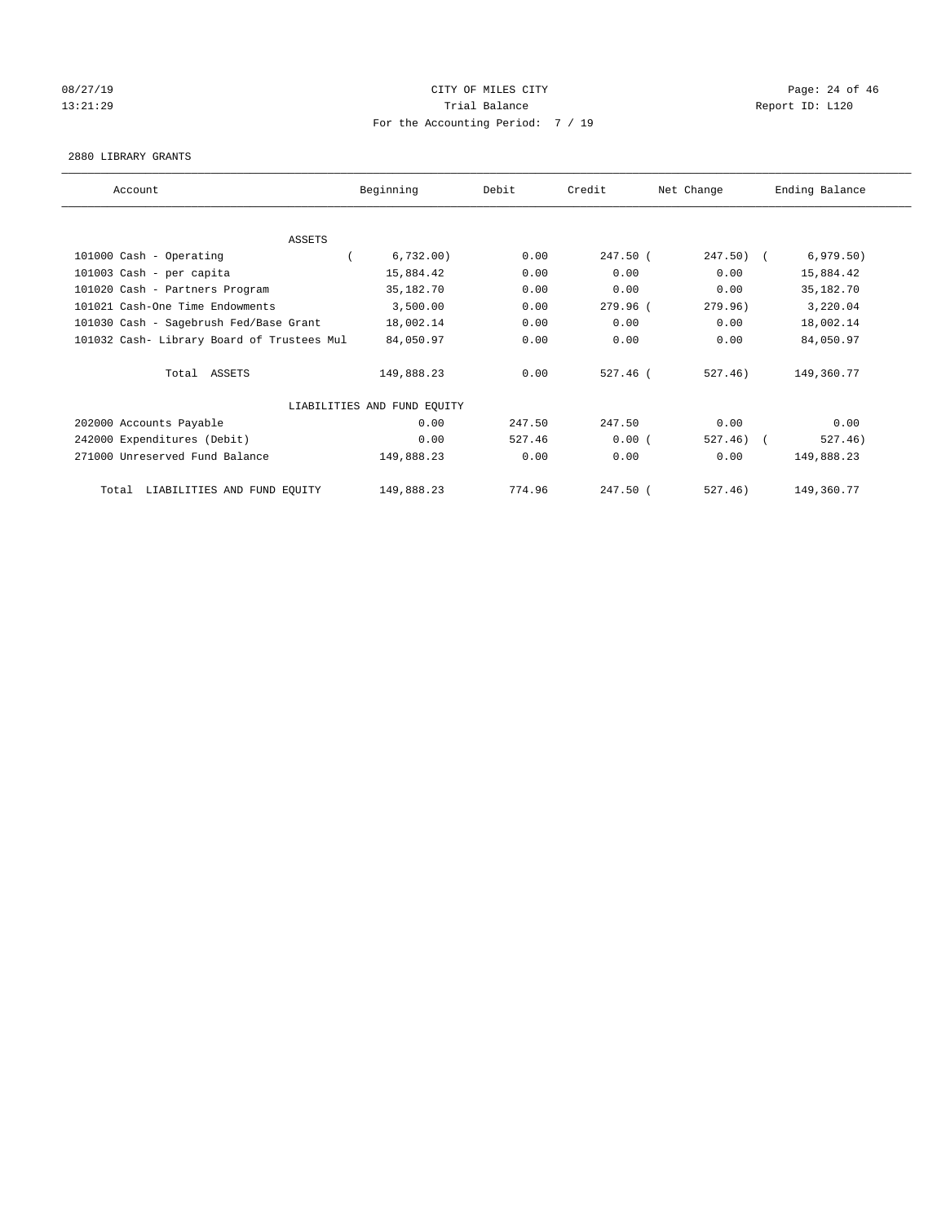# 08/27/19 Page: 24 of 46 13:21:29 **Trial Balance Trial Balance Report ID:** L120 For the Accounting Period: 7 / 19

#### 2880 LIBRARY GRANTS

| Account                                    | Beginning                   | Debit  | Credit     | Net Change   | Ending Balance |
|--------------------------------------------|-----------------------------|--------|------------|--------------|----------------|
|                                            |                             |        |            |              |                |
| ASSETS                                     |                             |        |            |              |                |
| 101000 Cash - Operating                    | 6,732.00)                   | 0.00   | 247.50 (   | $247.50$ ) ( | 6,979.50)      |
| 101003 Cash - per capita                   | 15,884.42                   | 0.00   | 0.00       | 0.00         | 15,884.42      |
| 101020 Cash - Partners Program             | 35,182.70                   | 0.00   | 0.00       | 0.00         | 35, 182. 70    |
| 101021 Cash-One Time Endowments            | 3,500.00                    | 0.00   | 279.96 (   | 279.96)      | 3,220.04       |
| 101030 Cash - Sagebrush Fed/Base Grant     | 18,002.14                   | 0.00   | 0.00       | 0.00         | 18,002.14      |
| 101032 Cash- Library Board of Trustees Mul | 84,050.97                   | 0.00   | 0.00       | 0.00         | 84,050.97      |
| Total ASSETS                               | 149,888.23                  | 0.00   | $527.46$ ( | 527.46)      | 149,360.77     |
|                                            | LIABILITIES AND FUND EQUITY |        |            |              |                |
| 202000 Accounts Payable                    | 0.00                        | 247.50 | 247.50     | 0.00         | 0.00           |
| 242000 Expenditures (Debit)                | 0.00                        | 527.46 | 0.00(      | 527.46)      | 527.46)        |
| 271000 Unreserved Fund Balance             | 149,888.23                  | 0.00   | 0.00       | 0.00         | 149,888.23     |
| LIABILITIES AND FUND EQUITY<br>Total       | 149,888.23                  | 774.96 | 247.50 (   | 527.46)      | 149,360.77     |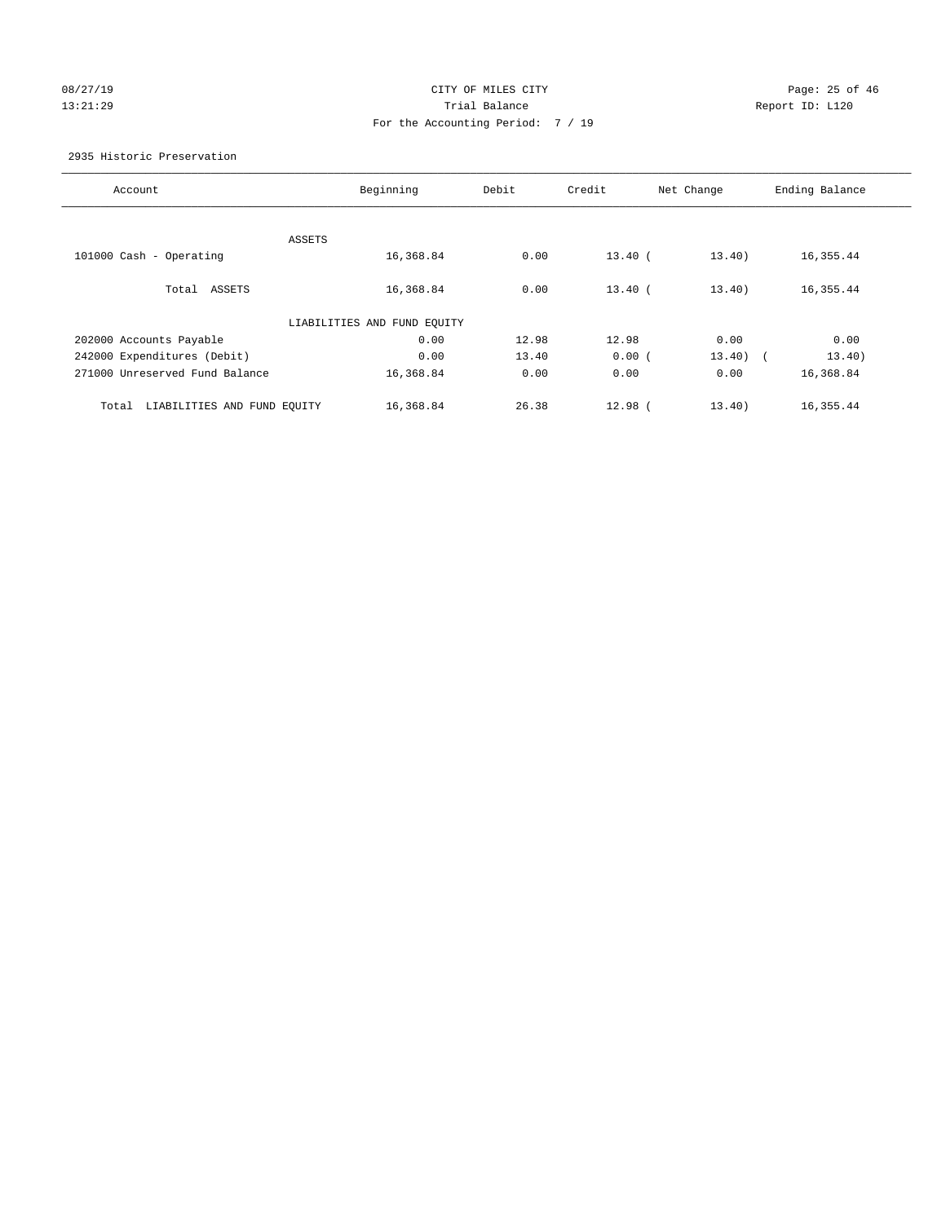# 08/27/19 Page: 25 of 46 13:21:29 **Trial Balance Trial Balance Report ID:** L120 For the Accounting Period: 7 / 19

#### 2935 Historic Preservation

| Account                              | Beginning                   | Debit | Credit    | Net Change | Ending Balance |
|--------------------------------------|-----------------------------|-------|-----------|------------|----------------|
|                                      |                             |       |           |            |                |
| ASSETS                               |                             |       |           |            |                |
| 101000 Cash - Operating              | 16,368.84                   | 0.00  | $13.40$ ( | 13.40)     | 16,355.44      |
|                                      |                             |       |           |            |                |
| Total ASSETS                         | 16,368.84                   | 0.00  | $13.40$ ( | 13.40)     | 16,355.44      |
|                                      |                             |       |           |            |                |
|                                      | LIABILITIES AND FUND EQUITY |       |           |            |                |
| 202000 Accounts Payable              | 0.00                        | 12.98 | 12.98     | 0.00       | 0.00           |
| 242000 Expenditures (Debit)          | 0.00                        | 13.40 | 0.00(     | $13.40$ (  | 13.40)         |
| 271000 Unreserved Fund Balance       | 16,368.84                   | 0.00  | 0.00      | 0.00       | 16,368.84      |
|                                      |                             |       |           |            |                |
| LIABILITIES AND FUND EQUITY<br>Total | 16,368.84                   | 26.38 | $12.98$ ( | 13.40)     | 16,355.44      |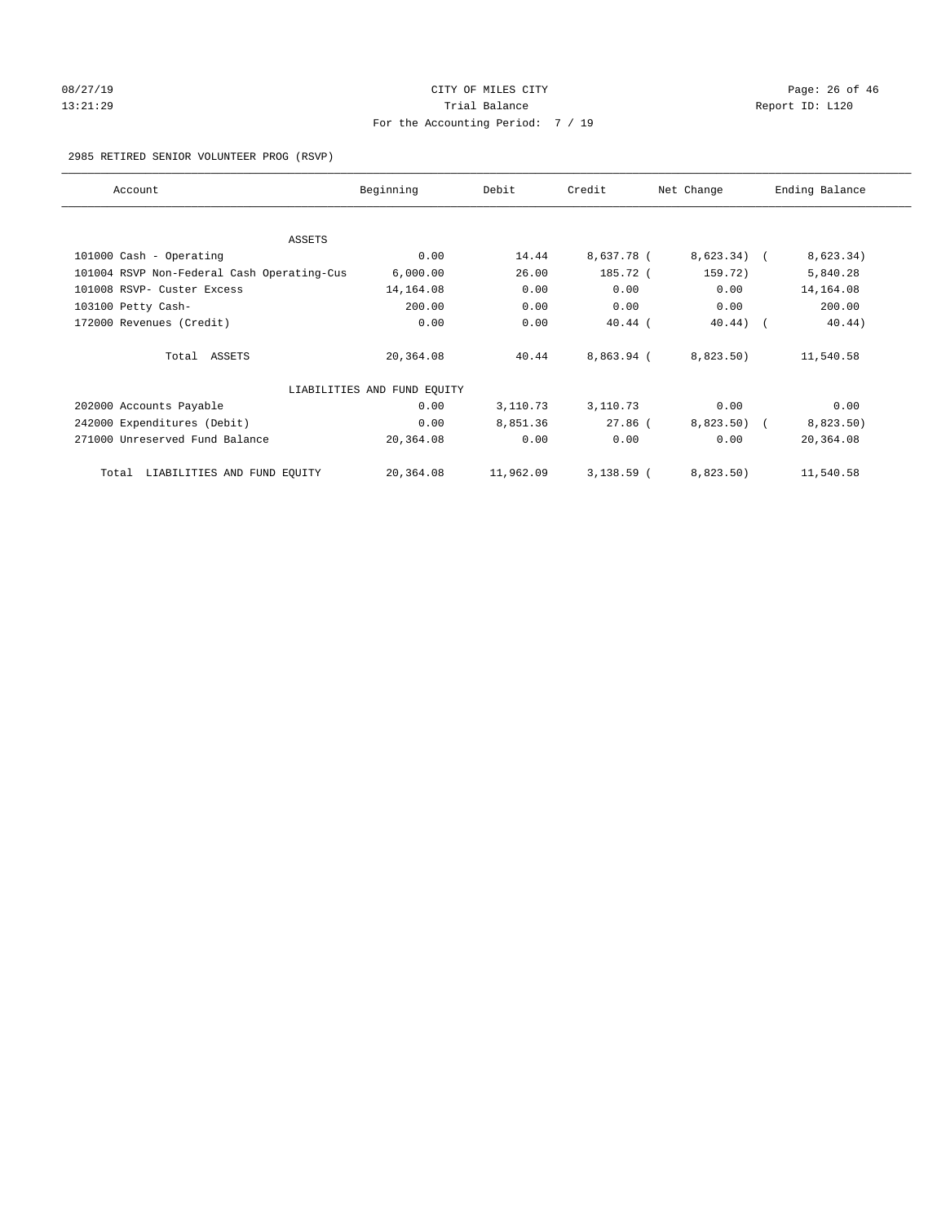## 08/27/19 Page: 26 of 46 13:21:29 **Trial Balance Trial Balance Report ID:** L120 For the Accounting Period: 7 / 19

#### 2985 RETIRED SENIOR VOLUNTEER PROG (RSVP)

| Account                                    | Beginning                   | Debit     | Credit       | Net Change    | Ending Balance |
|--------------------------------------------|-----------------------------|-----------|--------------|---------------|----------------|
|                                            |                             |           |              |               |                |
| ASSETS                                     | 0.00                        | 14.44     | 8,637.78 (   |               |                |
| 101000 Cash - Operating                    |                             |           |              | $8,623.34)$ ( | 8,623.34)      |
| 101004 RSVP Non-Federal Cash Operating-Cus | 6,000.00                    | 26.00     | 185.72 (     | 159.72)       | 5,840.28       |
| 101008 RSVP- Custer Excess                 | 14,164.08                   | 0.00      | 0.00         | 0.00          | 14, 164.08     |
| 103100 Petty Cash-                         | 200.00                      | 0.00      | 0.00         | 0.00          | 200.00         |
| 172000 Revenues (Credit)                   | 0.00                        | 0.00      | $40.44$ (    | $40.44$ ) (   | 40.44)         |
| Total ASSETS                               | 20,364.08                   | 40.44     | 8,863.94 (   | 8,823.50)     | 11,540.58      |
|                                            | LIABILITIES AND FUND EQUITY |           |              |               |                |
| 202000 Accounts Payable                    | 0.00                        | 3,110.73  | 3,110.73     | 0.00          | 0.00           |
| 242000 Expenditures (Debit)                | 0.00                        | 8,851.36  | $27.86$ (    | $8,823.50$ (  | 8,823.50)      |
| 271000 Unreserved Fund Balance             | 20,364.08                   | 0.00      | 0.00         | 0.00          | 20,364.08      |
| LIABILITIES AND FUND EQUITY<br>Total       | 20,364.08                   | 11,962.09 | $3,138.59$ ( | 8,823.50)     | 11,540.58      |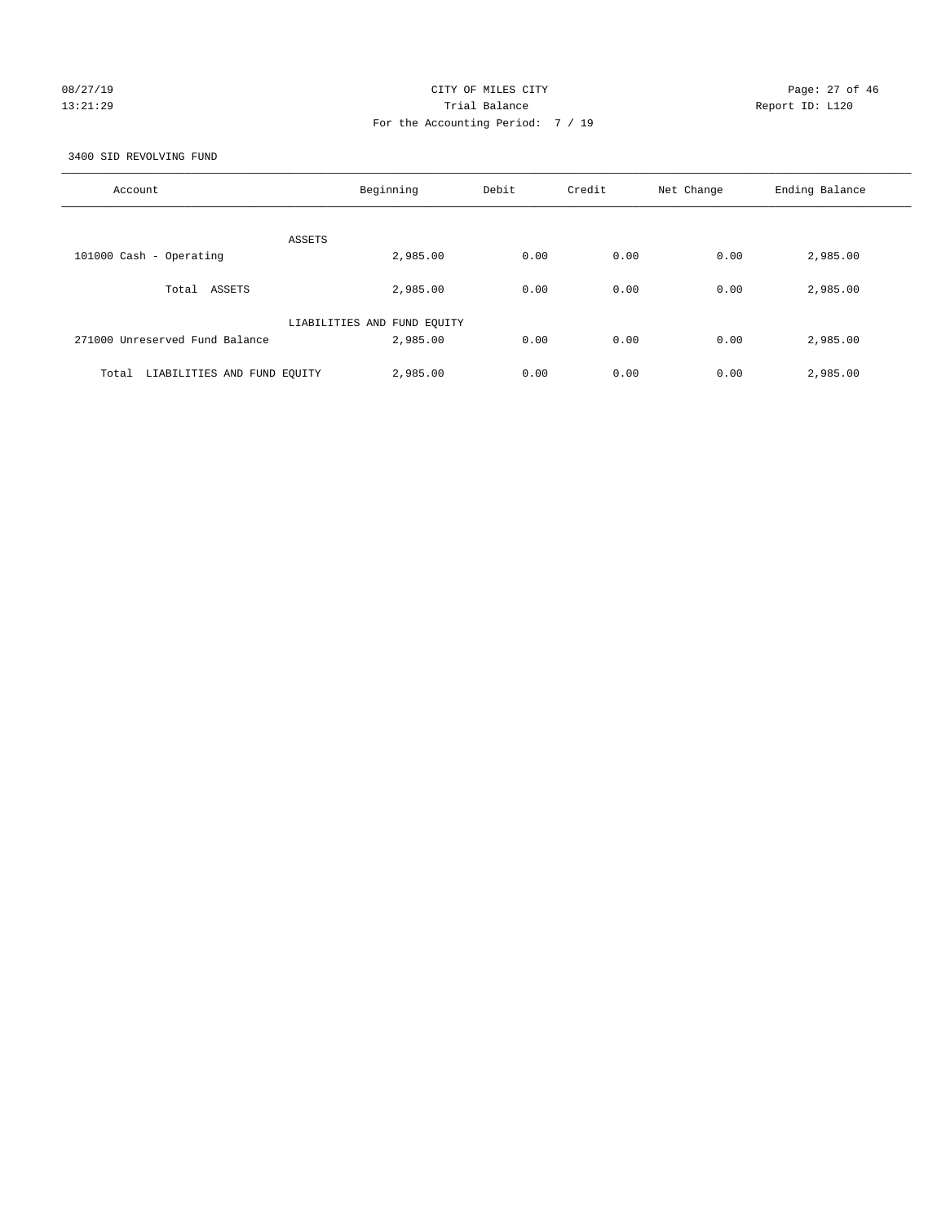# 08/27/19 Page: 27 of 46 13:21:29 Trial Balance Report ID: L120 For the Accounting Period: 7 / 19

3400 SID REVOLVING FUND

| Account                              | Beginning                   | Debit | Credit | Net Change | Ending Balance |
|--------------------------------------|-----------------------------|-------|--------|------------|----------------|
| ASSETS                               |                             |       |        |            |                |
| 101000 Cash - Operating              | 2,985.00                    | 0.00  | 0.00   | 0.00       | 2,985.00       |
| Total ASSETS                         | 2,985.00                    | 0.00  | 0.00   | 0.00       | 2,985.00       |
|                                      | LIABILITIES AND FUND EQUITY |       |        |            |                |
| 271000 Unreserved Fund Balance       | 2,985.00                    | 0.00  | 0.00   | 0.00       | 2,985.00       |
| LIABILITIES AND FUND EQUITY<br>Total | 2,985.00                    | 0.00  | 0.00   | 0.00       | 2,985.00       |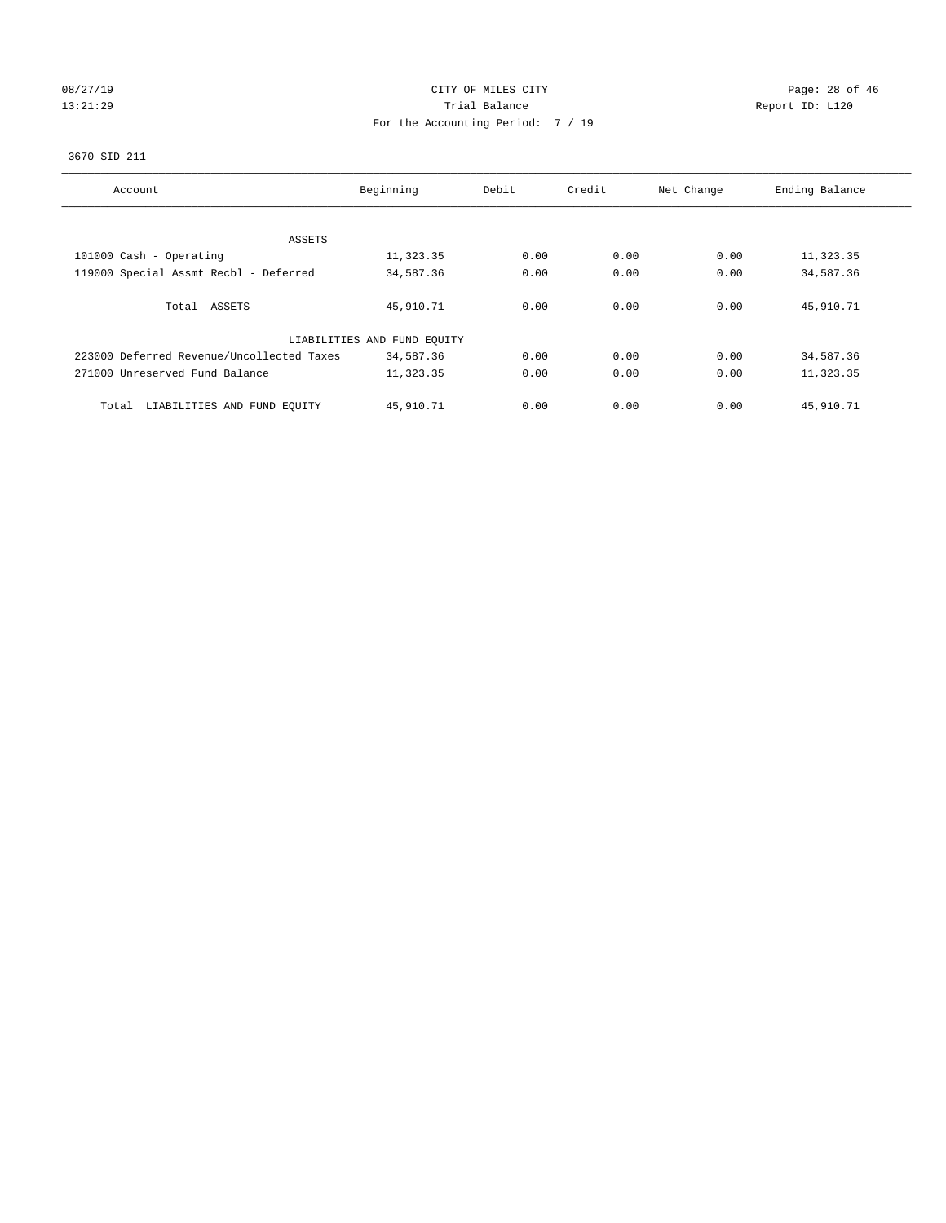# 08/27/19 Page: 28 of 46 13:21:29 **Trial Balance Trial Balance Report ID:** L120 For the Accounting Period: 7 / 19

#### 3670 SID 211

| Account                                   | Beginning                   | Debit | Credit | Net Change | Ending Balance |
|-------------------------------------------|-----------------------------|-------|--------|------------|----------------|
| ASSETS                                    |                             |       |        |            |                |
| 101000 Cash - Operating                   | 11,323.35                   | 0.00  | 0.00   | 0.00       | 11,323.35      |
| 119000 Special Assmt Recbl - Deferred     | 34,587.36                   | 0.00  | 0.00   | 0.00       | 34,587.36      |
|                                           |                             |       |        |            |                |
| Total ASSETS                              | 45,910.71                   | 0.00  | 0.00   | 0.00       | 45,910.71      |
|                                           | LIABILITIES AND FUND EQUITY |       |        |            |                |
| 223000 Deferred Revenue/Uncollected Taxes | 34,587.36                   | 0.00  | 0.00   | 0.00       | 34,587.36      |
| 271000 Unreserved Fund Balance            | 11,323.35                   | 0.00  | 0.00   | 0.00       | 11,323.35      |
| LIABILITIES AND FUND EQUITY<br>Total      | 45,910.71                   | 0.00  | 0.00   | 0.00       | 45,910.71      |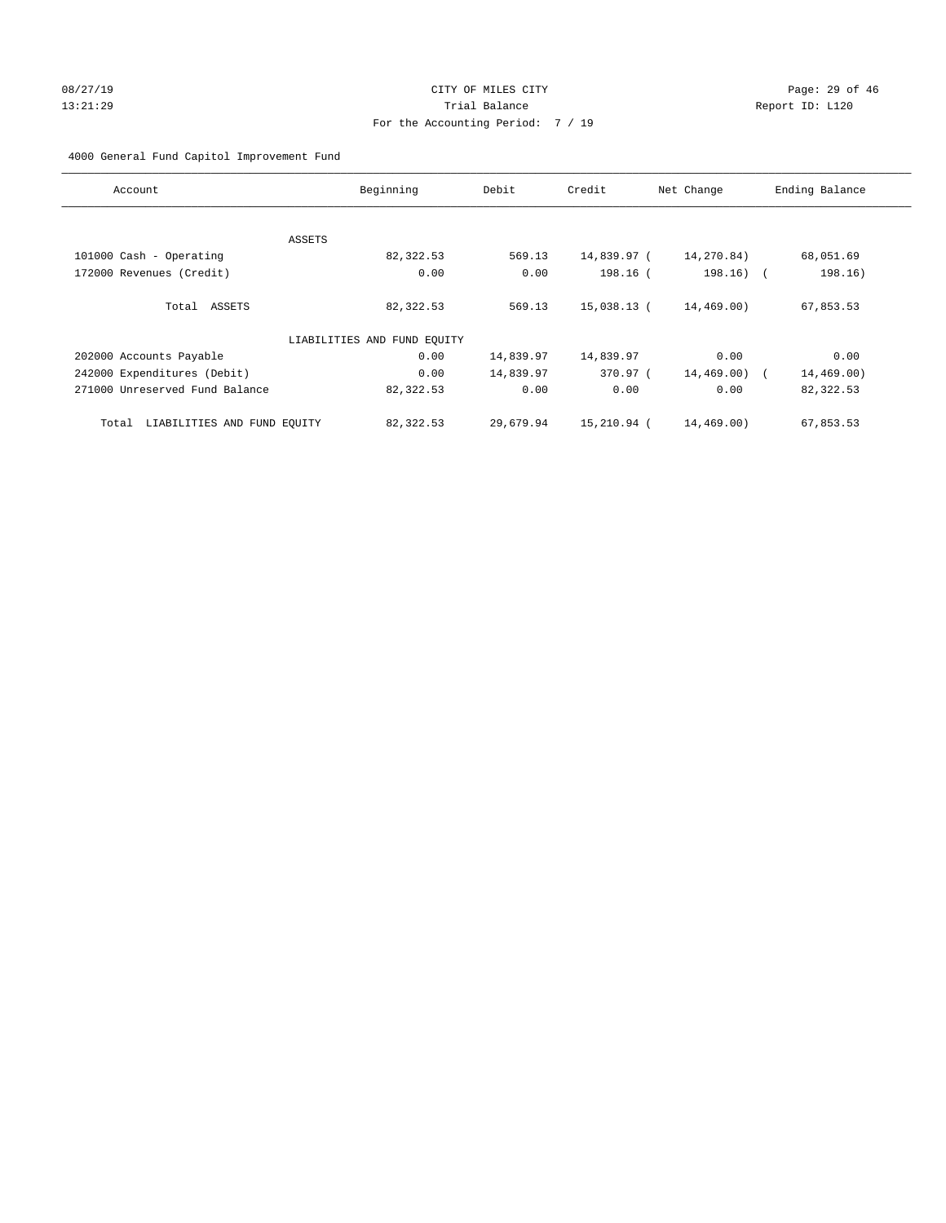# 08/27/19 Page: 29 of 46 13:21:29 Trial Balance Report ID: L120 For the Accounting Period: 7 / 19

4000 General Fund Capitol Improvement Fund

| Account                              | Beginning                   | Debit     | Credit      | Net Change    | Ending Balance |
|--------------------------------------|-----------------------------|-----------|-------------|---------------|----------------|
|                                      |                             |           |             |               |                |
|                                      | ASSETS                      |           |             |               |                |
| 101000 Cash - Operating              | 82,322.53                   | 569.13    | 14,839.97 ( | 14,270.84)    | 68,051.69      |
| 172000 Revenues (Credit)             | 0.00                        | 0.00      | 198.16 (    | $198.16)$ (   | 198.16)        |
| Total ASSETS                         | 82,322.53                   | 569.13    | 15,038.13 ( | 14,469.00)    | 67,853.53      |
|                                      | LIABILITIES AND FUND EQUITY |           |             |               |                |
| 202000 Accounts Payable              | 0.00                        | 14,839.97 | 14,839.97   | 0.00          | 0.00           |
| 242000 Expenditures (Debit)          | 0.00                        | 14,839.97 | 370.97 (    | $14,469.00$ ( | 14,469.00)     |
| 271000 Unreserved Fund Balance       | 82,322.53                   | 0.00      | 0.00        | 0.00          | 82,322.53      |
| LIABILITIES AND FUND EQUITY<br>Total | 82,322.53                   | 29,679.94 | 15,210.94 ( | 14,469.00)    | 67,853.53      |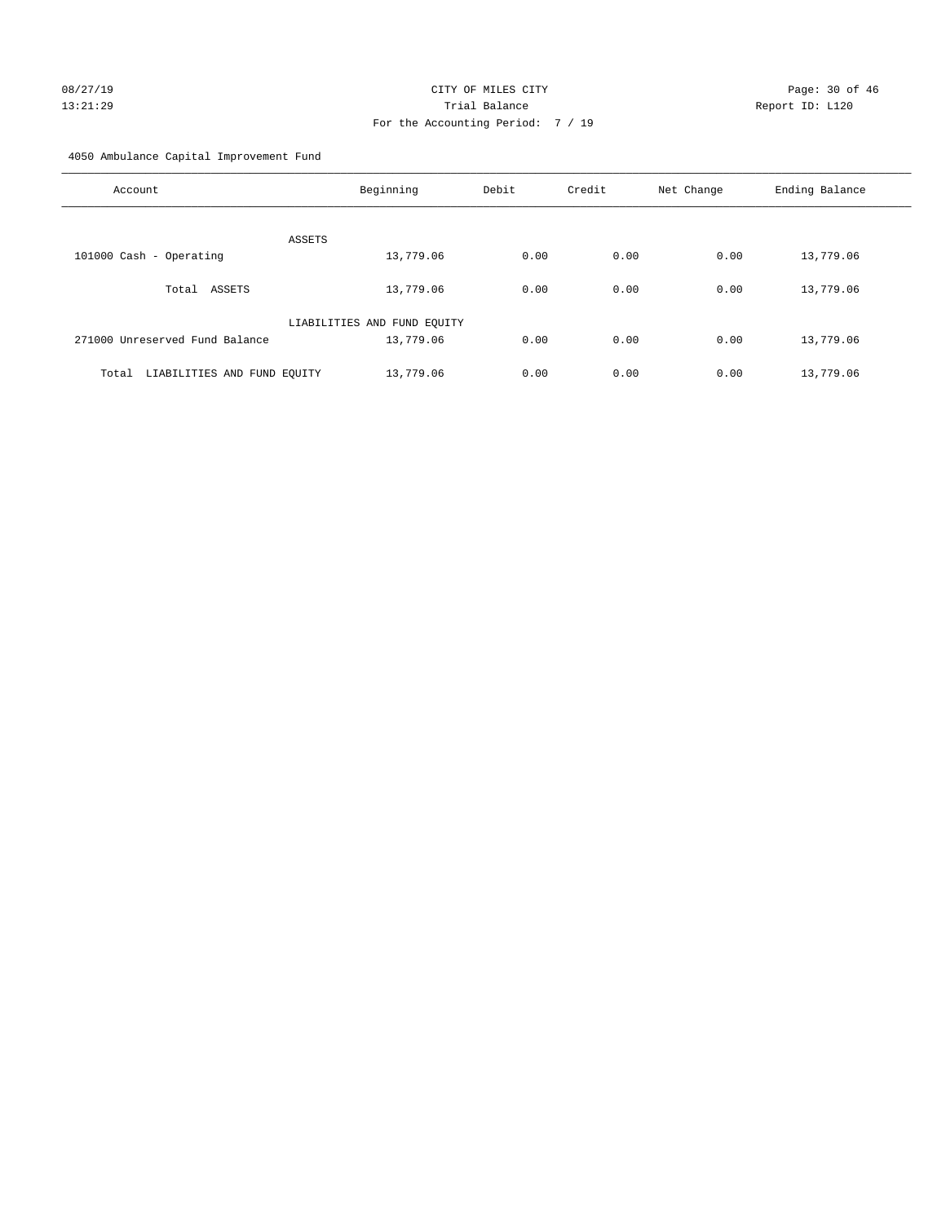# 08/27/19 Page: 30 of 46 13:21:29 Trial Balance Report ID: L120 For the Accounting Period: 7 / 19

4050 Ambulance Capital Improvement Fund

| Account                              | Beginning                   | Debit | Credit | Net Change | Ending Balance |
|--------------------------------------|-----------------------------|-------|--------|------------|----------------|
| ASSETS                               |                             |       |        |            |                |
| 101000 Cash - Operating              | 13,779.06                   | 0.00  | 0.00   | 0.00       | 13,779.06      |
| Total ASSETS                         | 13,779.06                   | 0.00  | 0.00   | 0.00       | 13,779.06      |
|                                      | LIABILITIES AND FUND EQUITY |       |        |            |                |
| 271000 Unreserved Fund Balance       | 13,779.06                   | 0.00  | 0.00   | 0.00       | 13,779.06      |
| LIABILITIES AND FUND EQUITY<br>Total | 13,779.06                   | 0.00  | 0.00   | 0.00       | 13,779.06      |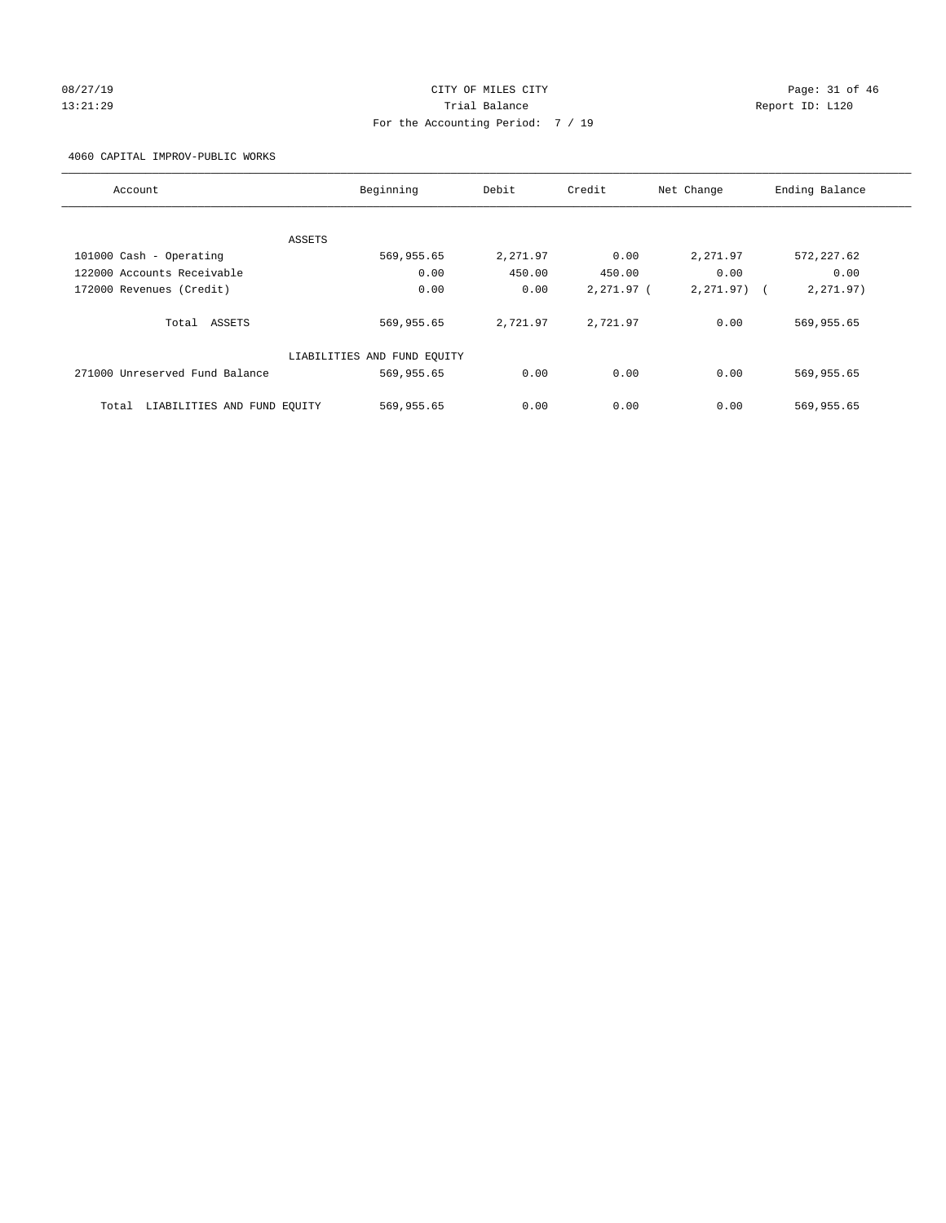# 08/27/19 Page: 31 of 46 13:21:29 Trial Balance Report ID: L120 For the Accounting Period: 7 / 19

4060 CAPITAL IMPROV-PUBLIC WORKS

| Account                              | Beginning                   | Debit    | Credit     | Net Change   | Ending Balance |
|--------------------------------------|-----------------------------|----------|------------|--------------|----------------|
|                                      |                             |          |            |              |                |
|                                      | ASSETS                      |          |            |              |                |
| 101000 Cash - Operating              | 569,955.65                  | 2,271.97 | 0.00       | 2,271.97     | 572, 227.62    |
| 122000 Accounts Receivable           | 0.00                        | 450.00   | 450.00     | 0.00         | 0.00           |
| 172000 Revenues (Credit)             | 0.00                        | 0.00     | 2,271.97 ( | $2,271.97$ ( | 2,271.97)      |
| Total ASSETS                         | 569,955.65                  | 2,721.97 | 2,721.97   | 0.00         | 569,955.65     |
|                                      | LIABILITIES AND FUND EQUITY |          |            |              |                |
| 271000 Unreserved Fund Balance       | 569,955.65                  | 0.00     | 0.00       | 0.00         | 569,955.65     |
| LIABILITIES AND FUND EQUITY<br>Total | 569,955.65                  | 0.00     | 0.00       | 0.00         | 569,955.65     |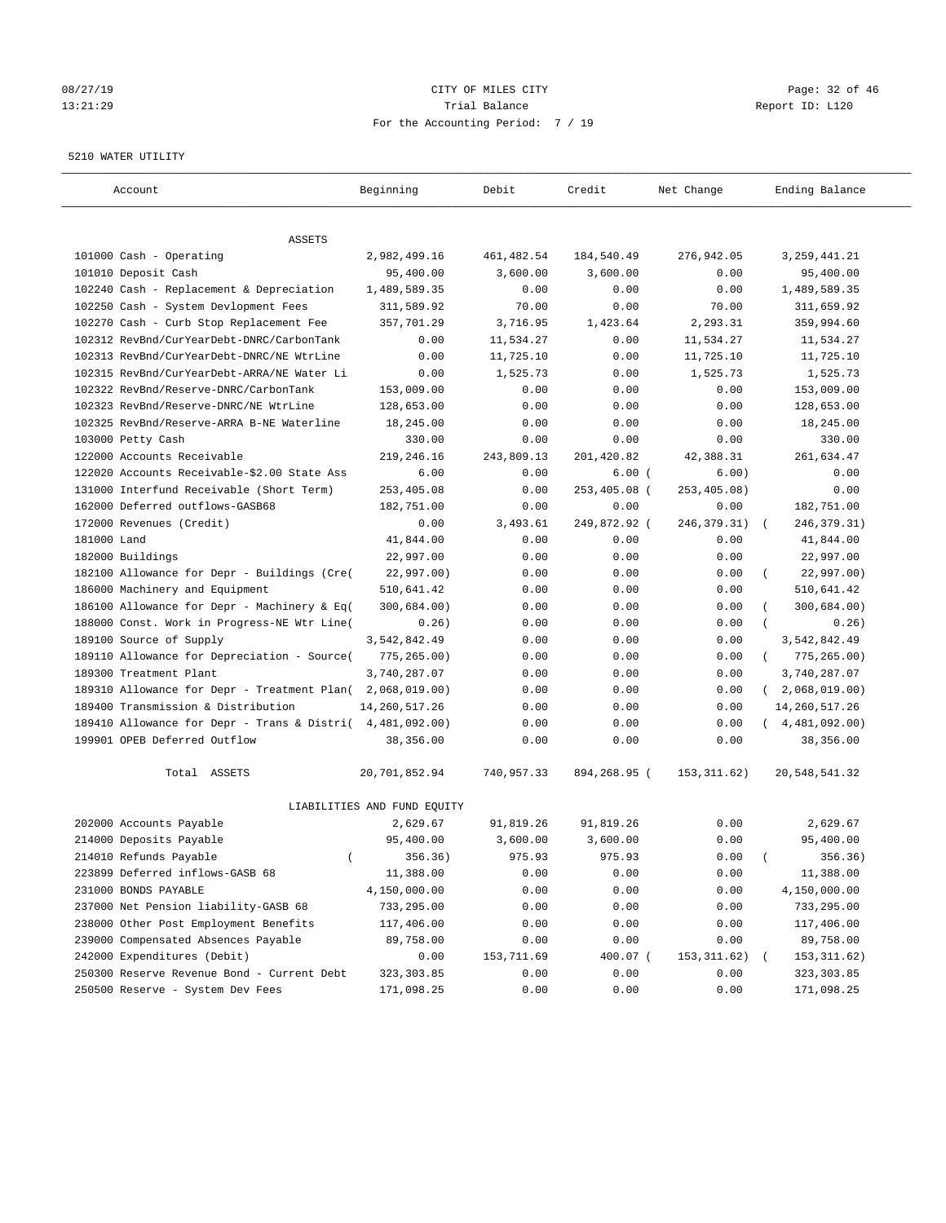#### 08/27/19 Page: 32 of 46 13:21:29 Trial Balance Report ID: L120 For the Accounting Period: 7 / 19

#### 5210 WATER UTILITY

| Account                                     | Beginning                   | Debit        | Credit       | Net Change    | Ending Balance                    |
|---------------------------------------------|-----------------------------|--------------|--------------|---------------|-----------------------------------|
| ASSETS                                      |                             |              |              |               |                                   |
| 101000 Cash - Operating                     | 2,982,499.16                | 461, 482.54  | 184,540.49   | 276,942.05    | 3, 259, 441.21                    |
| 101010 Deposit Cash                         | 95,400.00                   | 3,600.00     | 3,600.00     | 0.00          | 95,400.00                         |
| 102240 Cash - Replacement & Depreciation    | 1,489,589.35                | 0.00         | 0.00         | 0.00          | 1,489,589.35                      |
| 102250 Cash - System Devlopment Fees        | 311,589.92                  | 70.00        | 0.00         | 70.00         | 311,659.92                        |
| 102270 Cash - Curb Stop Replacement Fee     | 357,701.29                  | 3,716.95     | 1,423.64     | 2,293.31      | 359,994.60                        |
| 102312 RevBnd/CurYearDebt-DNRC/CarbonTank   | 0.00                        | 11,534.27    | 0.00         | 11,534.27     | 11,534.27                         |
| 102313 RevBnd/CurYearDebt-DNRC/NE WtrLine   | 0.00                        | 11,725.10    | 0.00         | 11,725.10     | 11,725.10                         |
| 102315 RevBnd/CurYearDebt-ARRA/NE Water Li  | 0.00                        | 1,525.73     | 0.00         | 1,525.73      | 1,525.73                          |
| 102322 RevBnd/Reserve-DNRC/CarbonTank       | 153,009.00                  | 0.00         | 0.00         | 0.00          | 153,009.00                        |
| 102323 RevBnd/Reserve-DNRC/NE WtrLine       | 128,653.00                  | 0.00         | 0.00         | 0.00          | 128,653.00                        |
| 102325 RevBnd/Reserve-ARRA B-NE Waterline   | 18,245.00                   | 0.00         | 0.00         | 0.00          | 18,245.00                         |
| 103000 Petty Cash                           | 330.00                      | 0.00         | 0.00         | 0.00          | 330.00                            |
| 122000 Accounts Receivable                  | 219,246.16                  | 243,809.13   | 201,420.82   | 42,388.31     | 261,634.47                        |
| 122020 Accounts Receivable-\$2.00 State Ass | 6.00                        | 0.00         | 6.00(        | 6.00)         | 0.00                              |
| 131000 Interfund Receivable (Short Term)    | 253,405.08                  | 0.00         | 253,405.08 ( | 253,405.08)   | 0.00                              |
| 162000 Deferred outflows-GASB68             | 182,751.00                  | 0.00         | 0.00         | 0.00          | 182,751.00                        |
| 172000 Revenues (Credit)                    | 0.00                        | 3,493.61     | 249,872.92 ( | 246, 379. 31) | 246, 379. 31)<br>$\sqrt{2}$       |
| 181000 Land                                 | 41,844.00                   | 0.00         | 0.00         | 0.00          | 41,844.00                         |
| 182000 Buildings                            | 22,997.00                   | 0.00         | 0.00         | 0.00          | 22,997.00                         |
| 182100 Allowance for Depr - Buildings (Cre( | 22,997.00)                  | 0.00         | 0.00         | 0.00          | 22,997.00)                        |
| 186000 Machinery and Equipment              | 510,641.42                  | 0.00         | 0.00         | 0.00          | 510,641.42                        |
| 186100 Allowance for Depr - Machinery & Eq( | 300,684.00)                 | 0.00         | 0.00         | 0.00          | 300,684.00)                       |
| 188000 Const. Work in Progress-NE Wtr Line( | 0.26)                       | 0.00         | 0.00         | 0.00          | 0.26)                             |
| 189100 Source of Supply                     | 3,542,842.49                | 0.00         | 0.00         | 0.00          | 3,542,842.49                      |
| 189110 Allowance for Depreciation - Source( | 775, 265.00)                | 0.00         | 0.00         | 0.00          | 775, 265.00)<br>$\left($          |
| 189300 Treatment Plant                      | 3,740,287.07                | 0.00         | 0.00         | 0.00          | 3,740,287.07                      |
| 189310 Allowance for Depr - Treatment Plan( | 2,068,019.00)               |              | 0.00         |               | $\left($                          |
| 189400 Transmission & Distribution          | 14, 260, 517.26             | 0.00         |              | 0.00<br>0.00  | 2,068,019.00)<br>14, 260, 517. 26 |
| 189410 Allowance for Depr - Trans & Distri( | 4,481,092.00)               | 0.00<br>0.00 | 0.00<br>0.00 | 0.00          | (4, 481, 092.00)                  |
| 199901 OPEB Deferred Outflow                | 38,356.00                   | 0.00         | 0.00         | 0.00          | 38,356.00                         |
| Total ASSETS                                | 20,701,852.94               | 740,957.33   | 894,268.95 ( | 153, 311.62)  | 20,548,541.32                     |
|                                             | LIABILITIES AND FUND EQUITY |              |              |               |                                   |
| 202000 Accounts Payable                     | 2,629.67                    | 91,819.26    | 91,819.26    | 0.00          | 2,629.67                          |
| 214000 Deposits Payable                     | 95,400.00                   | 3,600.00     | 3,600.00     | 0.00          | 95,400.00                         |
| 214010 Refunds Payable<br>$\left($          | 356.36)                     | 975.93       | 975.93       | 0.00          | 356.36)                           |
| 223899 Deferred inflows-GASB 68             | 11,388.00                   | 0.00         | 0.00         | 0.00          | 11,388.00                         |
| 231000 BONDS PAYABLE                        | 4,150,000.00                | 0.00         | 0.00         | 0.00          | 4,150,000.00                      |
| 237000 Net Pension liability-GASB 68        | 733,295.00                  | 0.00         | 0.00         | 0.00          | 733,295.00                        |
| 238000 Other Post Employment Benefits       | 117,406.00                  | 0.00         | 0.00         | 0.00          | 117,406.00                        |
| 239000 Compensated Absences Payable         | 89,758.00                   | 0.00         | 0.00         | 0.00          | 89,758.00                         |
| 242000 Expenditures (Debit)                 | 0.00                        | 153,711.69   | 400.07 (     | 153, 311.62)  | 153, 311.62)                      |
| 250300 Reserve Revenue Bond - Current Debt  | 323, 303.85                 | 0.00         | 0.00         | 0.00          | 323, 303.85                       |
| 250500 Reserve - System Dev Fees            | 171,098.25                  | 0.00         | 0.00         | 0.00          | 171,098.25                        |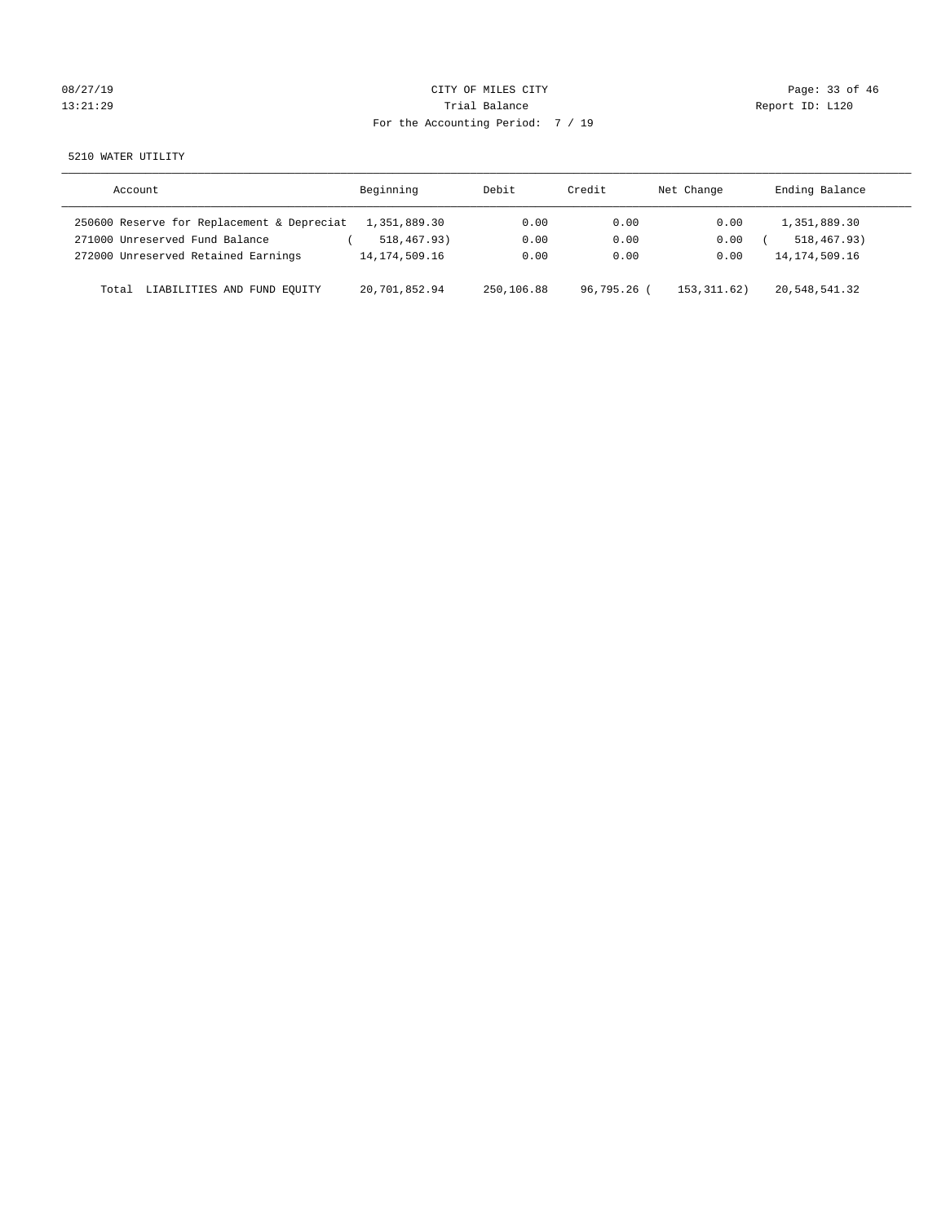| 08/27/19 |  |
|----------|--|
| 3:21:2   |  |

## CITY OF MILES CITY CONTROL CONTROL CONTROL CONTROL CITY 13:21:29 Trial Balance Trial Balance Report ID: L120 For the Accounting Period: 7 / 19

5210 WATER UTILITY

| Account                                    | Beginning        | Debit      | Credit    | Net Change  | Ending Balance   |
|--------------------------------------------|------------------|------------|-----------|-------------|------------------|
| 250600 Reserve for Replacement & Depreciat | 1,351,889.30     | 0.00       | 0.00      | 0.00        | 1,351,889.30     |
| 271000 Unreserved Fund Balance             | 518,467.93)      | 0.00       | 0.00      | 0.00        | 518, 467, 93)    |
| 272000 Unreserved Retained Earnings        | 14, 174, 509, 16 | 0.00       | 0.00      | 0.00        | 14, 174, 509. 16 |
| LIABILITIES AND FUND EOUITY<br>Total       | 20,701,852.94    | 250,106.88 | 96,795.26 | 153.311.62) | 20,548,541.32    |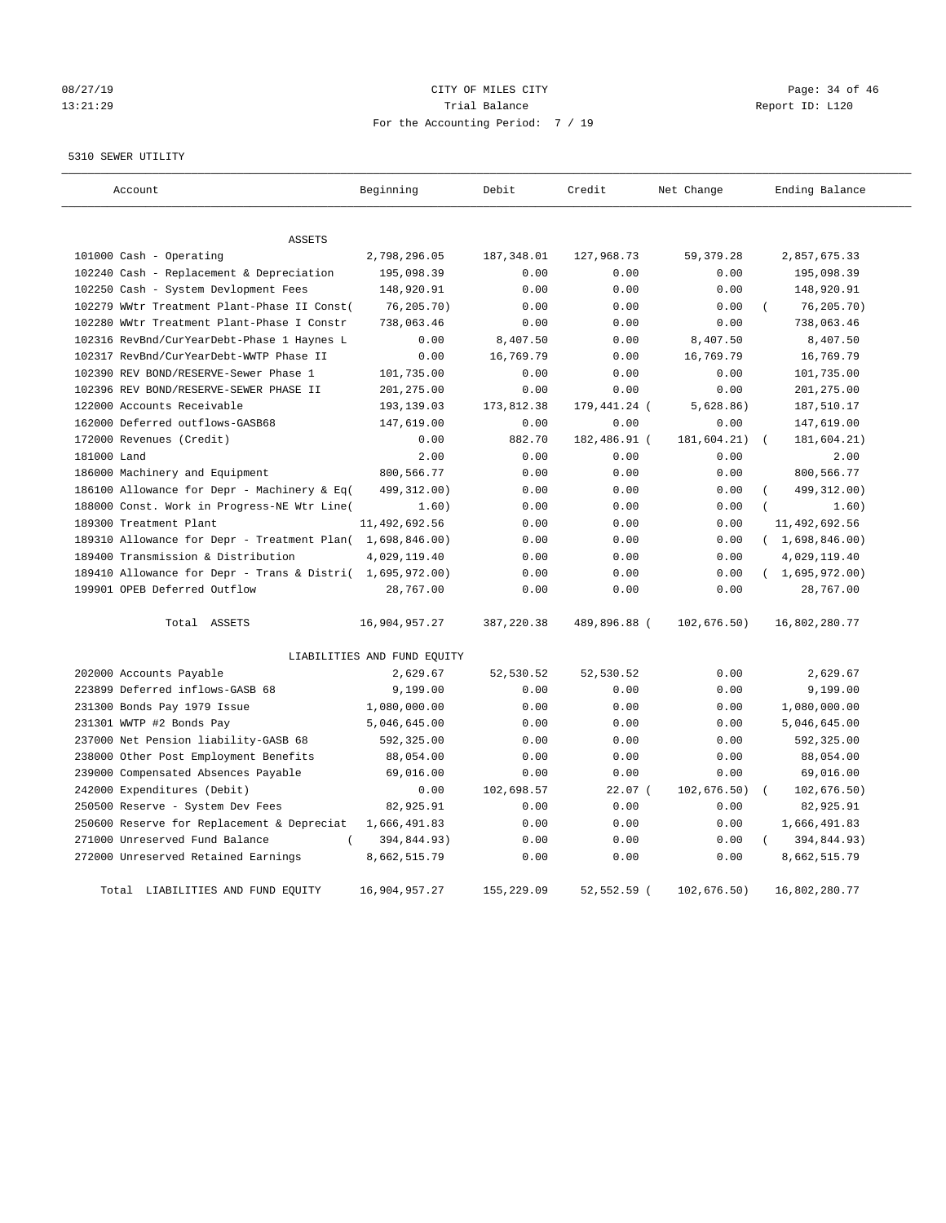# 08/27/19 Page: 34 of 46 13:21:29 Trial Balance Report ID: L120 For the Accounting Period: 7 / 19

#### 5310 SEWER UTILITY

| Account                                                   | Beginning                   | Debit       | Credit        | Net Change   | Ending Balance |
|-----------------------------------------------------------|-----------------------------|-------------|---------------|--------------|----------------|
| <b>ASSETS</b>                                             |                             |             |               |              |                |
| 101000 Cash - Operating                                   | 2,798,296.05                | 187,348.01  | 127,968.73    | 59, 379. 28  | 2,857,675.33   |
| 102240 Cash - Replacement & Depreciation                  | 195,098.39                  | 0.00        | 0.00          | 0.00         | 195,098.39     |
| 102250 Cash - System Devlopment Fees                      | 148,920.91                  | 0.00        | 0.00          | 0.00         | 148,920.91     |
| 102279 WWtr Treatment Plant-Phase II Const(               | 76, 205.70)                 | 0.00        | 0.00          | 0.00         | 76, 205.70)    |
| 102280 WWtr Treatment Plant-Phase I Constr                | 738,063.46                  | 0.00        | 0.00          | 0.00         | 738,063.46     |
| 102316 RevBnd/CurYearDebt-Phase 1 Haynes L                | 0.00                        | 8,407.50    | 0.00          | 8,407.50     | 8,407.50       |
| 102317 RevBnd/CurYearDebt-WWTP Phase II                   | 0.00                        | 16,769.79   | 0.00          | 16,769.79    | 16,769.79      |
| 102390 REV BOND/RESERVE-Sewer Phase 1                     | 101,735.00                  | 0.00        | 0.00          | 0.00         | 101,735.00     |
| 102396 REV BOND/RESERVE-SEWER PHASE II                    | 201,275.00                  | 0.00        | 0.00          | 0.00         | 201,275.00     |
| 122000 Accounts Receivable                                | 193,139.03                  | 173,812.38  | 179,441.24 (  | 5,628.86)    | 187,510.17     |
| 162000 Deferred outflows-GASB68                           | 147,619.00                  | 0.00        | 0.00          | 0.00         | 147,619.00     |
| 172000 Revenues (Credit)                                  | 0.00                        | 882.70      | 182,486.91 (  | 181,604.21)  | 181,604.21)    |
| 181000 Land                                               | 2.00                        | 0.00        | 0.00          | 0.00         | 2.00           |
| 186000 Machinery and Equipment                            | 800,566.77                  | 0.00        | 0.00          | 0.00         | 800,566.77     |
| 186100 Allowance for Depr - Machinery & Eq(               | 499, 312.00)                | 0.00        | 0.00          | 0.00         | 499, 312.00)   |
| 188000 Const. Work in Progress-NE Wtr Line(               | 1.60)                       | 0.00        | 0.00          | 0.00         | 1.60)          |
| 189300 Treatment Plant                                    | 11, 492, 692.56             | 0.00        | 0.00          | 0.00         | 11,492,692.56  |
| 189310 Allowance for Depr - Treatment Plan( 1,698,846.00) |                             | 0.00        | 0.00          | 0.00         | (1,698,846.00) |
| 189400 Transmission & Distribution                        | 4,029,119.40                | 0.00        | 0.00          | 0.00         | 4,029,119.40   |
| 189410 Allowance for Depr - Trans & Distri( 1,695,972.00) |                             | 0.00        | 0.00          | 0.00         | (1,695,972.00) |
| 199901 OPEB Deferred Outflow                              | 28,767.00                   | 0.00        | 0.00          | 0.00         | 28,767.00      |
| Total ASSETS                                              | 16,904,957.27               | 387, 220.38 | 489,896.88 (  | 102, 676.50) | 16,802,280.77  |
|                                                           | LIABILITIES AND FUND EQUITY |             |               |              |                |
| 202000 Accounts Payable                                   | 2,629.67                    | 52,530.52   | 52,530.52     | 0.00         | 2,629.67       |
| 223899 Deferred inflows-GASB 68                           | 9,199.00                    | 0.00        | 0.00          | 0.00         | 9,199.00       |
| 231300 Bonds Pay 1979 Issue                               | 1,080,000.00                | 0.00        | 0.00          | 0.00         | 1,080,000.00   |
| 231301 WWTP #2 Bonds Pay                                  | 5,046,645.00                | 0.00        | 0.00          | 0.00         | 5,046,645.00   |
| 237000 Net Pension liability-GASB 68                      | 592,325.00                  | 0.00        | 0.00          | 0.00         | 592,325.00     |
| 238000 Other Post Employment Benefits                     | 88,054.00                   | 0.00        | 0.00          | 0.00         | 88,054.00      |
| 239000 Compensated Absences Payable                       | 69,016.00                   | 0.00        | 0.00          | 0.00         | 69,016.00      |
| 242000 Expenditures (Debit)                               | 0.00                        | 102,698.57  | $22.07$ (     | 102,676.50)  | 102,676.50)    |
| 250500 Reserve - System Dev Fees                          | 82,925.91                   | 0.00        | 0.00          | 0.00         | 82,925.91      |
| 250600 Reserve for Replacement & Depreciat                | 1,666,491.83                | 0.00        | 0.00          | 0.00         | 1,666,491.83   |
| 271000 Unreserved Fund Balance                            | 394,844.93)                 | 0.00        | 0.00          | 0.00         | 394,844.93)    |
| 272000 Unreserved Retained Earnings                       | 8,662,515.79                | 0.00        | 0.00          | 0.00         | 8,662,515.79   |
| Total LIABILITIES AND FUND EOUITY                         | 16,904,957.27               | 155,229.09  | $52.552.59$ ( | 102,676.50)  | 16,802,280.77  |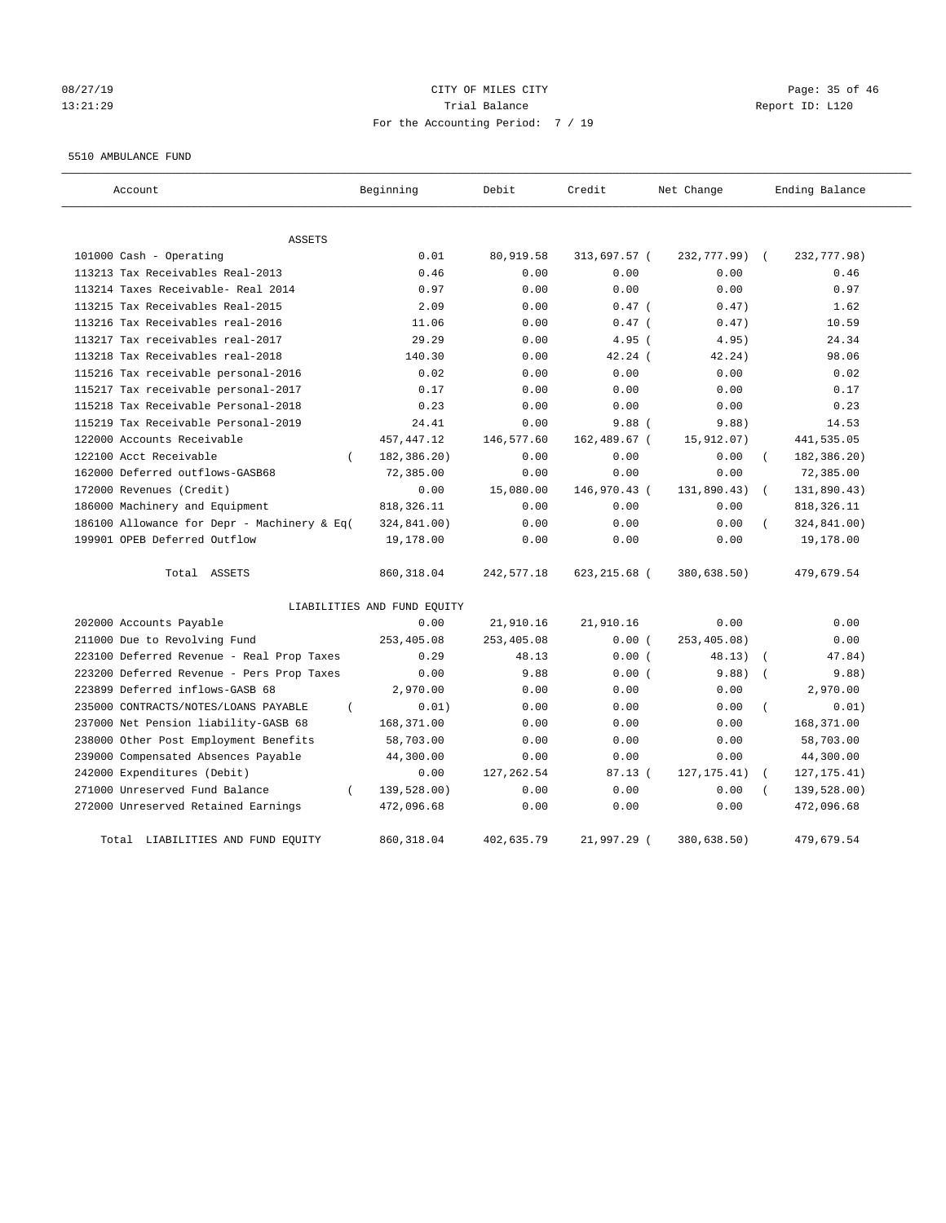#### 08/27/19 Page: 35 of 46 13:21:29 Trial Balance Report ID: L120 For the Accounting Period: 7 / 19

#### 5510 AMBULANCE FUND

| Account                                     | Beginning                   | Debit       | Credit       | Net Change   | Ending Balance           |
|---------------------------------------------|-----------------------------|-------------|--------------|--------------|--------------------------|
| <b>ASSETS</b>                               |                             |             |              |              |                          |
| 101000 Cash - Operating                     | 0.01                        | 80,919.58   | 313,697.57 ( | 232,777.99)  | 232,777.98)              |
| 113213 Tax Receivables Real-2013            | 0.46                        | 0.00        | 0.00         | 0.00         | 0.46                     |
| 113214 Taxes Receivable- Real 2014          | 0.97                        | 0.00        | 0.00         | 0.00         | 0.97                     |
| 113215 Tax Receivables Real-2015            | 2.09                        | 0.00        | $0.47$ (     | 0.47)        | 1.62                     |
| 113216 Tax Receivables real-2016            | 11.06                       | 0.00        | $0.47$ (     | 0.47)        | 10.59                    |
| 113217 Tax receivables real-2017            | 29.29                       | 0.00        | $4.95$ (     | 4.95)        | 24.34                    |
| 113218 Tax Receivables real-2018            | 140.30                      | 0.00        | $42.24$ (    | 42.24)       | 98.06                    |
| 115216 Tax receivable personal-2016         | 0.02                        | 0.00        | 0.00         | 0.00         | 0.02                     |
| 115217 Tax receivable personal-2017         | 0.17                        | 0.00        | 0.00         | 0.00         | 0.17                     |
| 115218 Tax Receivable Personal-2018         | 0.23                        | 0.00        | 0.00         | 0.00         | 0.23                     |
| 115219 Tax Receivable Personal-2019         | 24.41                       | 0.00        | $9.88$ (     | 9.88)        | 14.53                    |
| 122000 Accounts Receivable                  | 457, 447.12                 | 146,577.60  | 162,489.67 ( | 15,912.07)   | 441,535.05               |
| 122100 Acct Receivable<br>$\left($          | 182,386.20)                 | 0.00        | 0.00         | 0.00         | 182,386.20)              |
| 162000 Deferred outflows-GASB68             | 72,385.00                   | 0.00        | 0.00         | 0.00         | 72,385.00                |
| 172000 Revenues (Credit)                    | 0.00                        | 15,080.00   | 146,970.43 ( | 131,890.43)  | 131,890.43)              |
| 186000 Machinery and Equipment              | 818, 326.11                 | 0.00        | 0.00         | 0.00         | 818, 326.11              |
| 186100 Allowance for Depr - Machinery & Eq( | 324,841.00)                 | 0.00        | 0.00         | 0.00         | 324,841.00)              |
| 199901 OPEB Deferred Outflow                | 19,178.00                   | 0.00        | 0.00         | 0.00         | 19,178.00                |
| Total ASSETS                                | 860, 318.04                 | 242,577.18  | 623,215.68 ( | 380,638.50)  | 479,679.54               |
|                                             | LIABILITIES AND FUND EQUITY |             |              |              |                          |
| 202000 Accounts Payable                     | 0.00                        | 21,910.16   | 21,910.16    | 0.00         | 0.00                     |
| 211000 Due to Revolving Fund                | 253,405.08                  | 253,405.08  | 0.00(        | 253,405.08)  | 0.00                     |
| 223100 Deferred Revenue - Real Prop Taxes   | 0.29                        | 48.13       | 0.00(        | 48.13)       | 47.84)                   |
| 223200 Deferred Revenue - Pers Prop Taxes   | 0.00                        | 9.88        | 0.00(        | 9.88)        | 9.88)                    |
| 223899 Deferred inflows-GASB 68             | 2,970.00                    | 0.00        | 0.00         | 0.00         | 2,970.00                 |
| 235000 CONTRACTS/NOTES/LOANS PAYABLE        | 0.01)                       | 0.00        | 0.00         | 0.00         | 0.01)                    |
| 237000 Net Pension liability-GASB 68        | 168,371.00                  | 0.00        | 0.00         | 0.00         | 168,371.00               |
| 238000 Other Post Employment Benefits       | 58,703.00                   | 0.00        | 0.00         | 0.00         | 58,703.00                |
| 239000 Compensated Absences Payable         | 44,300.00                   | 0.00        | 0.00         | 0.00         | 44,300.00                |
| 242000 Expenditures (Debit)                 | 0.00                        | 127, 262.54 | 87.13(       | 127, 175.41) | 127, 175.41)<br>$\left($ |
| 271000 Unreserved Fund Balance<br>$\left($  | 139,528.00)                 | 0.00        | 0.00         | 0.00         | 139,528.00)              |
| 272000 Unreserved Retained Earnings         | 472,096.68                  | 0.00        | 0.00         | 0.00         | 472,096.68               |
| LIABILITIES AND FUND EQUITY<br>Total        | 860, 318.04                 | 402,635.79  | 21,997.29 (  | 380,638.50)  | 479,679.54               |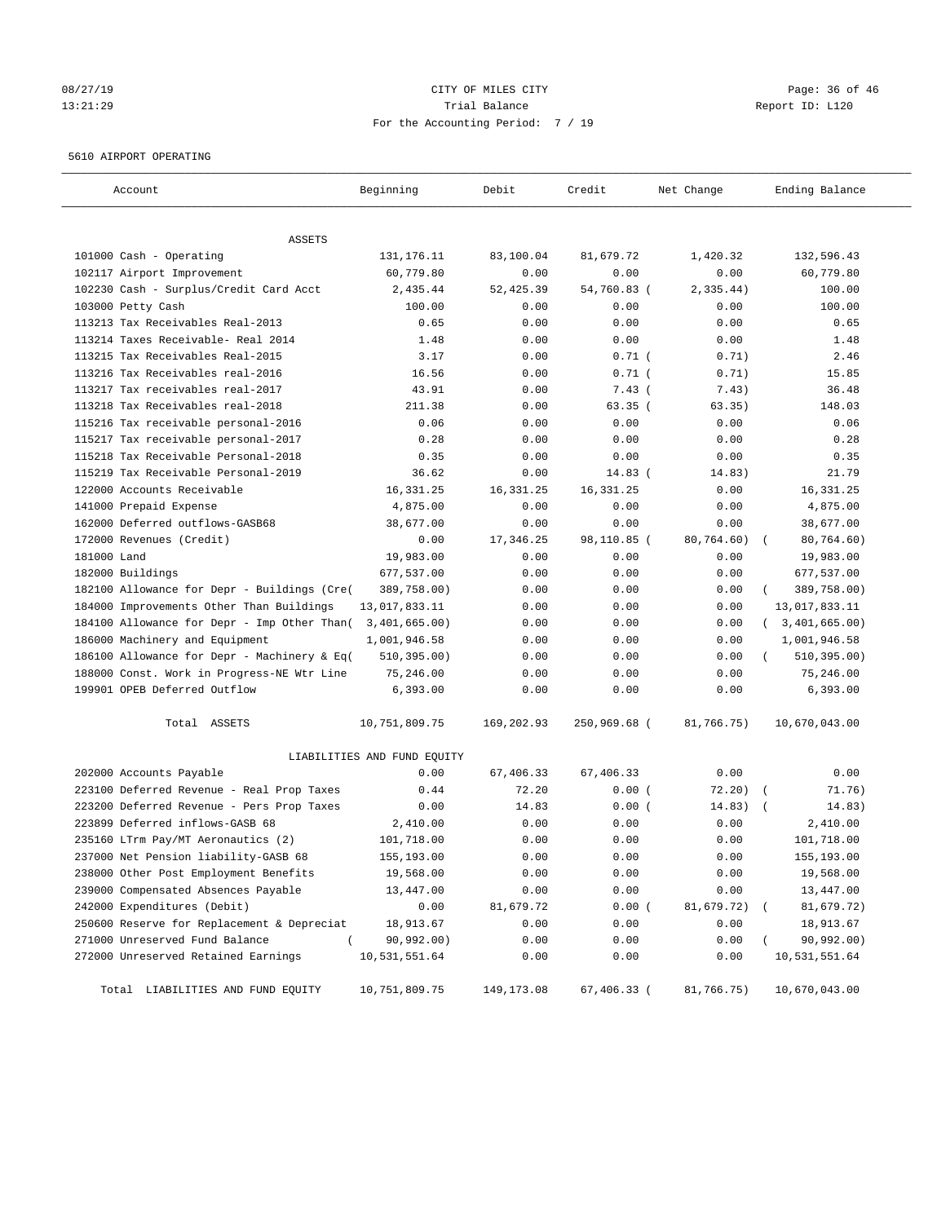#### 08/27/19 Page: 36 of 46 13:21:29 Trial Balance Report ID: L120 For the Accounting Period: 7 / 19

#### 5610 AIRPORT OPERATING

| Account                                     | Beginning                   | Debit       | Credit       | Net Change | Ending Balance   |
|---------------------------------------------|-----------------------------|-------------|--------------|------------|------------------|
| ASSETS                                      |                             |             |              |            |                  |
| 101000 Cash - Operating                     | 131,176.11                  | 83,100.04   | 81,679.72    | 1,420.32   | 132,596.43       |
| 102117 Airport Improvement                  | 60,779.80                   | 0.00        | 0.00         | 0.00       | 60,779.80        |
| 102230 Cash - Surplus/Credit Card Acct      | 2,435.44                    | 52, 425.39  | 54,760.83 (  | 2,335.44)  | 100.00           |
| 103000 Petty Cash                           | 100.00                      | 0.00        | 0.00         | 0.00       | 100.00           |
| 113213 Tax Receivables Real-2013            | 0.65                        | 0.00        | 0.00         | 0.00       | 0.65             |
| 113214 Taxes Receivable- Real 2014          | 1.48                        | 0.00        | 0.00         | 0.00       | 1.48             |
| 113215 Tax Receivables Real-2015            | 3.17                        | 0.00        | $0.71$ (     | 0.71)      | 2.46             |
| 113216 Tax Receivables real-2016            | 16.56                       | 0.00        | $0.71$ (     | 0.71)      | 15.85            |
| 113217 Tax receivables real-2017            | 43.91                       | 0.00        | $7.43$ (     | 7.43)      | 36.48            |
| 113218 Tax Receivables real-2018            | 211.38                      | 0.00        | 63.35(       | 63.35)     | 148.03           |
| 115216 Tax receivable personal-2016         | 0.06                        | 0.00        | 0.00         | 0.00       | 0.06             |
| 115217 Tax receivable personal-2017         | 0.28                        | 0.00        | 0.00         | 0.00       | 0.28             |
| 115218 Tax Receivable Personal-2018         | 0.35                        | 0.00        | 0.00         | 0.00       | 0.35             |
| 115219 Tax Receivable Personal-2019         | 36.62                       | 0.00        | $14.83$ (    | 14.83)     | 21.79            |
| 122000 Accounts Receivable                  | 16,331.25                   | 16, 331. 25 | 16, 331.25   | 0.00       | 16, 331. 25      |
| 141000 Prepaid Expense                      | 4,875.00                    | 0.00        | 0.00         | 0.00       | 4,875.00         |
| 162000 Deferred outflows-GASB68             | 38,677.00                   | 0.00        | 0.00         | 0.00       | 38,677.00        |
| 172000 Revenues (Credit)                    | 0.00                        | 17,346.25   | 98,110.85 (  | 80,764.60) | 80,764.60)       |
| 181000 Land                                 | 19,983.00                   | 0.00        | 0.00         | 0.00       | 19,983.00        |
| 182000 Buildings                            | 677,537.00                  | 0.00        | 0.00         | 0.00       | 677,537.00       |
| 182100 Allowance for Depr - Buildings (Cre( | 389,758.00)                 | 0.00        | 0.00         | 0.00       | 389,758.00)      |
| 184000 Improvements Other Than Buildings    | 13,017,833.11               | 0.00        | 0.00         | 0.00       | 13,017,833.11    |
| 184100 Allowance for Depr - Imp Other Than( | 3,401,665.00)               | 0.00        | 0.00         | 0.00       | (3, 401, 665.00) |
| 186000 Machinery and Equipment              | 1,001,946.58                | 0.00        | 0.00         | 0.00       | 1,001,946.58     |
| 186100 Allowance for Depr - Machinery & Eq( | 510, 395.00)                | 0.00        | 0.00         | 0.00       | 510, 395.00)     |
| 188000 Const. Work in Progress-NE Wtr Line  | 75,246.00                   | 0.00        | 0.00         | 0.00       | 75,246.00        |
| 199901 OPEB Deferred Outflow                | 6,393.00                    | 0.00        | 0.00         | 0.00       | 6,393.00         |
| Total ASSETS                                | 10,751,809.75               | 169,202.93  | 250,969.68 ( | 81,766.75) | 10,670,043.00    |
|                                             | LIABILITIES AND FUND EQUITY |             |              |            |                  |
| 202000 Accounts Payable                     | 0.00                        | 67,406.33   | 67,406.33    | 0.00       | 0.00             |
| 223100 Deferred Revenue - Real Prop Taxes   | 0.44                        | 72.20       | 0.00(        | 72.20)     | 71.76)           |
| 223200 Deferred Revenue - Pers Prop Taxes   | 0.00                        | 14.83       | 0.00(        | 14.83)     | 14.83)           |
| 223899 Deferred inflows-GASB 68             | 2,410.00                    | 0.00        | 0.00         | 0.00       | 2,410.00         |
| 235160 LTrm Pay/MT Aeronautics (2)          | 101,718.00                  | 0.00        | 0.00         | 0.00       | 101,718.00       |
| 237000 Net Pension liability-GASB 68        | 155,193.00                  | 0.00        | 0.00         | 0.00       | 155,193.00       |
| 238000 Other Post Employment Benefits       | 19,568.00                   | 0.00        | 0.00         | 0.00       | 19,568.00        |
| 239000 Compensated Absences Payable         | 13,447.00                   | 0.00        | 0.00         | 0.00       | 13,447.00        |
| 242000 Expenditures (Debit)                 | 0.00                        | 81,679.72   | 0.00(        | 81,679.72) | 81,679.72)       |
| 250600 Reserve for Replacement & Depreciat  | 18,913.67                   | 0.00        | 0.00         | 0.00       | 18,913.67        |
| 271000 Unreserved Fund Balance<br>$\left($  | 90,992.00)                  | 0.00        | 0.00         | 0.00       | 90, 992.00)      |
| 272000 Unreserved Retained Earnings         | 10,531,551.64               | 0.00        | 0.00         | 0.00       | 10,531,551.64    |
| Total LIABILITIES AND FUND EQUITY           | 10,751,809.75               | 149,173.08  | 67,406.33 (  | 81,766.75) | 10,670,043.00    |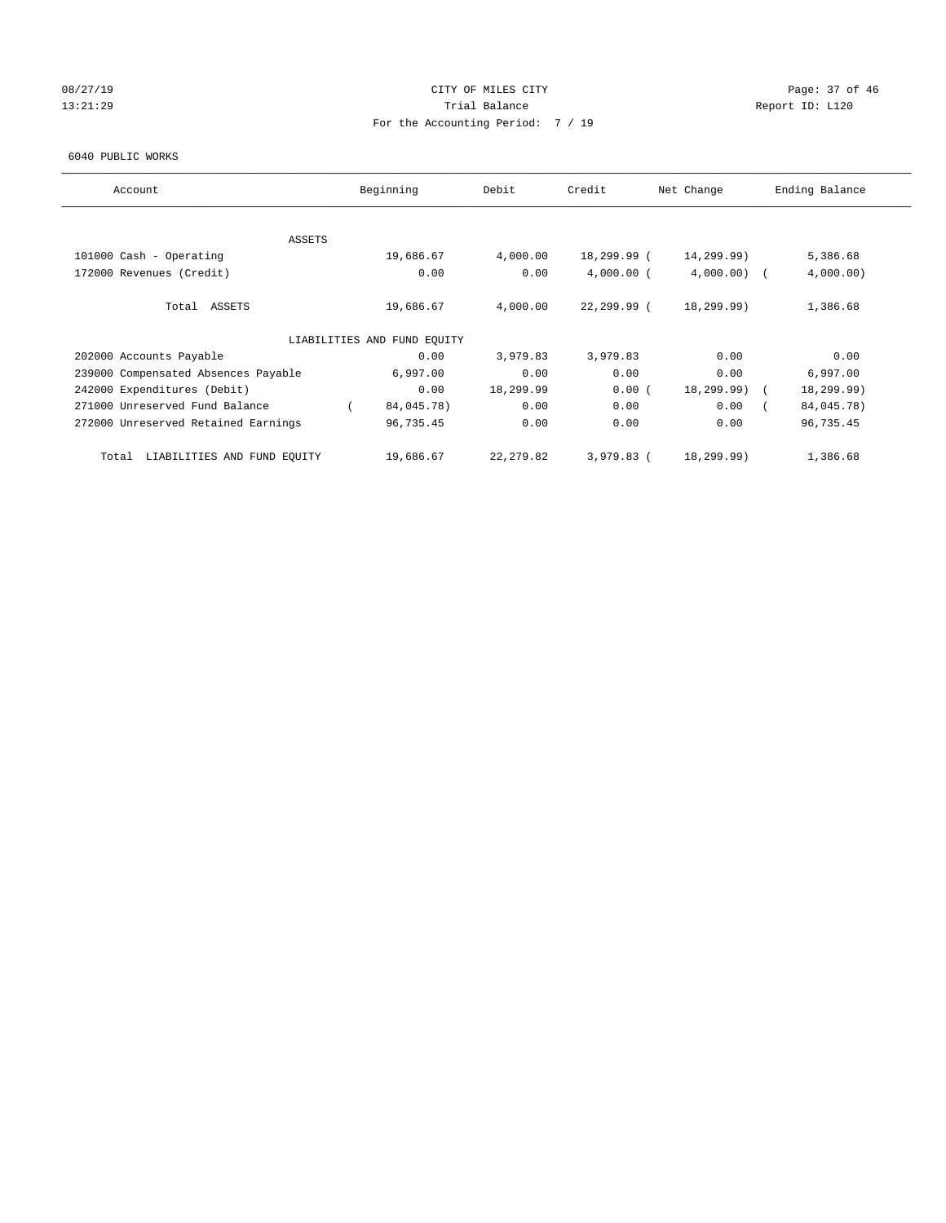# 08/27/19 Page: 37 of 46 13:21:29 **Trial Balance Trial Balance Report ID:** L120 For the Accounting Period: 7 / 19

#### 6040 PUBLIC WORKS

| Account                              | Beginning                   | Debit      | Credit       | Net Change    | Ending Balance |
|--------------------------------------|-----------------------------|------------|--------------|---------------|----------------|
| <b>ASSETS</b>                        |                             |            |              |               |                |
| 101000 Cash - Operating              | 19,686.67                   | 4,000.00   | 18,299.99 (  | 14,299.99)    | 5,386.68       |
| 172000 Revenues (Credit)             | 0.00                        | 0.00       | $4,000.00$ ( | $4,000.00)$ ( | 4,000.00)      |
| Total ASSETS                         | 19,686.67                   | 4,000.00   | 22,299.99 (  | 18,299.99)    | 1,386.68       |
|                                      | LIABILITIES AND FUND EQUITY |            |              |               |                |
| 202000 Accounts Payable              | 0.00                        | 3,979.83   | 3,979.83     | 0.00          | 0.00           |
| 239000 Compensated Absences Payable  | 6,997.00                    | 0.00       | 0.00         | 0.00          | 6,997.00       |
| 242000 Expenditures (Debit)          | 0.00                        | 18,299.99  | 0.00(        | 18,299.99) (  | 18,299.99)     |
| 271000 Unreserved Fund Balance       | 84,045.78)                  | 0.00       | 0.00         | 0.00          | 84,045.78)     |
| 272000 Unreserved Retained Earnings  | 96,735.45                   | 0.00       | 0.00         | 0.00          | 96,735.45      |
| LIABILITIES AND FUND EQUITY<br>Total | 19,686.67                   | 22, 279.82 | 3,979.83 (   | 18,299.99)    | 1,386.68       |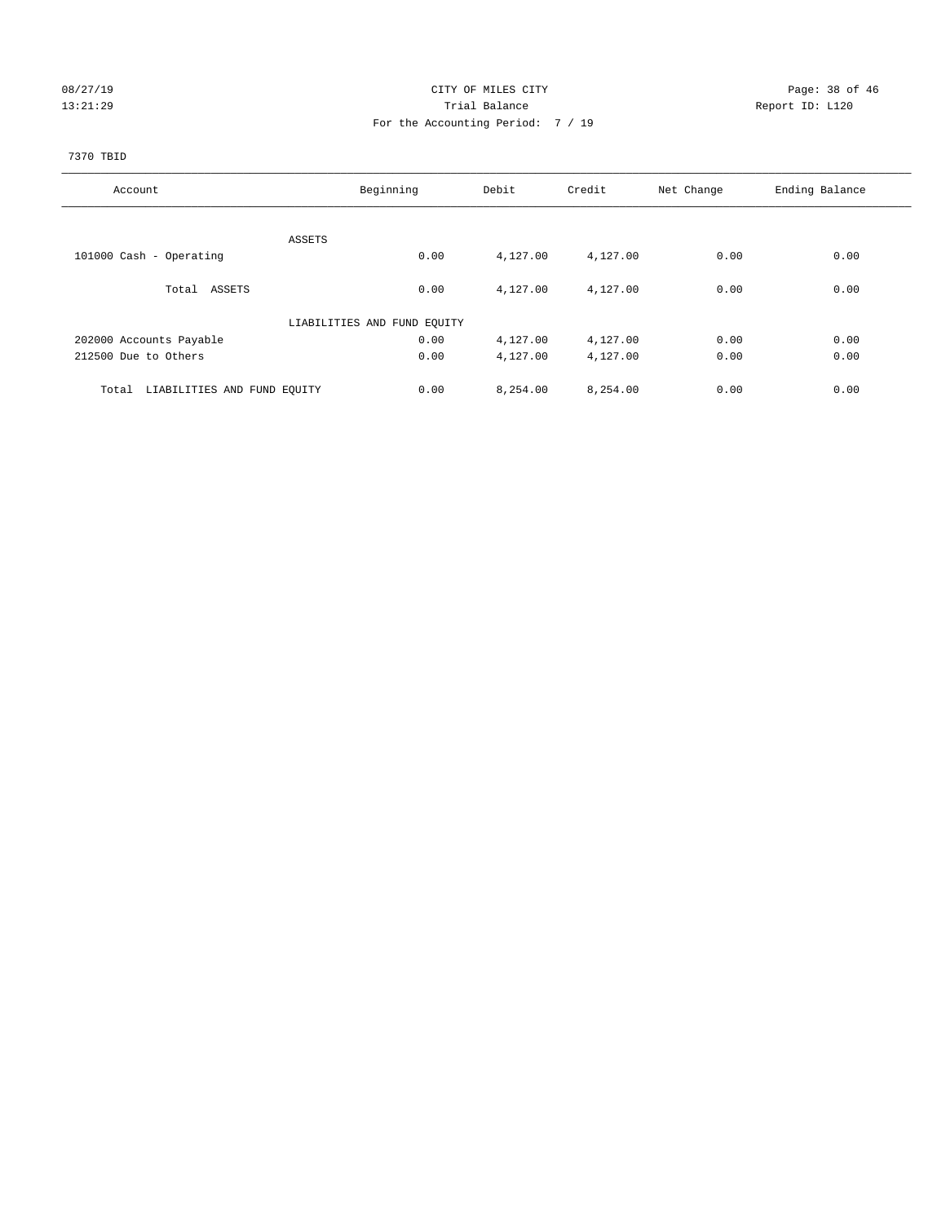# 08/27/19 Page: 38 of 46 13:21:29 **Trial Balance Trial Balance Report ID:** L120 For the Accounting Period: 7 / 19

#### 7370 TBID

| Account                              | Beginning                   | Debit    | Credit   | Net Change | Ending Balance |
|--------------------------------------|-----------------------------|----------|----------|------------|----------------|
|                                      |                             |          |          |            |                |
|                                      | ASSETS                      |          |          |            |                |
| 101000 Cash - Operating              | 0.00                        | 4,127.00 | 4,127.00 | 0.00       | 0.00           |
| Total ASSETS                         | 0.00                        | 4,127.00 | 4,127.00 | 0.00       | 0.00           |
|                                      | LIABILITIES AND FUND EQUITY |          |          |            |                |
| 202000 Accounts Payable              | 0.00                        | 4,127.00 | 4,127.00 | 0.00       | 0.00           |
| 212500 Due to Others                 | 0.00                        | 4,127.00 | 4,127.00 | 0.00       | 0.00           |
| LIABILITIES AND FUND EQUITY<br>Total | 0.00                        | 8,254.00 | 8,254.00 | 0.00       | 0.00           |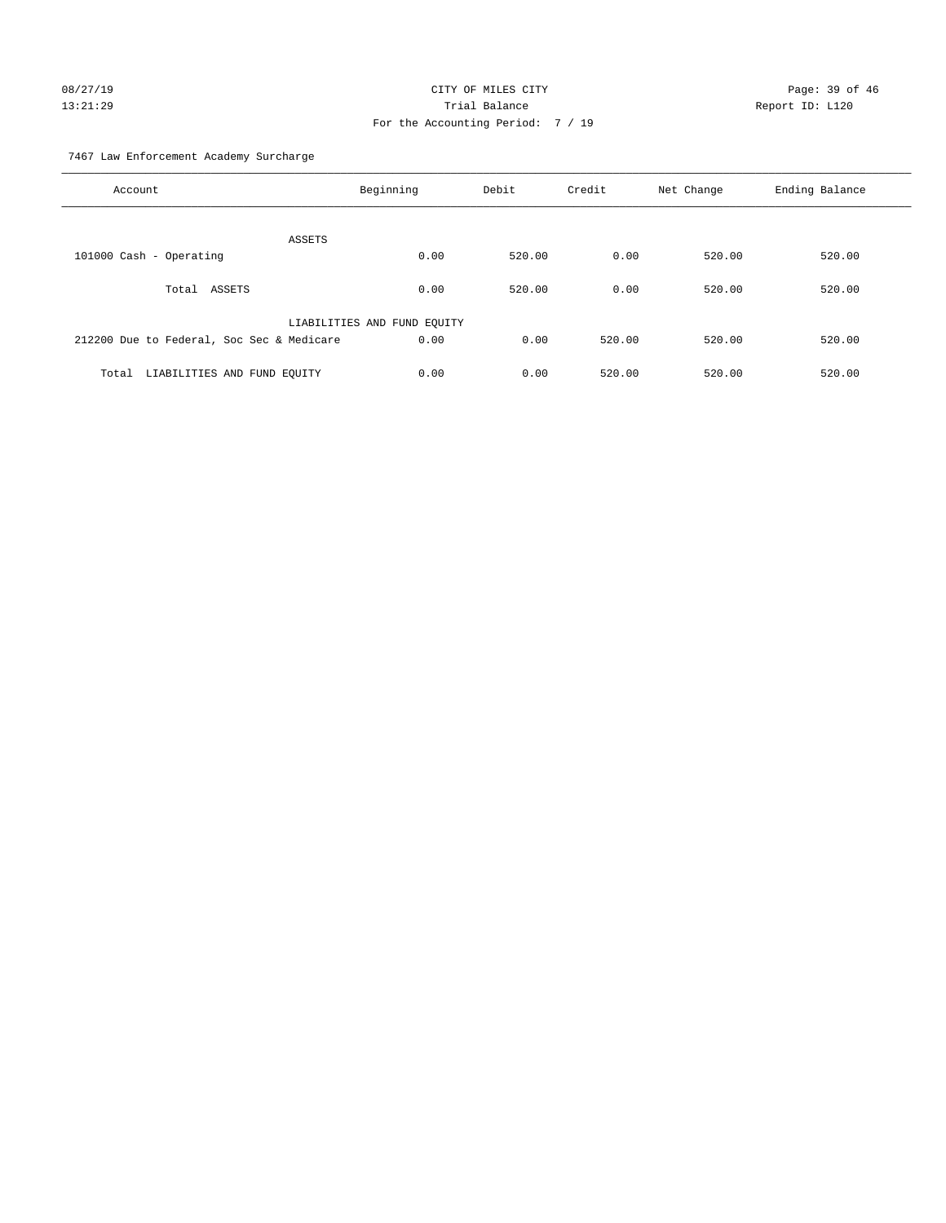# 08/27/19 Page: 39 of 46 13:21:29 Trial Balance Report ID: L120 For the Accounting Period: 7 / 19

7467 Law Enforcement Academy Surcharge

| Account                                   | Beginning                   | Debit  | Credit | Net Change | Ending Balance |
|-------------------------------------------|-----------------------------|--------|--------|------------|----------------|
| ASSETS                                    |                             |        |        |            |                |
| 101000 Cash - Operating                   | 0.00                        | 520.00 | 0.00   | 520.00     | 520.00         |
| Total ASSETS                              | 0.00                        | 520.00 | 0.00   | 520.00     | 520.00         |
|                                           | LIABILITIES AND FUND EQUITY |        |        |            |                |
| 212200 Due to Federal, Soc Sec & Medicare | 0.00                        | 0.00   | 520.00 | 520.00     | 520.00         |
| LIABILITIES AND FUND EQUITY<br>Total      | 0.00                        | 0.00   | 520.00 | 520.00     | 520.00         |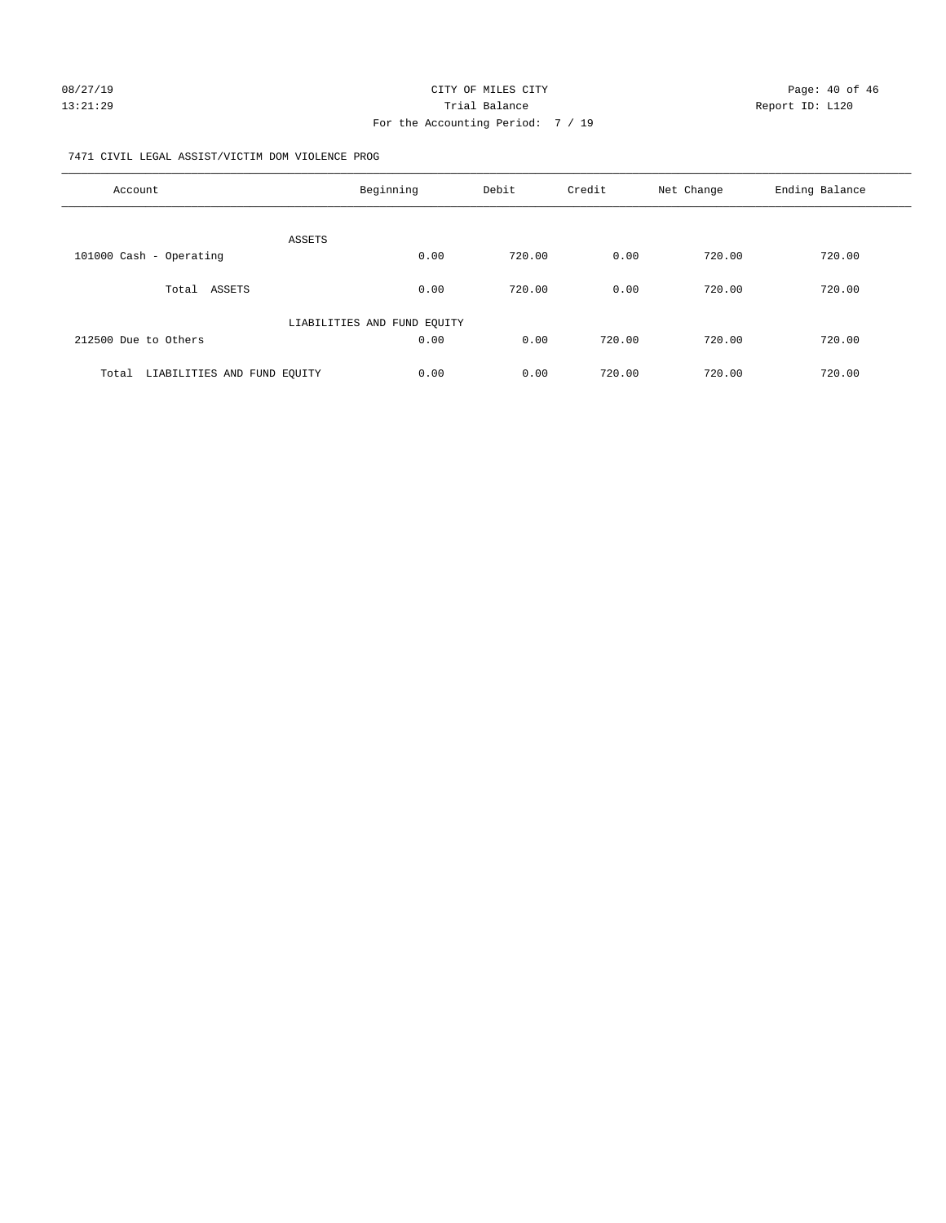#### 7471 CIVIL LEGAL ASSIST/VICTIM DOM VIOLENCE PROG

| Account                              | Beginning                   | Debit  | Credit | Net Change | Ending Balance |
|--------------------------------------|-----------------------------|--------|--------|------------|----------------|
| ASSETS                               |                             |        |        |            |                |
| 101000 Cash - Operating              | 0.00                        | 720.00 | 0.00   | 720.00     | 720.00         |
| ASSETS<br>Total                      | 0.00                        | 720.00 | 0.00   | 720.00     | 720.00         |
|                                      | LIABILITIES AND FUND EQUITY |        |        |            |                |
| 212500 Due to Others                 | 0.00                        | 0.00   | 720.00 | 720.00     | 720.00         |
| Total<br>LIABILITIES AND FUND EOUITY | 0.00                        | 0.00   | 720.00 | 720.00     | 720.00         |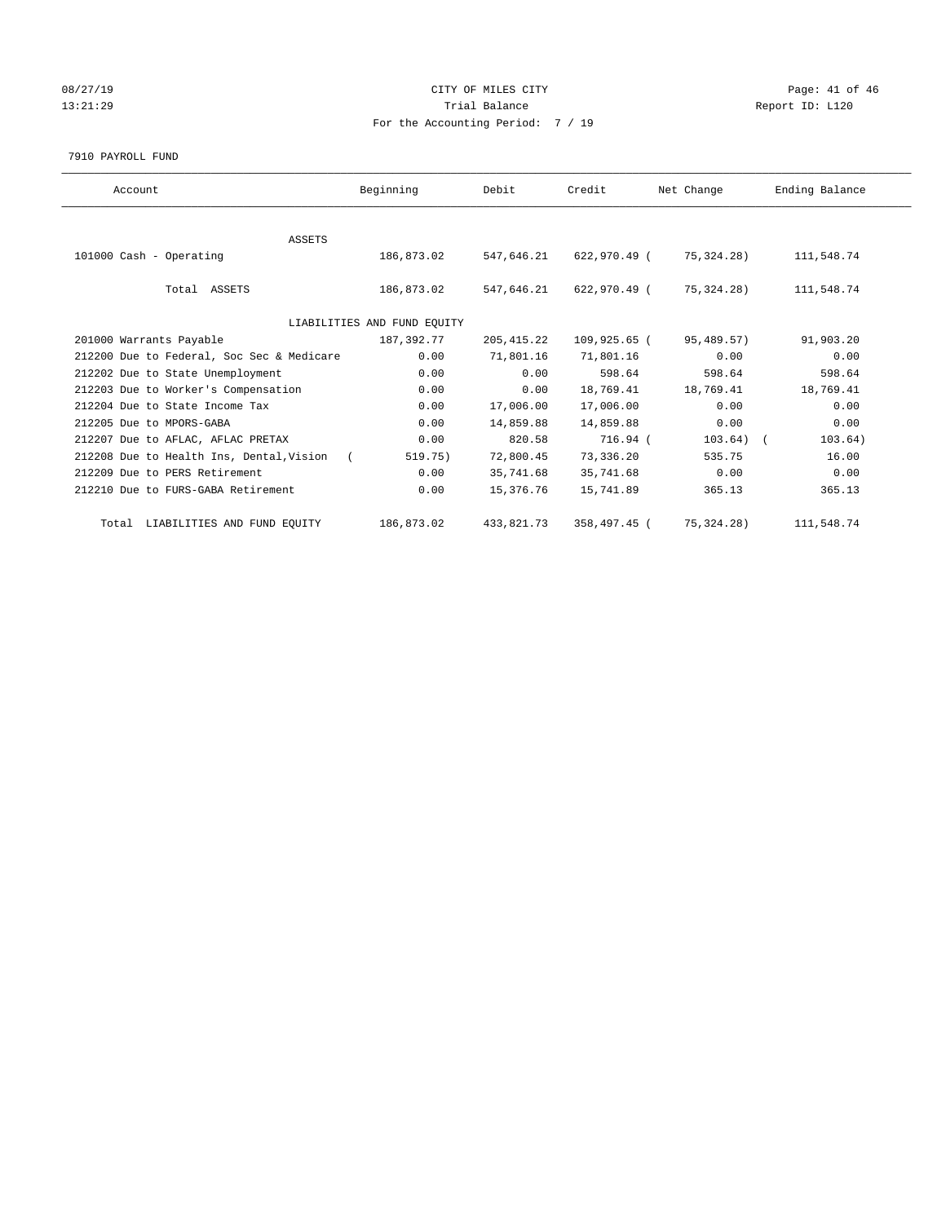# 08/27/19 Page: 41 of 46 13:21:29 **Trial Balance Trial Balance Report ID:** L120 For the Accounting Period: 7 / 19

#### 7910 PAYROLL FUND

| Account                                    | Beginning                   | Debit       | Credit       | Net Change   | Ending Balance |
|--------------------------------------------|-----------------------------|-------------|--------------|--------------|----------------|
|                                            |                             |             |              |              |                |
| <b>ASSETS</b>                              |                             |             |              |              |                |
| 101000 Cash - Operating                    | 186,873.02                  | 547.646.21  | 622,970.49 ( | 75,324.28)   | 111,548.74     |
|                                            |                             |             |              |              |                |
| Total ASSETS                               | 186,873.02                  | 547,646.21  | 622,970.49 ( | 75,324.28)   | 111,548.74     |
|                                            |                             |             |              |              |                |
|                                            | LIABILITIES AND FUND EQUITY |             |              |              |                |
| 201000 Warrants Payable                    | 187,392.77                  | 205, 415.22 | 109,925.65 ( | 95,489.57)   | 91,903.20      |
| 212200 Due to Federal, Soc Sec & Medicare  | 0.00                        | 71,801.16   | 71,801.16    | 0.00         | 0.00           |
| 212202 Due to State Unemployment           | 0.00                        | 0.00        | 598.64       | 598.64       | 598.64         |
| 212203 Due to Worker's Compensation        | 0.00                        | 0.00        | 18,769.41    | 18,769.41    | 18,769.41      |
| 212204 Due to State Income Tax             | 0.00                        | 17,006.00   | 17,006.00    | 0.00         | 0.00           |
| 212205 Due to MPORS-GABA                   | 0.00                        | 14,859.88   | 14,859.88    | 0.00         | 0.00           |
| 212207 Due to AFLAC, AFLAC PRETAX          | 0.00                        | 820.58      | 716.94 (     | $103.64)$ (  | 103.64)        |
| 212208 Due to Health Ins, Dental, Vision ( | 519.75)                     | 72,800.45   | 73,336.20    | 535.75       | 16.00          |
| 212209 Due to PERS Retirement              | 0.00                        | 35,741.68   | 35,741.68    | 0.00         | 0.00           |
| 212210 Due to FURS-GABA Retirement         | 0.00                        | 15,376.76   | 15,741.89    | 365.13       | 365.13         |
| Total LIABILITIES AND FUND EQUITY          | 186,873.02                  | 433,821.73  | 358,497.45 ( | 75, 324. 28) | 111,548.74     |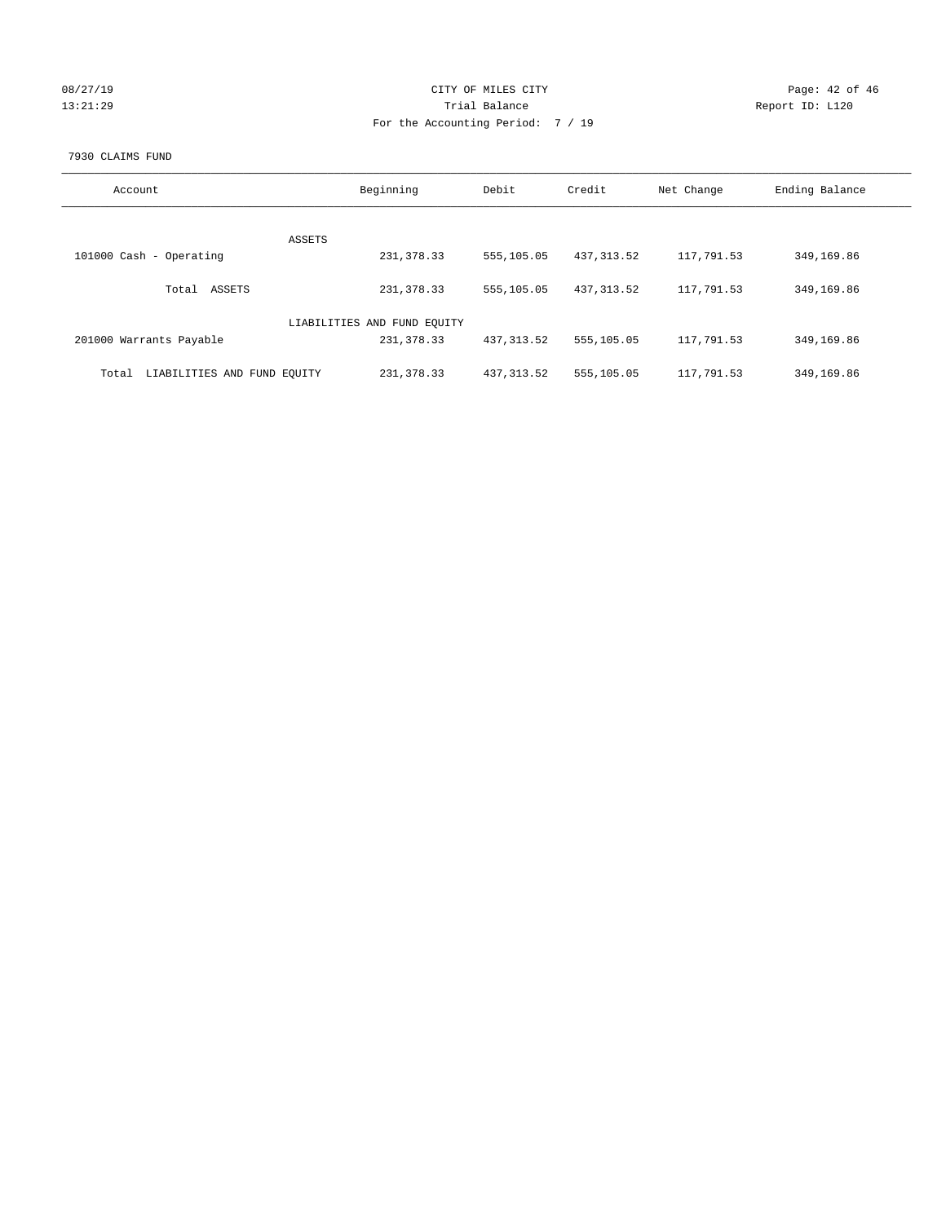| 08/27/1 | 9 |
|---------|---|
| 3:21:29 |   |

#### CITY OF MILES CITY Page: 42 of 46<br>Trial Balance Report ID: L120 13:21:29 **Trial Balance Report ID:** L120 For the Accounting Period: 7 / 19

#### 7930 CLAIMS FUND

| Account                              | Beginning                   | Debit       | Credit      | Net Change | Ending Balance |
|--------------------------------------|-----------------------------|-------------|-------------|------------|----------------|
| <b>ASSETS</b>                        |                             |             |             |            |                |
| 101000 Cash - Operating              | 231, 378.33                 | 555,105.05  | 437, 313.52 | 117,791.53 | 349,169.86     |
| ASSETS<br>Total                      | 231, 378.33                 | 555,105.05  | 437, 313.52 | 117,791.53 | 349,169.86     |
|                                      | LIABILITIES AND FUND EQUITY |             |             |            |                |
| 201000 Warrants Payable              | 231, 378.33                 | 437, 313.52 | 555,105.05  | 117,791.53 | 349,169.86     |
| LIABILITIES AND FUND EQUITY<br>Total | 231, 378.33                 | 437, 313.52 | 555,105.05  | 117,791.53 | 349,169.86     |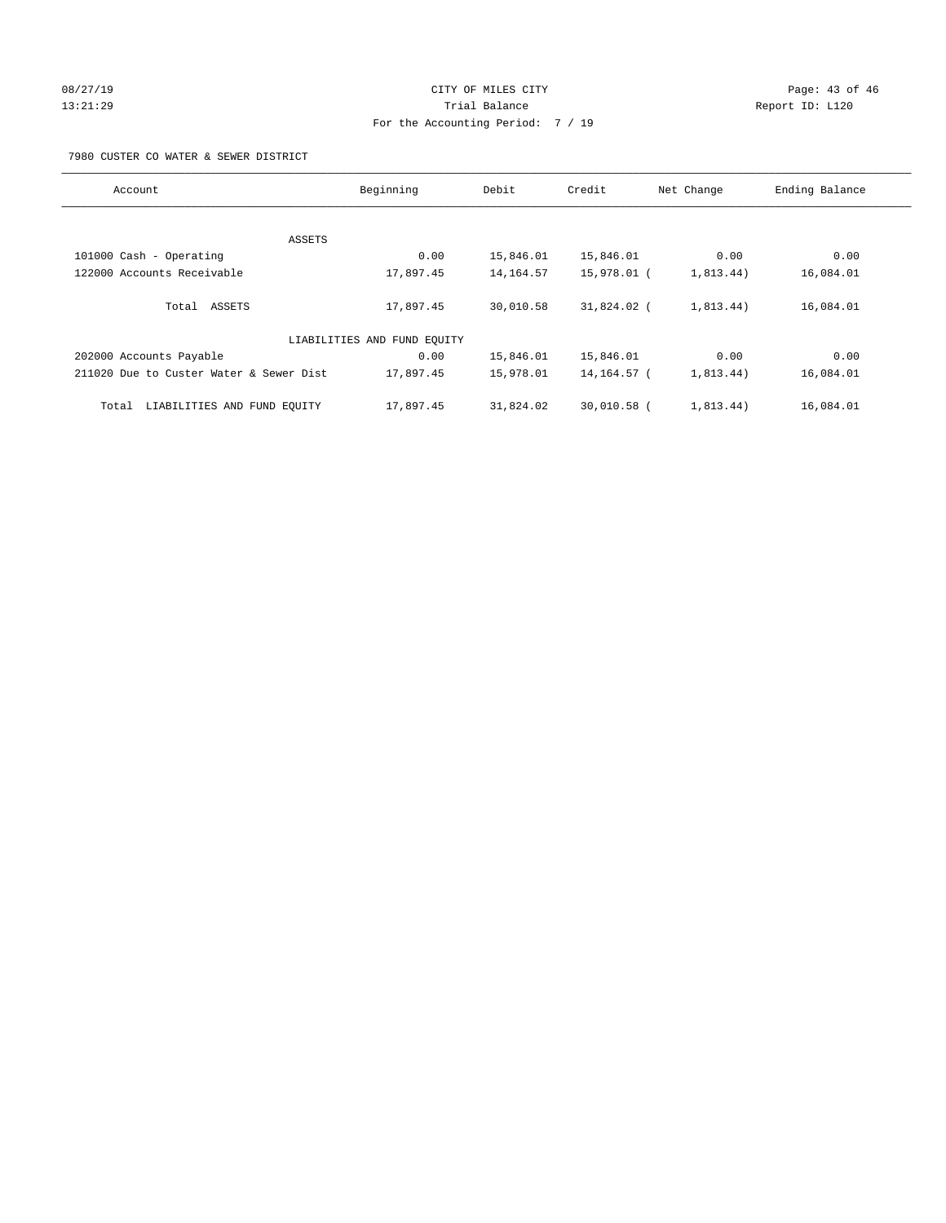# 08/27/19 Page: 43 of 46 13:21:29 **Trial Balance Trial Balance Report ID:** L120 For the Accounting Period: 7 / 19

7980 CUSTER CO WATER & SEWER DISTRICT

| Account                                 | Beginning                   | Debit       | Credit        | Net Change | Ending Balance |
|-----------------------------------------|-----------------------------|-------------|---------------|------------|----------------|
|                                         |                             |             |               |            |                |
| ASSETS                                  |                             |             |               |            |                |
| 101000 Cash - Operating                 | 0.00                        | 15,846.01   | 15,846.01     | 0.00       | 0.00           |
| 122000 Accounts Receivable              | 17,897.45                   | 14, 164. 57 | 15,978.01 (   | 1,813.44)  | 16,084.01      |
| Total ASSETS                            | 17,897.45                   | 30,010.58   | 31,824.02 (   | 1,813.44)  | 16,084.01      |
|                                         | LIABILITIES AND FUND EQUITY |             |               |            |                |
| 202000 Accounts Payable                 | 0.00                        | 15,846.01   | 15,846.01     | 0.00       | 0.00           |
| 211020 Due to Custer Water & Sewer Dist | 17,897.45                   | 15,978.01   | 14, 164. 57 ( | 1,813.44)  | 16,084.01      |
| LIABILITIES AND FUND EQUITY<br>Total    | 17,897.45                   | 31,824.02   | 30,010.58 (   | 1,813.44)  | 16,084.01      |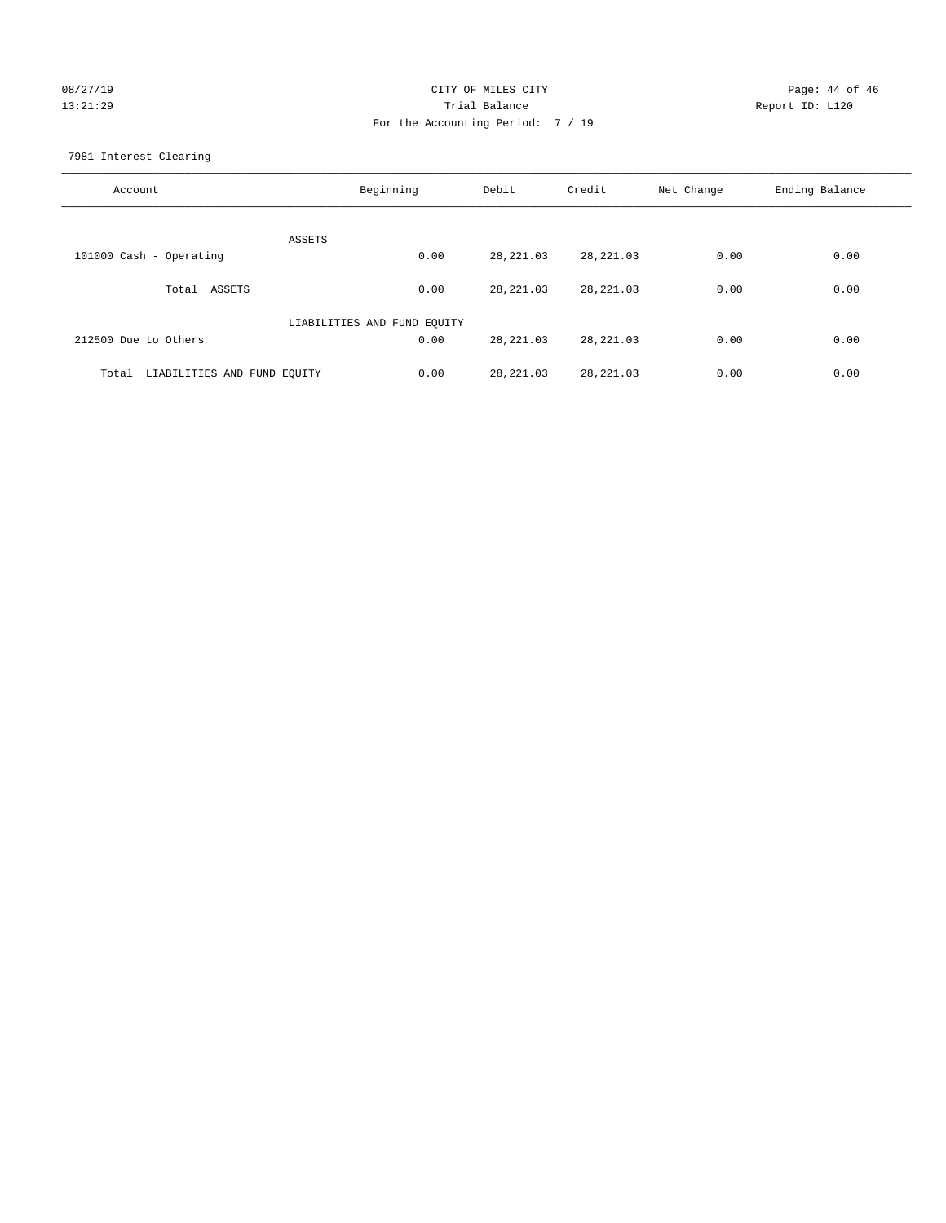# 08/27/19 Page: 44 of 46 13:21:29 Trial Balance Report ID: L120 For the Accounting Period: 7 / 19

7981 Interest Clearing

| Account                           | Beginning                   | Debit      | Credit     | Net Change | Ending Balance |
|-----------------------------------|-----------------------------|------------|------------|------------|----------------|
|                                   | ASSETS                      |            |            |            |                |
| 101000 Cash - Operating           | 0.00                        | 28, 221.03 | 28, 221.03 | 0.00       | 0.00           |
| Total ASSETS                      | 0.00                        | 28, 221.03 | 28, 221.03 | 0.00       | 0.00           |
|                                   | LIABILITIES AND FUND EQUITY |            |            |            |                |
| 212500 Due to Others              | 0.00                        | 28, 221.03 | 28, 221.03 | 0.00       | 0.00           |
| Total LIABILITIES AND FUND EQUITY | 0.00                        | 28, 221.03 | 28, 221.03 | 0.00       | 0.00           |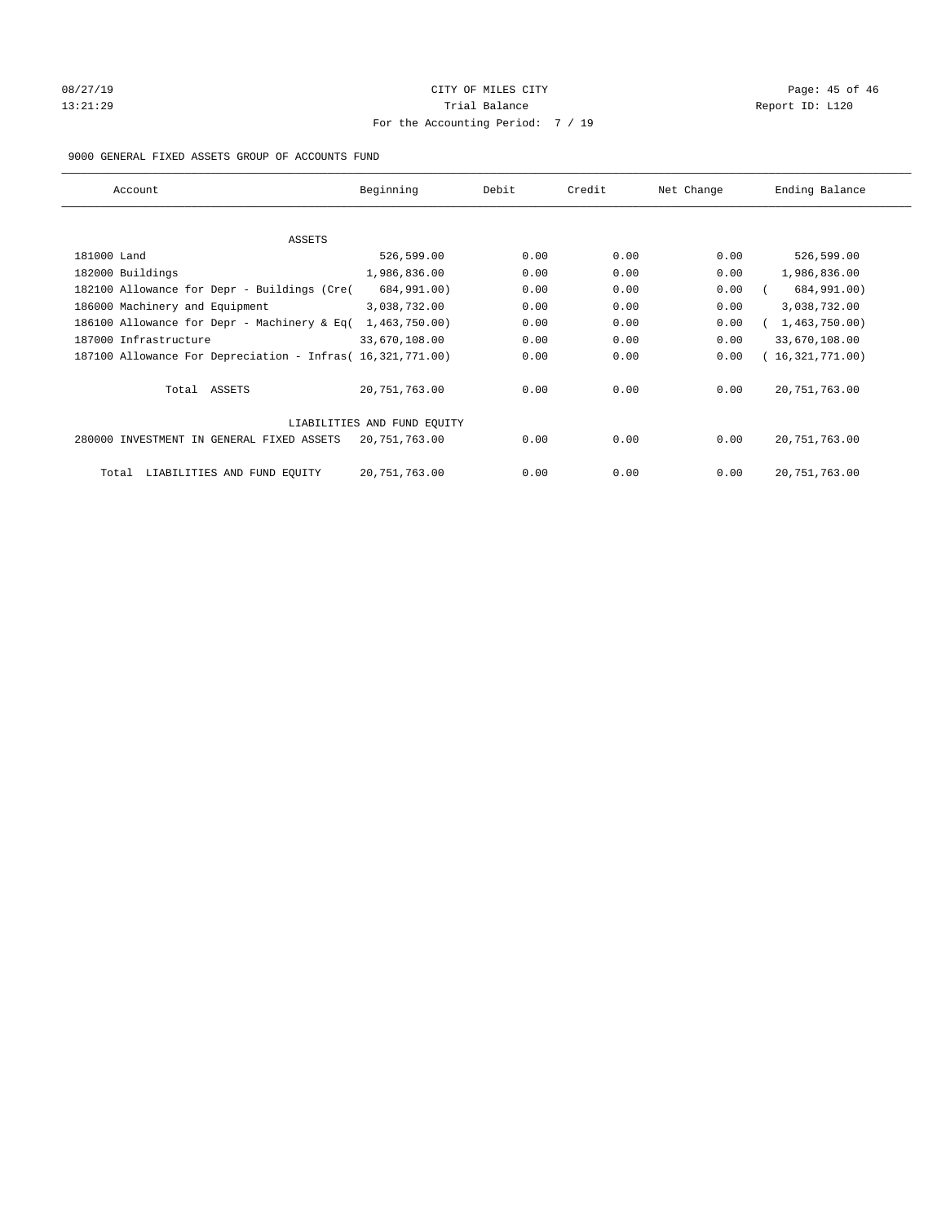## 08/27/19 Page: 45 of 46 Page: 45 of 46 Page: 45 of 46 Page: 45 of 46 Page: 45 of 46 13:21:29 **Trial Balance Trial Balance Report ID:** L120 For the Accounting Period: 7 / 19

#### 9000 GENERAL FIXED ASSETS GROUP OF ACCOUNTS FUND

| Account                                                    | Beginning                   | Debit | Credit | Net Change | Ending Balance  |
|------------------------------------------------------------|-----------------------------|-------|--------|------------|-----------------|
| ASSETS                                                     |                             |       |        |            |                 |
| 181000 Land                                                | 526,599.00                  | 0.00  | 0.00   | 0.00       | 526,599.00      |
| 182000 Buildings                                           | 1,986,836.00                | 0.00  | 0.00   | 0.00       | 1,986,836.00    |
| 182100 Allowance for Depr - Buildings (Cre(                | 684,991.00)                 | 0.00  | 0.00   | 0.00       | 684,991.00)     |
| 186000 Machinery and Equipment                             | 3,038,732.00                | 0.00  | 0.00   | 0.00       | 3,038,732.00    |
| 186100 Allowance for Depr - Machinery & Eq(                | 1,463,750.00)               | 0.00  | 0.00   | 0.00       | 1,463,750.00)   |
| 187000 Infrastructure                                      | 33,670,108.00               | 0.00  | 0.00   | 0.00       | 33,670,108.00   |
| 187100 Allowance For Depreciation - Infras( 16,321,771.00) |                             | 0.00  | 0.00   | 0.00       | 16,321,771.00)  |
| Total ASSETS                                               | 20,751,763.00               | 0.00  | 0.00   | 0.00       | 20, 751, 763.00 |
|                                                            | LIABILITIES AND FUND EQUITY |       |        |            |                 |
| 280000 INVESTMENT IN GENERAL FIXED ASSETS                  | 20,751,763.00               | 0.00  | 0.00   | 0.00       | 20, 751, 763.00 |
| LIABILITIES AND FUND EQUITY<br>Total                       | 20, 751, 763.00             | 0.00  | 0.00   | 0.00       | 20, 751, 763.00 |